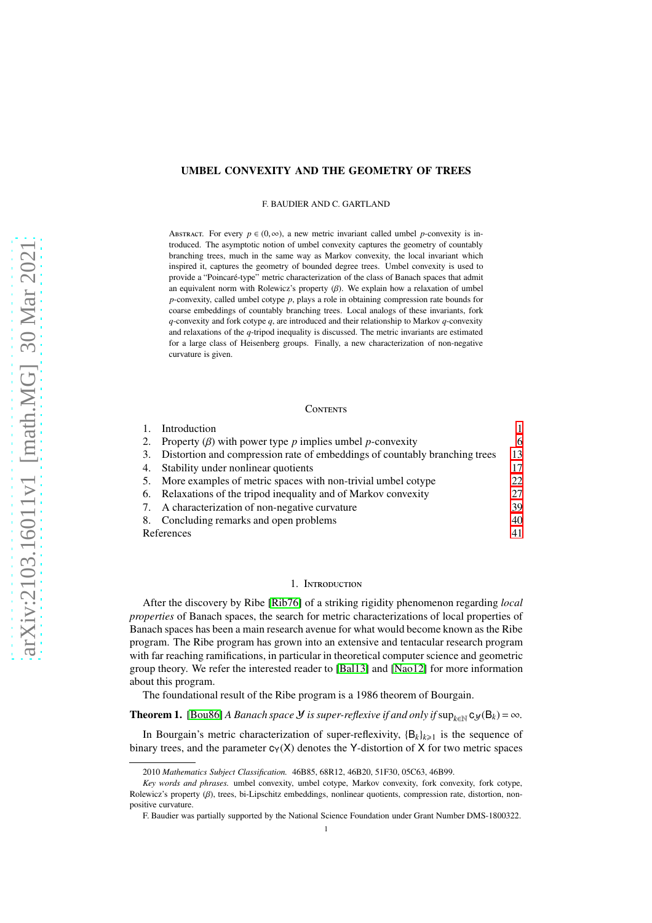# UMBEL CONVEXITY AND THE GEOMETRY OF TREES

F. BAUDIER AND C. GARTLAND

ABSTRACT. For every  $p \in (0, \infty)$ , a new metric invariant called umbel *p*-convexity is introduced. The asymptotic notion of umbel convexity captures the geometry of countably branching trees, much in the same way as Markov convexity, the local invariant which inspired it, captures the geometry of bounded degree trees. Umbel convexity is used to provide a "Poincaré-type" metric characterization of the class of Banach spaces that admit an equivalent norm with Rolewicz's property  $(\beta)$ . We explain how a relaxation of umbel *p*-convexity, called umbel cotype *p*, plays a role in obtaining compression rate bounds for coarse embeddings of countably branching trees. Local analogs of these invariants, fork *q*-convexity and fork cotype *q*, are introduced and their relationship to Markov *q*-convexity and relaxations of the *q*-tripod inequality is discussed. The metric invariants are estimated for a large class of Heisenberg groups. Finally, a new characterization of non-negative curvature is given.

### **CONTENTS**

|    | Introduction                                                               |    |  |
|----|----------------------------------------------------------------------------|----|--|
| 2. | Property $(\beta)$ with power type p implies umbel p-convexity             | 6  |  |
| 3. | Distortion and compression rate of embeddings of countably branching trees | 13 |  |
| 4. | Stability under nonlinear quotients                                        | 17 |  |
| 5. | More examples of metric spaces with non-trivial umbel cotype               | 22 |  |
|    | 6. Relaxations of the tripod inequality and of Markov convexity            | 27 |  |
|    | 7. A characterization of non-negative curvature                            | 39 |  |
|    | 8. Concluding remarks and open problems                                    | 40 |  |
|    | References                                                                 |    |  |

# 1. Introduction

<span id="page-0-0"></span>After the discovery by Ribe [\[Rib76\]](#page-42-0) of a striking rigidity phenomenon regarding *local properties* of Banach spaces, the search for metric characterizations of local properties of Banach spaces has been a main research avenue for what would become known as the Ribe program. The Ribe program has grown into an extensive and tentacular research program with far reaching ramifications, in particular in theoretical computer science and geometric group theory. We refer the interested reader to [\[Bal13\]](#page-40-1) and [\[Nao12\]](#page-41-0) for more information about this program.

The foundational result of the Ribe program is a 1986 theorem of Bourgain.

**Theorem 1.** [\[Bou86\]](#page-41-1) *A Banach space Y is super-reflexive if and only if*  $\sup_{k \in \mathbb{N}} c_y(B_k) = \infty$ *.* 

In Bourgain's metric characterization of super-reflexivity,  ${B_k}_{k\geq 1}$  is the sequence of binary trees, and the parameter  $c_Y(X)$  denotes the Y-distortion of X for two metric spaces

<sup>2010</sup> *Mathematics Subject Classification.* 46B85, 68R12, 46B20, 51F30, 05C63, 46B99.

*Key words and phrases.* umbel convexity, umbel cotype, Markov convexity, fork convexity, fork cotype, Rolewicz's property (β), trees, bi-Lipschitz embeddings, nonlinear quotients, compression rate, distortion, nonpositive curvature.

F. Baudier was partially supported by the National Science Foundation under Grant Number DMS-1800322.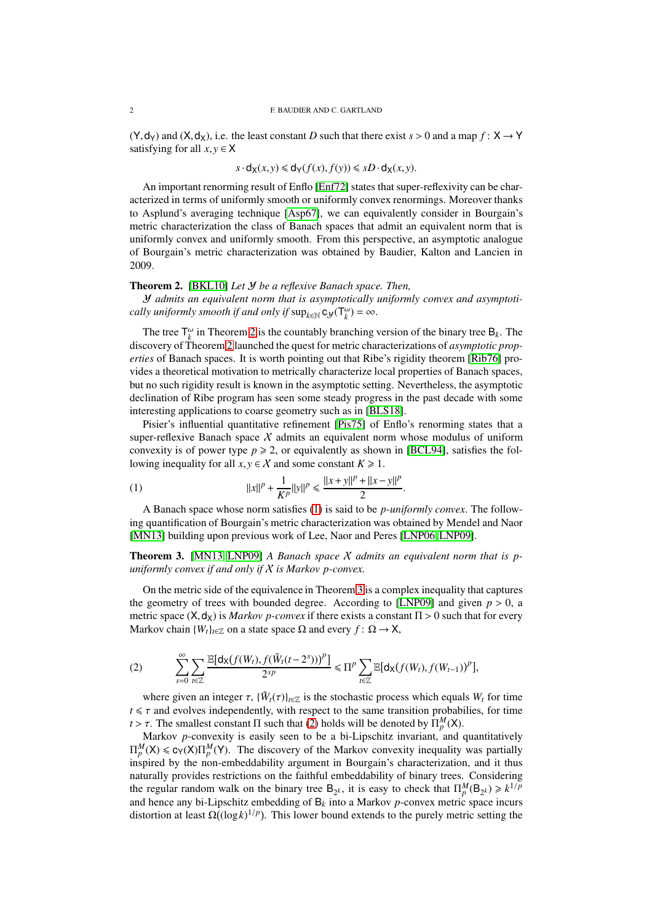#### 2 F. BAUDIER AND C. GARTLAND

 $(Y, dy)$  and  $(X, dy)$ , i.e. the least constant *D* such that there exist  $s > 0$  and a map  $f: X \rightarrow Y$ satisfying for all  $x, y \in X$ 

$$
s \cdot d_{\mathsf{X}}(x, y) \leq d_{\mathsf{Y}}(f(x), f(y)) \leq sD \cdot d_{\mathsf{X}}(x, y).
$$

An important renorming result of Enflo [\[Enf72\]](#page-41-2) states that super-reflexivity can be characterized in terms of uniformly smooth or uniformly convex renormings. Moreover thanks to Asplund's averaging technique [\[Asp67\]](#page-40-2), we can equivalently consider in Bourgain's metric characterization the class of Banach spaces that admit an equivalent norm that is uniformly convex and uniformly smooth. From this perspective, an asymptotic analogue of Bourgain's metric characterization was obtained by Baudier, Kalton and Lancien in 2009.

# <span id="page-1-0"></span>Theorem 2. [\[BKL10\]](#page-40-3) *Let* Y *be a reflexive Banach space. Then,*

Y *admits an equivalent norm that is asymptotically uniformly convex and asymptotically uniformly smooth if and only if*  $\sup_{k \in \mathbb{N}} c_{\mathcal{Y}}(T_k^{\omega}) = \infty$ .

The tree  $\mathsf{T}^{\omega}_k$  in Theorem [2](#page-1-0) is the countably branching version of the binary tree  $\mathsf{B}_k$ . The discovery of Theorem [2](#page-1-0) launched the quest for metric characterizations of *asymptotic properties* of Banach spaces. It is worth pointing out that Ribe's rigidity theorem [\[Rib76\]](#page-42-0) provides a theoretical motivation to metrically characterize local properties of Banach spaces, but no such rigidity result is known in the asymptotic setting. Nevertheless, the asymptotic declination of Ribe program has seen some steady progress in the past decade with some interesting applications to coarse geometry such as in [\[BLS18\]](#page-41-3).

Pisier's influential quantitative refinement [\[Pis75\]](#page-42-1) of Enflo's renorming states that a super-reflexive Banach space  $X$  admits an equivalent norm whose modulus of uniform convexity is of power type  $p \ge 2$ , or equivalently as shown in [\[BCL94\]](#page-40-4), satisfies the following inequality for all  $x, y \in X$  and some constant  $K \ge 1$ .

<span id="page-1-1"></span>(1) 
$$
||x||^{p} + \frac{1}{K^{p}}||y||^{p} \leq \frac{||x+y||^{p} + ||x-y||^{p}}{2}.
$$

A Banach space whose norm satisfies [\(1\)](#page-1-1) is said to be *p-uniformly convex*. The following quantification of Bourgain's metric characterization was obtained by Mendel and Naor [\[MN13\]](#page-41-4) building upon previous work of Lee, Naor and Peres [\[LNP06,](#page-41-5) [LNP09\]](#page-41-6).

<span id="page-1-2"></span>Theorem 3. [\[MN13,](#page-41-4) [LNP09\]](#page-41-6) *A Banach space* X *admits an equivalent norm that is puniformly convex if and only if* X *is Markov p-convex.*

On the metric side of the equivalence in Theorem [3](#page-1-2) is a complex inequality that captures the geometry of trees with bounded degree. According to [\[LNP09\]](#page-41-6) and given  $p > 0$ , a metric space  $(X, d_X)$  is *Markov p-convex* if there exists a constant  $\Pi > 0$  such that for every Markov chain  ${W_t}_{t \in \mathbb{Z}}$  on a state space Ω and every  $f: \Omega \to X$ ,

<span id="page-1-3"></span>(2) 
$$
\sum_{s=0}^{\infty}\sum_{t\in\mathbb{Z}}\frac{\mathbb{E}[\mathsf{d}_{\mathsf{X}}(f(W_t),f(\tilde{W}_t(t-2^s)))^p]}{2^{sp}}\leq\Pi^p\sum_{t\in\mathbb{Z}}\mathbb{E}[\mathsf{d}_{\mathsf{X}}(f(W_t),f(W_{t-1}))^p],
$$

where given an integer  $\tau$ ,  $\{\tilde{W}_t(\tau)\}_{t \in \mathbb{Z}}$  is the stochastic process which equals  $W_t$  for time  $t \leq \tau$  and evolves independently, with respect to the same transition probabilies, for time *t* >  $\tau$ . The smallest constant  $\Pi$  such that [\(2\)](#page-1-3) holds will be denoted by  $\Pi_p^M(\mathsf{X})$ .

Markov *p*-convexity is easily seen to be a bi-Lipschitz invariant, and quantitatively  $\Pi_p^M(X) \leq c_Y(X) \Pi_p^M(Y)$ . The discovery of the Markov convexity inequality was partially inspired by the non-embeddability argument in Bourgain's characterization, and it thus naturally provides restrictions on the faithful embeddability of binary trees. Considering the regular random walk on the binary tree  $B_{2^k}$ , it is easy to check that  $\Pi_p^M(B_{2^k}) \ge k^{1/p}$ and hence any bi-Lipschitz embedding of  $B_k$  into a Markov *p*-convex metric space incurs distortion at least  $\Omega((\log k)^{1/p})$ . This lower bound extends to the purely metric setting the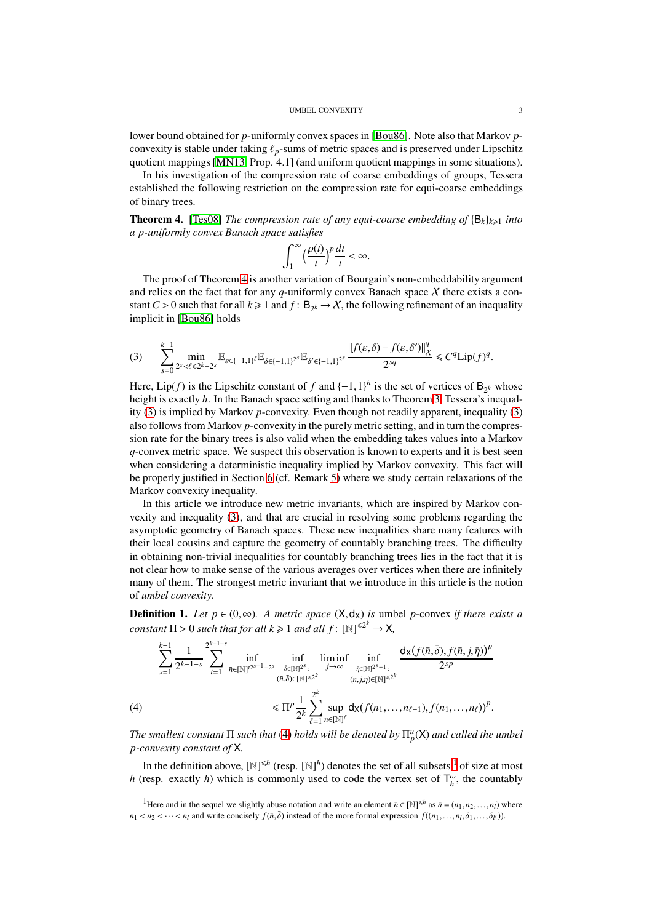#### UMBEL CONVEXITY 3

lower bound obtained for *p*-uniformly convex spaces in [\[Bou86\]](#page-41-1). Note also that Markov *p*convexity is stable under taking  $\ell_p$ -sums of metric spaces and is preserved under Lipschitz quotient mappings [\[MN13,](#page-41-4) Prop. 4.1] (and uniform quotient mappings in some situations).

In his investigation of the compression rate of coarse embeddings of groups, Tessera established the following restriction on the compression rate for equi-coarse embeddings of binary trees.

<span id="page-2-0"></span>**Theorem 4.** [\[Tes08\]](#page-42-2) *The compression rate of any equi-coarse embedding of*  ${B_k}_{k\geq 1}$  *into a p-uniformly convex Banach space satisfies*

$$
\int_1^\infty \Big(\frac{\rho(t)}{t}\Big)^p\frac{dt}{t}<\infty.
$$

The proof of Theorem [4](#page-2-0) is another variation of Bourgain's non-embeddability argument and relies on the fact that for any  $q$ -uniformly convex Banach space  $\chi$  there exists a constant *C* > 0 such that for all  $k \ge 1$  and  $f : B_{2^k} \to \mathcal{X}$ , the following refinement of an inequality implicit in [\[Bou86\]](#page-41-1) holds

<span id="page-2-1"></span>
$$
(3) \qquad \sum_{s=0}^{k-1} \min_{2^{s} < \ell \leq 2^{k}-2^{s}} \mathbb{E}_{\varepsilon \in \{-1,1\}^{\ell}} \mathbb{E}_{\delta \in \{-1,1\}^{2^{s}}}\mathbb{E}_{\delta' \in \{-1,1\}^{2^{s}}}\frac{\left\|f(\varepsilon,\delta)-f(\varepsilon,\delta')\right\|_{X}^{q}}{2^{sq}} \leq C^{q} \text{Lip}(f)^{q}.
$$

Here, Lip(*f*) is the Lipschitz constant of *f* and  $\{-1,1\}$ <sup>*h*</sup> is the set of vertices of B<sub>2</sub>*k* whose height is exactly *h*. In the Banach space setting and thanks to Theorem [3,](#page-1-2) Tessera's inequality [\(3\)](#page-2-1) is implied by Markov *p*-convexity. Even though not readily apparent, inequality [\(3\)](#page-2-1) also follows from Markov *p*-convexity in the purely metric setting, and in turn the compression rate for the binary trees is also valid when the embedding takes values into a Markov *q*-convex metric space. We suspect this observation is known to experts and it is best seen when considering a deterministic inequality implied by Markov convexity. This fact will be properly justified in Section [6](#page-26-0) (cf. Remark [5\)](#page-35-0) where we study certain relaxations of the Markov convexity inequality.

In this article we introduce new metric invariants, which are inspired by Markov convexity and inequality [\(3\)](#page-2-1), and that are crucial in resolving some problems regarding the asymptotic geometry of Banach spaces. These new inequalities share many features with their local cousins and capture the geometry of countably branching trees. The difficulty in obtaining non-trivial inequalities for countably branching trees lies in the fact that it is not clear how to make sense of the various averages over vertices when there are infinitely many of them. The strongest metric invariant that we introduce in this article is the notion of *umbel convexity*.

**Definition 1.** *Let p* ∈ (0,∞). A metric space  $(X, d_X)$  *is* umbel *p*-convex *if there exists a constant*  $\Pi > 0$  *such that for all*  $k \ge 1$  *and all*  $f: [\mathbb{N}]^{\le 2^k} \to \mathsf{X}$ *,* 

$$
\sum_{s=1}^{k-1} \frac{1}{2^{k-1-s}} \sum_{t=1}^{2^{k-1-s}} \inf_{\bar{n} \in [\mathbb{N}]^{2^{s+1}-2^s}} \inf_{\substack{\bar{\delta} \in [\mathbb{N}]^{2^s}: \\ (\bar{n}, \bar{\delta}) \in [\mathbb{N}]^{\\leq 2^k}} \liminf_{\substack{j \to \infty \\ (\bar{n}, j,\bar{\eta}) \in [\mathbb{N}]^{\\leq 2^k}}} \frac{d_X(f(\bar{n}, \bar{\delta}), f(\bar{n}, j, \bar{\eta}))^p}{2^{sp}}
$$
\n
$$
\leq \Pi^p \frac{1}{2^k} \sum_{\ell=1}^{2^k} \sup_{\bar{n} \in [\mathbb{N}]^{\ell}} d_X(f(n_1, \dots, n_{\ell-1}), f(n_1, \dots, n_{\ell}))^p.
$$

<span id="page-2-2"></span>The smallest constant  $\Pi$  such that [\(4\)](#page-2-2) holds will be denoted by  $\Pi_p^u(\mathsf{X})$  and called the umbel *p-convexity constant of* X*.*

In the definition above,  $[N]^{\leq h}$  (resp.  $[N]^h$ ) denotes the set of all subsets  $\frac{1}{1}$  $\frac{1}{1}$  $\frac{1}{1}$  of size at most *h* (resp. exactly *h*) which is commonly used to code the vertex set of  $T_h^{\omega}$ , the countably

<span id="page-2-3"></span><sup>&</sup>lt;sup>1</sup>Here and in the sequel we slightly abuse notation and write an element  $\bar{n} \in [\mathbb{N}]^{\leq h}$  as  $\bar{n} = (n_1, n_2, \dots, n_l)$  where  $n_1 < n_2 < \cdots < n_l$  and write concisely  $f(\bar{n},\bar{\delta})$  instead of the more formal expression  $f((n_1,\ldots,n_l,\delta_1,\ldots,\delta_l))$ .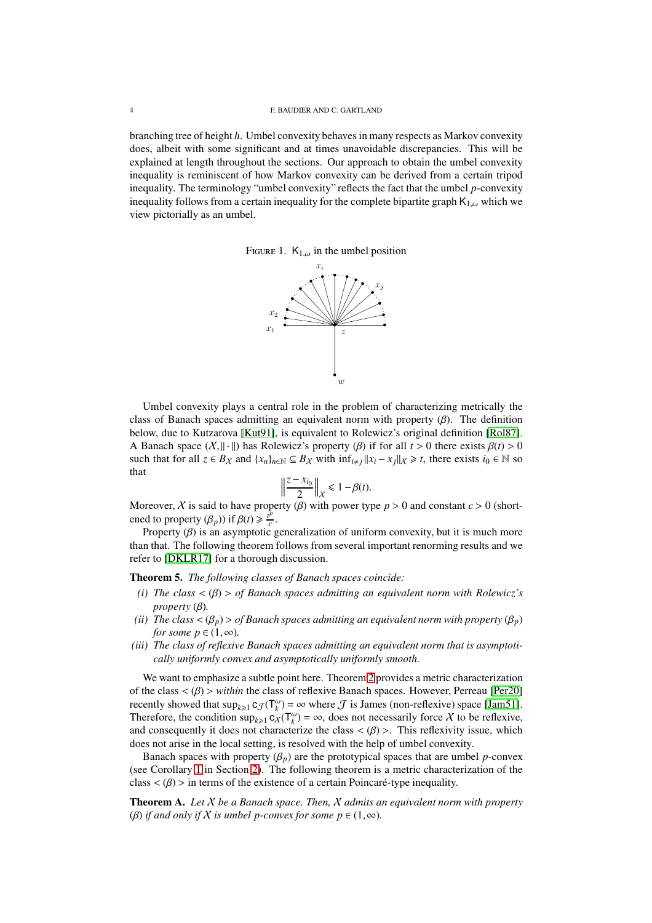branching tree of height *h*. Umbel convexity behaves in many respects as Markov convexity does, albeit with some significant and at times unavoidable discrepancies. This will be explained at length throughout the sections. Our approach to obtain the umbel convexity inequality is reminiscent of how Markov convexity can be derived from a certain tripod inequality. The terminology "umbel convexity" reflects the fact that the umbel *p*-convexity inequality follows from a certain inequality for the complete bipartite graph  $K_{1,\omega}$  which we view pictorially as an umbel.

FIGURE 1.  $K_{1,\omega}$  in the umbel position



Umbel convexity plays a central role in the problem of characterizing metrically the class of Banach spaces admitting an equivalent norm with property  $(\beta)$ . The definition below, due to Kutzarova [\[Kut91\]](#page-41-7), is equivalent to Rolewicz's original definition [\[Rol87\]](#page-42-3). A Banach space  $(X, ||\cdot||)$  has Rolewicz's property  $(\beta)$  if for all  $t > 0$  there exists  $\beta(t) > 0$ such that for all  $z \in B_X$  and  $\{x_n\}_{n \in \mathbb{N}} \subseteq B_X$  with  $\inf_{i \neq j} ||x_i - x_j||_X \ge t$ , there exists  $i_0 \in \mathbb{N}$  so that that  $\|\cdot\|$ 

$$
\left\|\frac{z-x_{i_0}}{2}\right\|_{\mathcal{X}} \leq 1-\beta(t).
$$

Moreover, *X* is said to have property (β) with power type  $p > 0$  and constant  $c > 0$  (shortened to property  $(\beta_p)$ ) if  $\beta(t) \geq \frac{t^p}{c}$  $\frac{p}{c}$ .

Property  $(\beta)$  is an asymptotic generalization of uniform convexity, but it is much more than that. The following theorem follows from several important renorming results and we refer to [\[DKLR17\]](#page-41-8) for a thorough discussion.

<span id="page-3-1"></span>Theorem 5. *The following classes of Banach spaces coincide:*

- *(i) The class* < (β) > *of Banach spaces admitting an equivalent norm with Rolewicz's property* (β)*.*
- *(ii)* The class  $\langle (\beta_p) \rangle$  of Banach spaces admitting an equivalent norm with property  $(\beta_p)$ *for some*  $p \in (1, \infty)$ *.*
- *(iii) The class of reflexive Banach spaces admitting an equivalent norm that is asymptotically uniformly convex and asymptotically uniformly smooth.*

We want to emphasize a subtle point here. Theorem [2](#page-1-0) provides a metric characterization of the class < (β) > *within* the class of reflexive Banach spaces. However, Perreau [\[Per20\]](#page-42-4) recently showed that  $\sup_{k\geq 1} c_{\mathcal{J}}(T_k^{\omega}) = \infty$  where  $\mathcal J$  is James (non-reflexive) space [\[Jam51\]](#page-41-9). Therefore, the condition  $\sup_{k\geq 1} c_X(\mathsf{T}^\omega_k) = \infty$ , does not necessarily force X to be reflexive, and consequently it does not characterize the class  $\langle \beta \rangle$ . This reflexivity issue, which does not arise in the local setting, is resolved with the help of umbel convexity.

Banach spaces with property  $(\beta_p)$  are the prototypical spaces that are umbel *p*-convex (see Corollary [1](#page-10-0) in Section [2\)](#page-5-0). The following theorem is a metric characterization of the class  $\langle \beta \rangle$  > in terms of the existence of a certain Poincaré-type inequality.

<span id="page-3-0"></span>Theorem A. *Let* X *be a Banach space. Then,* X *admits an equivalent norm with property* (*β*) *if and only if*  $X$  *is umbel p-convex for some p*  $\in$  (1, $\infty$ ).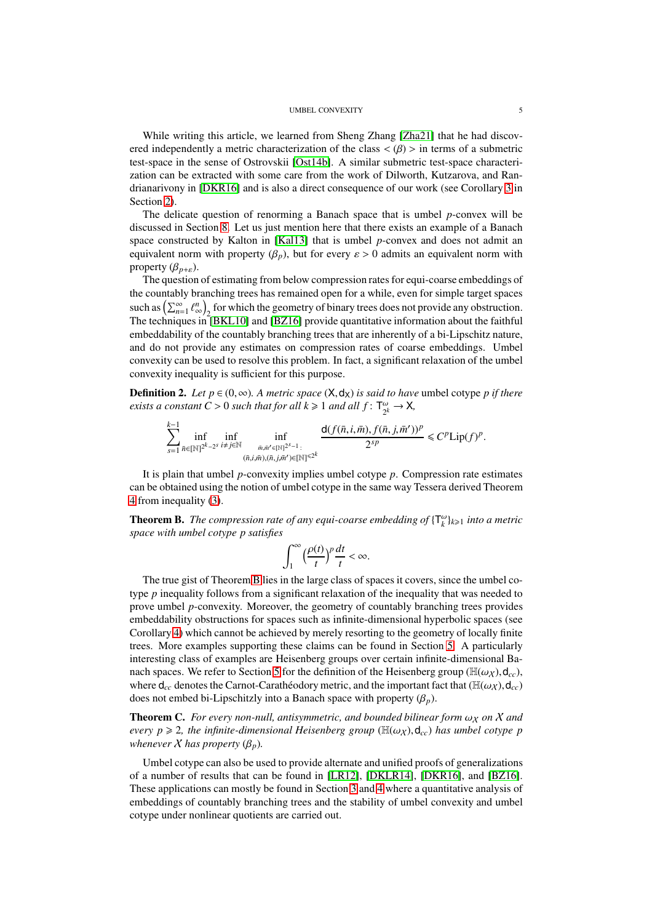#### UMBEL CONVEXITY 5

While writing this article, we learned from Sheng Zhang [\[Zha21\]](#page-42-5) that he had discovered independently a metric characterization of the class  $\langle \beta \rangle$  in terms of a submetric test-space in the sense of Ostrovskii [\[Ost14b\]](#page-42-6). A similar submetric test-space characterization can be extracted with some care from the work of Dilworth, Kutzarova, and Randrianarivony in [\[DKR16\]](#page-41-10) and is also a direct consequence of our work (see Corollary [3](#page-12-1) in Section [2\)](#page-5-0).

The delicate question of renorming a Banach space that is umbel *p*-convex will be discussed in Section [8.](#page-39-0) Let us just mention here that there exists an example of a Banach space constructed by Kalton in [\[Kal13\]](#page-41-11) that is umbel *p*-convex and does not admit an equivalent norm with property ( $\beta_p$ ), but for every  $\varepsilon > 0$  admits an equivalent norm with property  $(\beta_{p+\varepsilon})$ .

The question of estimating from below compression rates for equi-coarse embeddings of the countably branching trees has remained open for a while, even for simple target spaces such as  $\left(\sum_{n=1}^{\infty} \ell_{\infty}^n\right)$  $\binom{n}{\infty}_2$  for which the geometry of binary trees does not provide any obstruction. The techniques in [\[BKL10\]](#page-40-3) and [\[BZ16\]](#page-41-12) provide quantitative information about the faithful embeddability of the countably branching trees that are inherently of a bi-Lipschitz nature, and do not provide any estimates on compression rates of coarse embeddings. Umbel convexity can be used to resolve this problem. In fact, a significant relaxation of the umbel convexity inequality is sufficient for this purpose.

<span id="page-4-1"></span>**Definition 2.** *Let*  $p \in (0, \infty)$ *. A metric space*  $(X, d_X)$  *is said to have* umbel cotype *p if there exists a constant*  $C > 0$  *such that for all k*  $\geq 1$  *and all f* :  $\mathsf{T}_{\gamma}^{\omega}$  $\frac{\omega}{2^k} \to X$ ,

$$
\sum_{s=1}^{k-1} \inf_{\bar{n}\in[\mathbb{N}]^{2^k-2^s}} \inf_{\substack{i\neq j\in\mathbb{N}\\ (\bar{n},i,\bar{m}), (\bar{n},j,\bar{m}')\in[\mathbb{N}]^{\leq 2^k}}} \inf_{\substack{\mathsf{d}(f(\bar{n},i,\bar{m}), f(\bar{n},j,\bar{m}'))^p\\ 2^{sp}}} \leq C^p \mathrm{Lip}(f)^p.
$$

It is plain that umbel *p*-convexity implies umbel cotype *p*. Compression rate estimates can be obtained using the notion of umbel cotype in the same way Tessera derived Theorem [4](#page-2-0) from inequality [\(3\)](#page-2-1).

<span id="page-4-0"></span>**Theorem B.** The compression rate of any equi-coarse embedding of  $\{\mathsf{T}_{k}^{\omega}\}_{k\geq 1}$  into a metric *space with umbel cotype p satisfies*

$$
\int_1^\infty \Big(\frac{\rho(t)}{t}\Big)^p\frac{dt}{t}<\infty.
$$

The true gist of Theorem [B](#page-4-0) lies in the large class of spaces it covers, since the umbel cotype *p* inequality follows from a significant relaxation of the inequality that was needed to prove umbel *p*-convexity. Moreover, the geometry of countably branching trees provides embeddability obstructions for spaces such as infinite-dimensional hyperbolic spaces (see Corollary [4\)](#page-14-0) which cannot be achieved by merely resorting to the geometry of locally finite trees. More examples supporting these claims can be found in Section [5.](#page-21-0) A particularly interesting class of examples are Heisenberg groups over certain infinite-dimensional Ba-nach spaces. We refer to Section [5](#page-21-0) for the definition of the Heisenberg group ( $\mathbb{H}(\omega_X)$ ,  $d_{cc}$ ), where  $d_{cc}$  denotes the Carnot-Carathéodory metric, and the important fact that ( $\mathbb{H}(\omega_X)$ ,  $d_{cc}$ ) does not embed bi-Lipschitzly into a Banach space with property  $(\beta_p)$ .

<span id="page-4-2"></span>**Theorem C.** *For every non-null, antisymmetric, and bounded bilinear form*  $\omega_X$  *on*  $X$  *and every p*  $\geq$  2*, the infinite-dimensional Heisenberg group* ( $\mathbb{H}(\omega_X)$ , d<sub>cc</sub>) *has umbel cotype p whenever*  $X$  *has property*  $(\beta_p)$ *.* 

Umbel cotype can also be used to provide alternate and unified proofs of generalizations of a number of results that can be found in [\[LR12\]](#page-41-13), [\[DKLR14\]](#page-41-14), [\[DKR16\]](#page-41-10), and [\[BZ16\]](#page-41-12). These applications can mostly be found in Section [3](#page-12-0) and [4](#page-16-0) where a quantitative analysis of embeddings of countably branching trees and the stability of umbel convexity and umbel cotype under nonlinear quotients are carried out.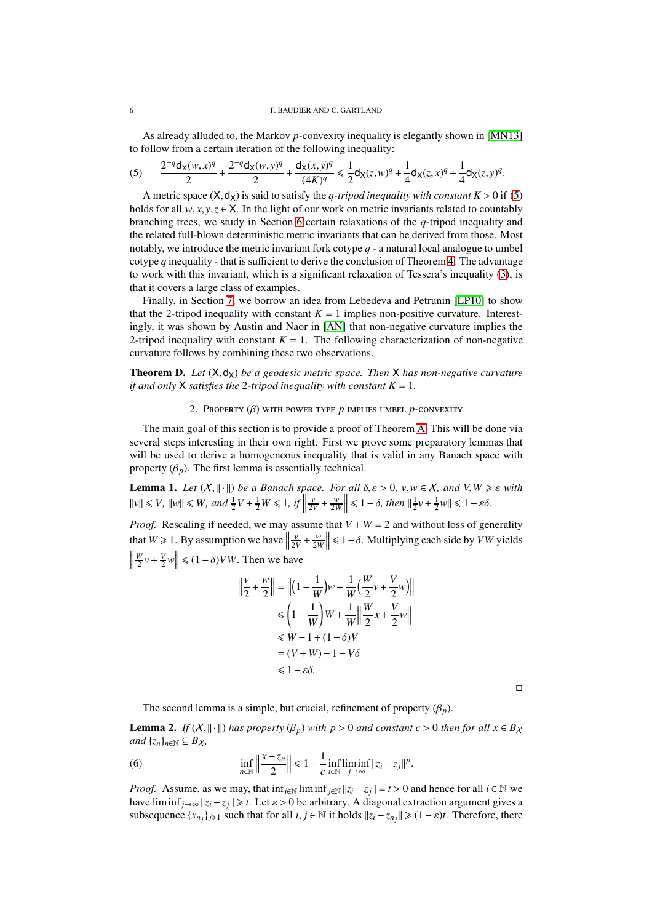As already alluded to, the Markov *p*-convexity inequality is elegantly shown in [\[MN13\]](#page-41-4) to follow from a certain iteration of the following inequality:

<span id="page-5-1"></span>
$$
(5) \qquad \frac{2^{-q}d_{X}(w,x)^{q}}{2}+\frac{2^{-q}d_{X}(w,y)^{q}}{2}+\frac{d_{X}(x,y)^{q}}{(4K)^{q}}\leq \frac{1}{2}d_{X}(z,w)^{q}+\frac{1}{4}d_{X}(z,x)^{q}+\frac{1}{4}d_{X}(z,y)^{q}.
$$

A metric space  $(X, d_X)$  is said to satisfy the *q-tripod inequality with constant K* > 0 if [\(5\)](#page-5-1) holds for all  $w, x, y, z \in X$ . In the light of our work on metric invariants related to countably branching trees, we study in Section [6](#page-26-0) certain relaxations of the *q*-tripod inequality and the related full-blown deterministic metric invariants that can be derived from those. Most notably, we introduce the metric invariant fork cotype *q* - a natural local analogue to umbel cotype *q* inequality - that is sufficient to derive the conclusion of Theorem [4.](#page-2-0) The advantage to work with this invariant, which is a significant relaxation of Tessera's inequality [\(3\)](#page-2-1), is that it covers a large class of examples.

Finally, in Section [7,](#page-38-0) we borrow an idea from Lebedeva and Petrunin [\[LP10\]](#page-41-15) to show that the 2-tripod inequality with constant  $K = 1$  implies non-positive curvature. Interestingly, it was shown by Austin and Naor in [\[AN\]](#page-40-5) that non-negative curvature implies the 2-tripod inequality with constant  $K = 1$ . The following characterization of non-negative curvature follows by combining these two observations.

<span id="page-5-0"></span>**Theorem D.** Let  $(X, d_X)$  be a geodesic metric space. Then X has non-negative curvature *if and only*  $X$  *satisfies the* 2-tripod *inequality with constant*  $K = 1$ *.* 

### 2. Property (β) with power type *p* implies umbel *p*-convexity

The main goal of this section is to provide a proof of Theorem [A.](#page-3-0) This will be done via several steps interesting in their own right. First we prove some preparatory lemmas that will be used to derive a homogeneous inequality that is valid in any Banach space with property  $(\beta_p)$ . The first lemma is essentially technical.

<span id="page-5-2"></span>**Lemma 1.** *Let*  $(X, \|\cdot\|)$  *be a Banach space. For all*  $\delta, \varepsilon > 0$ ,  $v, w \in X$ , and  $V, W \geq \varepsilon$  with  $||v|| \le V$ ,  $||w|| \le W$ , and  $\frac{1}{2}V + \frac{1}{2}W \le 1$ , if  $||v|| \le V$  $\left|\frac{v}{2V} + \frac{w}{2W}\right| \leq 1 - \delta$ , then  $\left|\frac{1}{2}v + \frac{1}{2}w\right| \leq 1 - \varepsilon\delta$ .

*Proof.* Rescaling if needed, we may assume that  $V + W = 2$  and without loss of generality that  $W \ge 1$ . By assumption we have  $\frac{v}{2V} + \frac{w}{2W}$  ≤ 1−δ. Multiplying each side by *VW* yields  $\left\| \frac{W}{2}v + \frac{V}{2}w \right\| \leq (1 - \delta)VW$ . Then we have

$$
\left\| \frac{v}{2} + \frac{w}{2} \right\| = \left\| \left( 1 - \frac{1}{W} \right) w + \frac{1}{W} \left( \frac{W}{2} v + \frac{V}{2} w \right) \right\|
$$
  
\n
$$
\leq \left( 1 - \frac{1}{W} \right) W + \frac{1}{W} \left\| \frac{W}{2} x + \frac{V}{2} w \right\|
$$
  
\n
$$
\leq W - 1 + (1 - \delta) V
$$
  
\n
$$
= (V + W) - 1 - V\delta
$$
  
\n
$$
\leq 1 - \varepsilon \delta.
$$

 $\Box$ 

The second lemma is a simple, but crucial, refinement of property  $(\beta_n)$ .

<span id="page-5-3"></span>**Lemma 2.** *If*  $(X, \|\cdot\|)$  *has property*  $(\beta_p)$  *with*  $p > 0$  *and constant c* > 0 *then for all*  $x \in B_X$ *and*  $\{z_n\}_{n\in\mathbb{N}} \subseteq B_X$ ,

(6) 
$$
\inf_{n \in \mathbb{N}} \left\| \frac{x - z_n}{2} \right\| \le 1 - \frac{1}{c} \inf_{i \in \mathbb{N}} \liminf_{j \to \infty} ||z_i - z_j||^p.
$$

*Proof.* Assume, as we may, that  $\inf_{i \in \mathbb{N}} \liminf_{j \in \mathbb{N}} ||z_i - z_j|| = t > 0$  and hence for all  $i \in \mathbb{N}$  we have liminf<sub> $j\rightarrow\infty$ </sub>  $||z_i - z_j|| \ge t$ . Let  $\varepsilon > 0$  be arbitrary. A diagonal extraction argument gives a subsequence  $\{x_{n_j}\}_{j\geq 1}$  such that for all  $i, j \in \mathbb{N}$  it holds  $||z_i - z_{n_j}|| \geq (1 - \varepsilon)t$ . Therefore, there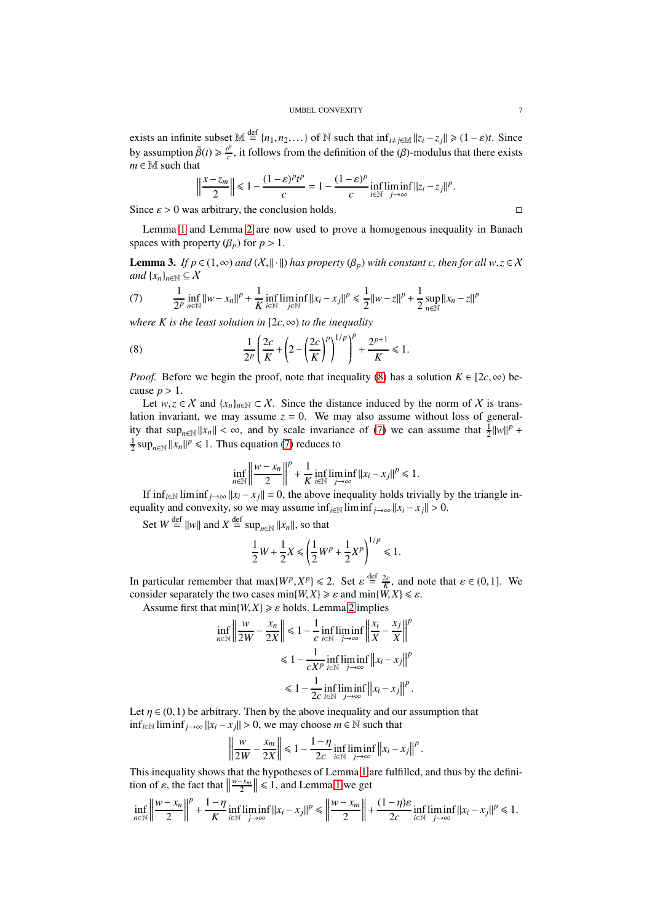exists an infinite subset  $M \stackrel{\text{def}}{=} \{n_1, n_2, \ldots\}$  of N such that  $\inf_{i \neq j \in M} ||z_i - z_j|| \geq (1 - \varepsilon)t$ . Since by assumption  $\bar{\beta}(t) \geq \frac{t^p}{c}$  $\frac{\partial p}{\partial c}$ , it follows from the definition of the (β)-modulus that there exists  $m \in \mathbb{M}$  such that

$$
\left\|\frac{x-z_m}{2}\right\| \leq 1 - \frac{(1-\varepsilon)^p t^p}{c} = 1 - \frac{(1-\varepsilon)^p}{c} \inf_{i \in \mathbb{N}} \liminf_{j \to \infty} ||z_i - z_j||^p.
$$

Since  $\varepsilon > 0$  was arbitrary, the conclusion holds.

Lemma [1](#page-5-2) and Lemma [2](#page-5-3) are now used to prove a homogenous inequality in Banach spaces with property  $(\beta_p)$  for  $p > 1$ .

<span id="page-6-2"></span>**Lemma 3.** *If*  $p \in (1, \infty)$  *and*  $(X, \|\cdot\|)$  *has property*  $(\beta_p)$  *with constant c, then for all*  $w, z \in X$ *and*  $\{x_n\}_{n\in\mathbb{N}} \subseteq \mathcal{X}$ 

<span id="page-6-1"></span>(7) 
$$
\frac{1}{2^p} \inf_{n \in \mathbb{N}} ||w - x_n||^p + \frac{1}{K} \inf_{i \in \mathbb{N}} \liminf_{j \in \mathbb{N}} ||x_i - x_j||^p \le \frac{1}{2} ||w - z||^p + \frac{1}{2} \sup_{n \in \mathbb{N}} ||x_n - z||^p
$$

*where K is the least solution in*  $[2c, \infty)$  *to the inequality* 

<span id="page-6-0"></span>(8) 
$$
\frac{1}{2^p} \left( \frac{2c}{K} + \left( 2 - \left( \frac{2c}{K} \right)^p \right)^{1/p} \right)^p + \frac{2^{p+1}}{K} \le 1.
$$

*Proof.* Before we begin the proof, note that inequality [\(8\)](#page-6-0) has a solution  $K \in [2c, \infty)$  because  $p > 1$ .

Let  $w, z \in X$  and  $\{x_n\}_{n \in \mathbb{N}} \subset X$ . Since the distance induced by the norm of X is translation invariant, we may assume  $z = 0$ . We may also assume without loss of generality that  $\sup_{n\in\mathbb{N}}||x_n|| < \infty$ , and by scale invariance of [\(7\)](#page-6-1) we can assume that  $\frac{1}{2}||w||^p +$  $\frac{1}{2}$  sup<sub>*n*∈N</sub>  $||x_n||^p \le 1$ . Thus equation [\(7\)](#page-6-1) reduces to

$$
\inf_{n\in\mathbb{N}}\left\|\frac{w-x_n}{2}\right\|^p+\frac{1}{K}\inf_{i\in\mathbb{N}}\liminf_{j\to\infty}\left\|x_i-x_j\right\|^p\leq 1.
$$

If  $\inf_{i \in \mathbb{N}} \liminf_{j \to \infty} ||x_i - x_j|| = 0$ , the above inequality holds trivially by the triangle inequality and convexity, so we may assume inf<sub>*i*∈N</sub> liminf<sub>*j*→∞  $||x_i - x_j|| > 0$ .</sub>

Set  $W \stackrel{\text{def}}{=} ||w||$  and  $X \stackrel{\text{def}}{=} \sup_{n \in \mathbb{N}} ||x_n||$ , so that

$$
\frac{1}{2}W + \frac{1}{2}X \le \left(\frac{1}{2}W^p + \frac{1}{2}X^p\right)^{1/p} \le 1.
$$

In particular remember that  $\max\{W^p, X^p\} \le 2$ . Set  $\varepsilon \stackrel{\text{def}}{=} \frac{2\varepsilon}{K}$ , and note that  $\varepsilon \in (0,1]$ . We consider separately the two cases min $\{W, X\} \geq \varepsilon$  and min $\{\tilde{W}, X\} \leq \varepsilon$ .

Assume first that  $min{W, X} \ge \varepsilon$  holds. Lemma [2](#page-5-3) implies

$$
\inf_{n \in \mathbb{N}} \left\| \frac{w}{2W} - \frac{x_n}{2X} \right\| \le 1 - \frac{1}{c} \inf_{i \in \mathbb{N}} \liminf_{j \to \infty} \left\| \frac{x_i}{X} - \frac{x_j}{X} \right\|^p
$$
  

$$
\le 1 - \frac{1}{cX^p} \inf_{i \in \mathbb{N}} \liminf_{j \to \infty} \left\| x_i - x_j \right\|^p
$$
  

$$
\le 1 - \frac{1}{2c} \inf_{i \in \mathbb{N}} \liminf_{j \to \infty} \left\| x_i - x_j \right\|^p.
$$

Let  $\eta \in (0,1)$  be arbitrary. Then by the above inequality and our assumption that inf<sub>*i*∈N</sub> liminf<sub>*j*→∞</sub>  $||x_i - x_j|| > 0$ , we may choose *m* ∈ N such that

$$
\left\|\frac{w}{2W}-\frac{x_m}{2X}\right\| \leq 1-\frac{1-\eta}{2c}\inf_{i\in\mathbb{N}}\liminf_{j\to\infty}\left\|x_i-x_j\right\|^p.
$$

This inequality shows that the hypotheses of Lemma [1](#page-5-2) are fulfilled, and thus by the definition of  $\varepsilon$ , the fact that  $\parallel$  $\left\|\frac{w-x_m}{2}\right\| \leq 1$  $\left\|\frac{w-x_m}{2}\right\| \leq 1$ , and Lemma 1 we get

$$
\inf_{n\in\mathbb{N}}\left\|\frac{w-x_n}{2}\right\|^p+\frac{1-\eta}{K}\inf_{i\in\mathbb{N}}\liminf_{j\to\infty}\|x_i-x_j\|^p\leq \left\|\frac{w-x_m}{2}\right\|+\frac{(1-\eta)\varepsilon}{2c}\inf_{i\in\mathbb{N}}\liminf_{j\to\infty}\|x_i-x_j\|^p\leq 1.
$$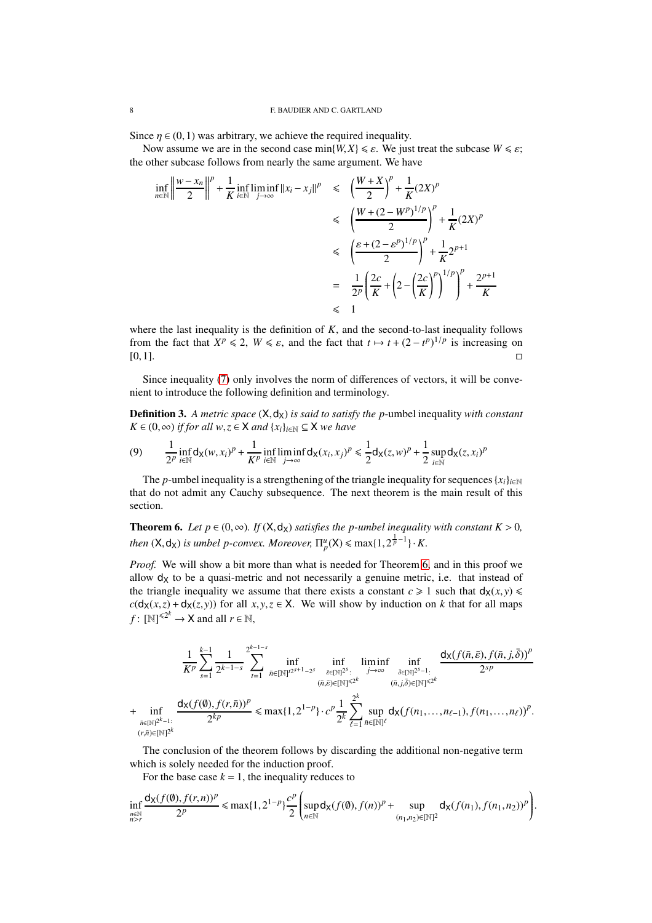Since  $\eta \in (0,1)$  was arbitrary, we achieve the required inequality.

Now assume we are in the second case min $\{W, X\} \le \varepsilon$ . We just treat the subcase  $W \le \varepsilon$ ; the other subcase follows from nearly the same argument. We have

$$
\inf_{n \in \mathbb{N}} \left\| \frac{w - x_n}{2} \right\|^p + \frac{1}{K} \inf_{i \in \mathbb{N}} \liminf_{j \to \infty} ||x_i - x_j||^p \le \left( \frac{W + X}{2} \right)^p + \frac{1}{K} (2X)^p
$$
  

$$
\le \left( \frac{W + (2 - W^p)^{1/p}}{2} \right)^p + \frac{1}{K} (2X)^p
$$
  

$$
\le \left( \frac{\varepsilon + (2 - \varepsilon^p)^{1/p}}{2} \right)^p + \frac{1}{K} 2^{p+1}
$$
  

$$
= \frac{1}{2^p} \left( \frac{2c}{K} + \left( 2 - \left( \frac{2c}{K} \right)^p \right)^{1/p} \right)^p + \frac{2^{p+1}}{K}
$$
  

$$
\le 1
$$

where the last inequality is the definition of  $K$ , and the second-to-last inequality follows from the fact that  $X^p \le 2$ ,  $W \le \varepsilon$ , and the fact that  $t \mapsto t + (2 - t^p)^{1/p}$  is increasing on  $[0,1].$ 

Since inequality [\(7\)](#page-6-1) only involves the norm of differences of vectors, it will be convenient to introduce the following definition and terminology.

**Definition 3.** A metric space  $(X, d_X)$  is said to satisfy the p-umbel inequality with constant *K* ∈ (0, ∞) *if for all*  $w, z \in X$  *and*  $\{x_i\}_{i \in \mathbb{N}} \subseteq X$  *we have* 

<span id="page-7-1"></span>(9) 
$$
\frac{1}{2^p} \inf_{i \in \mathbb{N}} d_{\mathsf{X}}(w, x_i)^p + \frac{1}{K^p} \inf_{i \in \mathbb{N}} \liminf_{j \to \infty} d_{\mathsf{X}}(x_i, x_j)^p \leq \frac{1}{2} d_{\mathsf{X}}(z, w)^p + \frac{1}{2} \sup_{i \in \mathbb{N}} d_{\mathsf{X}}(z, x_i)^p
$$

The *p*-umbel inequality is a strengthening of the triangle inequality for sequences  ${x_i}_{i \in \mathbb{N}}$ that do not admit any Cauchy subsequence. The next theorem is the main result of this section.

<span id="page-7-0"></span>**Theorem 6.** *Let*  $p \in (0, \infty)$ *. If*  $(X, d_X)$  *satisfies the p-umbel inequality with constant*  $K > 0$ *, then*  $(X, d_X)$  *is umbel p-convex. Moreover*,  $\Pi_p^u(X) \leq \max\{1, 2^{\frac{1}{p}-1}\} \cdot K$ .

*Proof.* We will show a bit more than what is needed for Theorem [6,](#page-7-0) and in this proof we allow  $d<sub>X</sub>$  to be a quasi-metric and not necessarily a genuine metric, i.e. that instead of the triangle inequality we assume that there exists a constant  $c \ge 1$  such that  $d_X(x, y) \le$  $c$ ( $d$ <sub>X</sub>(*x*,*z*) +  $d$ <sub>X</sub>(*z*, *y*)) for all *x*, *y*,*z* ∈ X. We will show by induction on *k* that for all maps  $f: [\mathbb{N}]^{\leq 2^k} \to \mathsf{X}$  and all  $r \in \mathbb{N}$ ,

$$
\frac{1}{K^{p}}\sum_{s=1}^{k-1} \frac{1}{2^{k-1-s}}\sum_{t=1}^{2^{k-1-s}} \inf_{\bar{n}\in[\mathbb{N}]^{2^{s+1}-2^{s}}}\inf_{\substack{\bar{\varepsilon}\in[\mathbb{N}]^{2^{s}}:\\(\bar{n},\bar{\varepsilon})\in[\mathbb{N}]^{<2^{k}}\\(\bar{n},\bar{\varepsilon})\in[\mathbb{N}]^{s}}}\liminf_{\substack{\bar{\varepsilon}\in[\mathbb{N}]^{2^{s}}:\\(\bar{n},\bar{j})\in[\mathbb{N}]^{<2^{k}}\\(\bar{n},\bar{j})\in[\mathbb{N}]^{<2^{k}}}}\frac{d_{X}(f(\bar{n},\bar{\varepsilon}),f(\bar{n},j,\bar{\delta}))^{p}}{2^{sp}}\\+\inf_{(r,\bar{n})\in[\mathbb{N}]^{2^{k}-1}}\frac{d_{X}(f(\emptyset),f(r,\bar{n}))^{p}}{2^{kp}}\leq \max\{1,2^{1-p}\}\cdot c^{p}\frac{1}{2^{k}}\sum_{\ell=1}^{2^{k}}\sup_{\bar{n}\in[\mathbb{N}]^{\ell}}d_{X}(f(n_{1},\ldots,n_{\ell-1}),f(n_{1},\ldots,n_{\ell}))^{p}.
$$

The conclusion of the theorem follows by discarding the additional non-negative term which is solely needed for the induction proof.

For the base case  $k = 1$ , the inequality reduces to

$$
\inf_{\substack{n\in\mathbb{N}\\n>r}}\frac{d_{\mathsf{X}}(f(\emptyset),f(r,n))^p}{2^p}\leq \max\{1,2^{1-p}\}\frac{c^p}{2}\left(\sup_{n\in\mathbb{N}}d_{\mathsf{X}}(f(\emptyset),f(n))^p+\sup_{(n_1,n_2)\in\mathbb{N}\mathbb{N}^2}d_{\mathsf{X}}(f(n_1),f(n_1,n_2))^p\right)
$$

.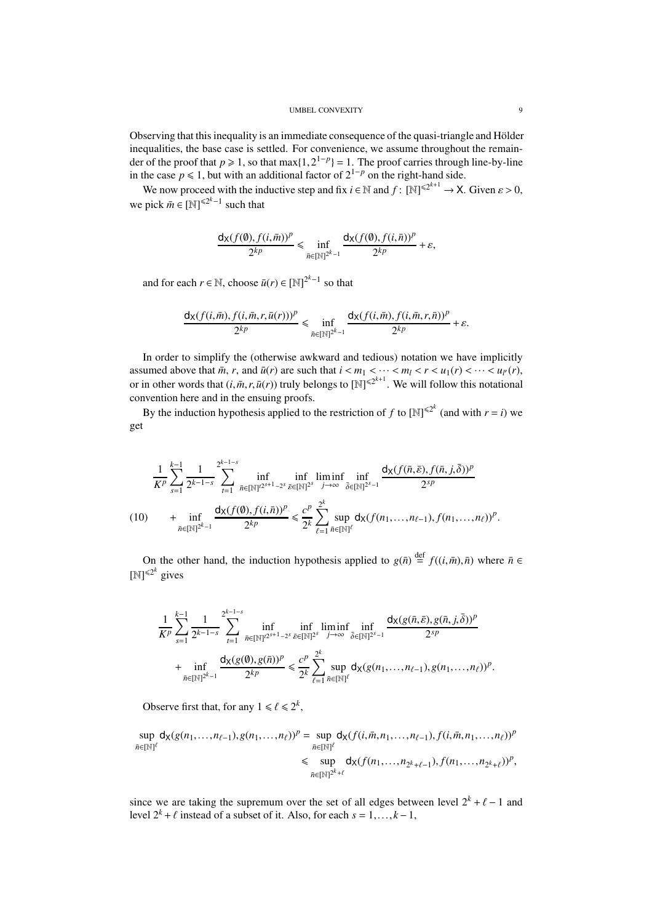Observing that this inequality is an immediate consequence of the quasi-triangle and Hölder inequalities, the base case is settled. For convenience, we assume throughout the remainder of the proof that  $p \ge 1$ , so that max $\{1, 2^{1-p}\} = 1$ . The proof carries through line-by-line in the case  $p \le 1$ , but with an additional factor of  $2^{1-p}$  on the right-hand side.

We now proceed with the inductive step and fix  $i \in \mathbb{N}$  and  $f: [\mathbb{N}]^{\le 2^{k+1}} \to X$ . Given  $\varepsilon > 0$ , we pick  $\bar{m} \in [\mathbb{N}]^{\le 2^k - 1}$  such that

$$
\frac{d_X(f(\emptyset), f(i, \bar{m}))^p}{2^{kp}} \le \inf_{\bar{n} \in [\mathbb{N}]^{2^k-1}} \frac{d_X(f(\emptyset), f(i, \bar{n}))^p}{2^{kp}} + \varepsilon,
$$

and for each  $r \in \mathbb{N}$ , choose  $\bar{u}(r) \in [\mathbb{N}]^{2^k-1}$  so that

$$
\frac{d_X(f(i,\bar m),f(i,\bar m,r,\bar u(r)))^p}{2^{kp}}\leq \inf_{\bar n\in[\mathbb N]^{2^k-1}}\frac{d_X(f(i,\bar m),f(i,\bar m,r,\bar n))^p}{2^{kp}}+\varepsilon.
$$

In order to simplify the (otherwise awkward and tedious) notation we have implicitly assumed above that  $\bar{m}$ ,  $r$ , and  $\bar{u}(r)$  are such that  $i < m_1 < \cdots < m_l < r < u_1(r) < \cdots < u_{l'}(r)$ , or in other words that  $(i, \bar{m}, r, \bar{u}(r))$  truly belongs to  $[N]^{\leq 2^{k+1}}$ . We will follow this notational convention here and in the ensuing proofs.

By the induction hypothesis applied to the restriction of *f* to  $[N]^{\leq 2^k}$  (and with  $r = i$ ) we get

$$
\frac{1}{K^{p}}\sum_{s=1}^{k-1}\frac{1}{2^{k-1-s}}\sum_{t=1}^{2^{k-1-s}}\inf_{\bar{n}\in[\mathbb{N}]^{2^{s+1}-2^{s}}}\inf_{\bar{\varepsilon}\in[\mathbb{N}]^{2^{s}}} \liminf_{j\to\infty}\inf_{\bar{\delta}\in[\mathbb{N}]^{2^{s-1}}} \frac{d_{X}(f(\bar{n},\bar{\varepsilon}),f(\bar{n},j,\bar{\delta}))^{p}}{2^{sp}}\\(10)\qquad+\inf_{\bar{n}\in[\mathbb{N}]^{2^{k}-1}}\frac{d_{X}(f(\emptyset),f(i,\bar{n}))^{p}}{2^{kp}}\leq \frac{c^{p}}{2^{k}}\sum_{\ell=1}^{2^{k}}\sup_{\bar{n}\in[\mathbb{N}]^{\ell}}d_{X}(f(n_{1},\ldots,n_{\ell-1}),f(n_{1},\ldots,n_{\ell}))^{p}.
$$

<span id="page-8-0"></span>On the other hand, the induction hypothesis applied to  $g(\bar{n}) \stackrel{\text{def}}{=} f((i, \bar{m}), \bar{n})$  where  $\bar{n} \in$  $[N]^{\leq 2^k}$  gives

$$
\frac{1}{K^{p}} \sum_{s=1}^{k-1} \frac{1}{2^{k-1-s}} \sum_{t=1}^{2^{k-1-s}} \inf_{\bar{n} \in [\mathbb{N}]^{2^{s+1}-2^{s}}}\inf_{\bar{\varepsilon} \in [\mathbb{N}]^{2^{s}}} \liminf_{j \to \infty} \inf_{\bar{\delta} \in [\mathbb{N}]^{2^{s}-1}} \frac{d_{X}(g(\bar{n}, \bar{\varepsilon}), g(\bar{n}, j, \bar{\delta}))^{p}}{2^{sp}} \n+ \inf_{\bar{n} \in [\mathbb{N}]^{2^{k}-1}} \frac{d_{X}(g(\emptyset), g(\bar{n}))^{p}}{2^{kp}} \leq \frac{c^{p}}{2^{k}} \sum_{\ell=1}^{2^{k}} \sup_{\bar{n} \in [\mathbb{N}]^{\ell}} d_{X}(g(n_{1}, \ldots, n_{\ell-1}), g(n_{1}, \ldots, n_{\ell}))^{p}
$$

Observe first that, for any  $1 \le \ell \le 2^k$ ,

$$
\sup_{\bar{n}\in[\mathbb{N}]^\ell} d_{\mathsf{X}}(g(n_1,\ldots,n_{\ell-1}),g(n_1,\ldots,n_{\ell}))^p = \sup_{\bar{n}\in[\mathbb{N}]^\ell} d_{\mathsf{X}}(f(i,\bar{m},n_1,\ldots,n_{\ell-1}),f(i,\bar{m},n_1,\ldots,n_{\ell}))^p
$$
  
\$\leq{\rm sup\ d\_{\mathsf{X}}}(f(n\_1,\ldots,n\_{2^k+\ell-1}),f(n\_1,\ldots,n\_{2^k+\ell}))^p\$,

since we are taking the supremum over the set of all edges between level  $2^k + \ell - 1$  and level  $2^k + \ell$  instead of a subset of it. Also, for each  $s = 1, \ldots, k-1$ ,

.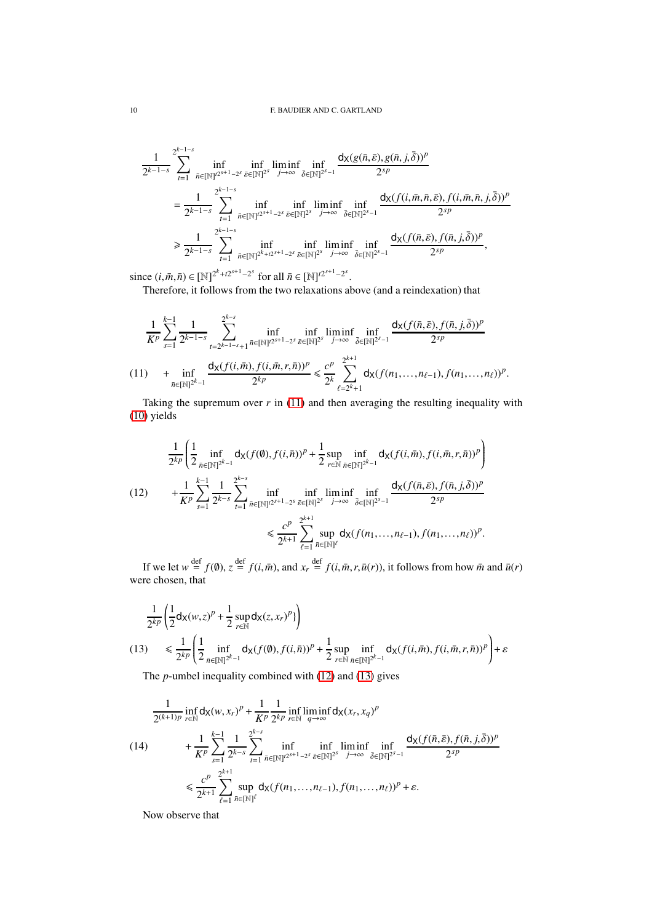$$
\frac{1}{2^{k-1-s}}\sum_{t=1}^{2^{k-1-s}}\inf_{\bar{n}\in[\mathbb{N}]^{2^{s+1}-2^{s}}}\inf_{\bar{\delta}\in[\mathbb{N}]^{2^{s}}}\liminf_{j\to\infty}\inf_{\bar{\delta}\in[\mathbb{N}]^{2^{s-1}}} \frac{d_{X}(g(\bar{n},\bar{\varepsilon}),g(\bar{n},j,\bar{\delta}))^{p}}{2^{sp}}\\=\frac{1}{2^{k-1-s}}\sum_{t=1}^{2^{k-1-s}}\inf_{\bar{n}\in[\mathbb{N}]^{2^{2s+1}-2^{s}}}\inf_{\bar{\delta}\in[\mathbb{N}]^{2^{s}}}\liminf_{j\to\infty}\inf_{\bar{\delta}\in[\mathbb{N}]^{2^{s-1}}} \frac{d_{X}(f(i,\bar{m},\bar{n},\bar{\varepsilon}),f(i,\bar{m},\bar{n},j,\bar{\delta}))^{p}}{2^{sp}}\\ \geq \frac{1}{2^{k-1-s}}\sum_{t=1}^{2^{k-1-s}}\inf_{\bar{n}\in[\mathbb{N}]^{2^{k}+t2^{s+1}-2^{s}}}\inf_{\bar{\delta}\in[\mathbb{N}]^{2^{s}}}\liminf_{j\to\infty}\inf_{\bar{\delta}\in[\mathbb{N}]^{2^{s-1}}} \frac{d_{X}(f(\bar{n},\bar{\varepsilon}),f(\bar{n},j,\bar{\delta}))^{p}}{2^{sp}},
$$

since  $(i, \bar{m}, \bar{n}) \in [\mathbb{N}]^{2^k + t2^{s+1} - 2^s}$  for all  $\bar{n} \in [\mathbb{N}]^{t2^{s+1} - 2^s}$ .

Therefore, it follows from the two relaxations above (and a reindexation) that

$$
\frac{1}{K^{p}}\sum_{s=1}^{k-1} \frac{1}{2^{k-1-s}}\sum_{t=2^{k-1-s}+1}^{2^{k-s}} \inf_{\bar{n}\in[\mathbb{N}]^{2^{s+1}-2^{s}}}\inf_{\bar{\varepsilon}\in[\mathbb{N}]^{2^{s}}}\liminf_{j\to\infty}\inf_{\bar{\delta}\in[\mathbb{N}]^{2^{s-1}}} \frac{d_{X}(f(\bar{n},\bar{\varepsilon}),f(\bar{n},j,\bar{\delta}))^{p}}{2^{sp}}
$$
  
(11) 
$$
+\inf_{\bar{n}\in[\mathbb{N}]^{2^{k}-1}} \frac{d_{X}(f(i,\bar{m}),f(i,\bar{m},r,\bar{n}))^{p}}{2^{kp}} \leq \frac{c^{p}}{2^{k}}\sum_{\ell=2^{k}+1}^{2^{k+1}} d_{X}(f(n_{1},...,n_{\ell-1}),f(n_{1},...,n_{\ell}))^{p}.
$$

<span id="page-9-0"></span>Taking the supremum over  $r$  in [\(11\)](#page-9-0) and then averaging the resulting inequality with [\(10\)](#page-8-0) yields

<span id="page-9-1"></span>
$$
\frac{1}{2^{kp}} \left( \frac{1}{2} \inf_{\bar{n} \in [\mathbb{N}]^{2^{k-1}}} d_{\mathsf{X}}(f(\emptyset), f(i, \bar{n}))^{p} + \frac{1}{2} \sup_{r \in \mathbb{N}} \inf_{\bar{n} \in [\mathbb{N}]^{2^{k-1}}} d_{\mathsf{X}}(f(i, \bar{m}), f(i, \bar{m}, r, \bar{n}))^{p} \right) \n+ \frac{1}{K^{p}} \sum_{s=1}^{k-1} \frac{1}{2^{k-s}} \sum_{t=1}^{2^{k-s}} \inf_{\bar{n} \in [\mathbb{N}]^{2^{s+1}-2^{s}} } \inf_{\bar{\delta} \in [\mathbb{N}]^{2^{s}} } \liminf_{j \to \infty} \inf_{\bar{\delta} \in [\mathbb{N}]^{2^{s-1}}} \frac{d_{\mathsf{X}}(f(\bar{n}, \bar{\varepsilon}), f(\bar{n}, j, \bar{\delta}))^{p}}{2^{sp}} \n\leq \frac{c^{p}}{2^{k+1}} \sum_{\ell=1}^{2^{k+1}} \sup_{\bar{n} \in [\mathbb{N}]^{\ell}} d_{\mathsf{X}}(f(n_{1}, \ldots, n_{\ell-1}), f(n_{1}, \ldots, n_{\ell}))^{p}.
$$

If we let  $w \stackrel{\text{def}}{=} f(\emptyset)$ ,  $z \stackrel{\text{def}}{=} f(i, \bar{m})$ , and  $x_r \stackrel{\text{def}}{=} f(i, \bar{m}, r, \bar{u}(r))$ , it follows from how  $\bar{m}$  and  $\bar{u}(r)$ were chosen, that

$$
\frac{1}{2^{kp}}\left(\frac{1}{2}\mathsf{d}_{\mathsf{X}}(w,z)^p + \frac{1}{2}\sup_{r\in\mathbb{N}}\mathsf{d}_{\mathsf{X}}(z,x_r)^p\right)
$$
\n
$$
(13) \leq \frac{1}{2^{kp}}\left(\frac{1}{2}\inf_{\bar{n}\in\mathbb{N}}\mathsf{d}_{\mathsf{X}}(f(\emptyset),f(i,\bar{n}))^p + \frac{1}{2}\sup_{r\in\mathbb{N}}\inf_{\bar{n}\in\mathbb{N}}\mathsf{d}_{\mathsf{X}}(f(i,\bar{m}),f(i,\bar{m},r,\bar{n}))^p\right) + \varepsilon
$$

<span id="page-9-2"></span>The *p*-umbel inequality combined with [\(12\)](#page-9-1) and [\(13\)](#page-9-2) gives

<span id="page-9-3"></span>
$$
\frac{1}{2^{(k+1)p}} \inf_{r \in \mathbb{N}} d_{\mathsf{X}}(w, x_r)^p + \frac{1}{K^p} \frac{1}{2^{kp}} \inf_{r \in \mathbb{N}} \liminf_{q \to \infty} d_{\mathsf{X}}(x_r, x_q)^p
$$
\n
$$
(14) \qquad + \frac{1}{K^p} \sum_{s=1}^{k-1} \frac{1}{2^{k-s}} \sum_{t=1}^{2^{k-s}} \inf_{\bar{n} \in [\mathbb{N}]^{2^{s+1}-2^s}} \inf_{\bar{\varepsilon} \in [\mathbb{N}]^{2^s}} \liminf_{j \to \infty} \inf_{\bar{\delta} \in [\mathbb{N}]^{2^{s-1}}} \frac{d_{\mathsf{X}}(f(\bar{n}, \bar{\varepsilon}), f(\bar{n}, j, \bar{\delta}))^p}{2^{sp}}
$$
\n
$$
\leq \frac{c^p}{2^{k+1}} \sum_{\ell=1}^{2^{k+1}} \sup_{\bar{n} \in [\mathbb{N}]^\ell} d_{\mathsf{X}}(f(n_1, \dots, n_{\ell-1}), f(n_1, \dots, n_\ell))^p + \varepsilon.
$$

Now observe that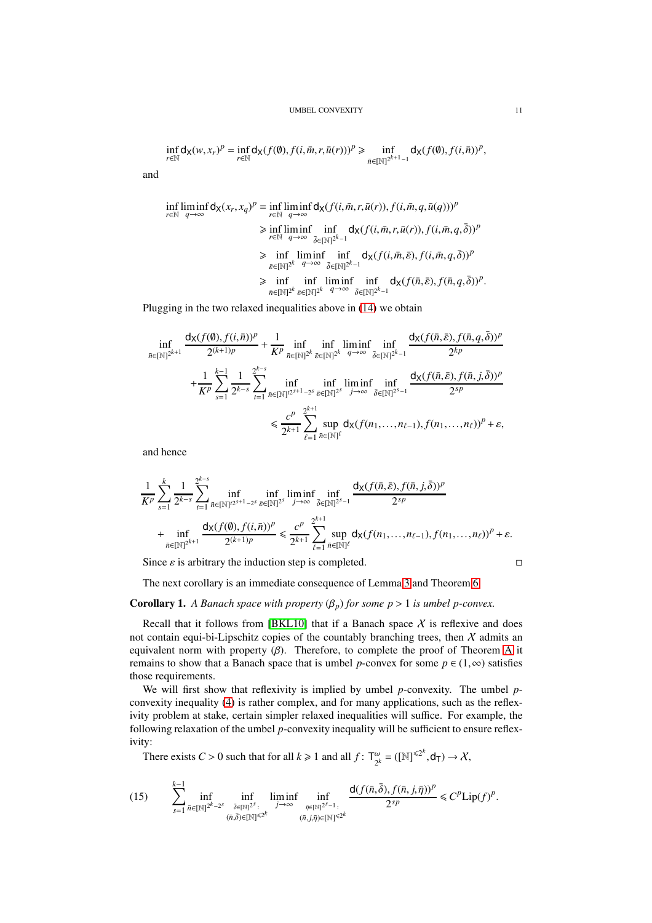$$
\inf_{r\in\mathbb{N}}\mathsf{d}_{\mathsf{X}}(w,x_r)^p=\inf_{r\in\mathbb{N}}\mathsf{d}_{\mathsf{X}}(f(\emptyset),f(i,\bar{m},r,\bar{u}(r)))^p\geq \inf_{\bar{n}\in[\mathbb{N}]^{2^{k+1}-1}}\mathsf{d}_{\mathsf{X}}(f(\emptyset),f(i,\bar{n}))^p,
$$

and

$$
\inf_{r \in \mathbb{N}} \liminf_{q \to \infty} d_{\mathsf{X}}(x_r, x_q)^p = \inf_{r \in \mathbb{N}} \liminf_{q \to \infty} d_{\mathsf{X}}(f(i, \bar{m}, r, \bar{u}(r)), f(i, \bar{m}, q, \bar{u}(q)))^p
$$
\n
$$
\geq \inf_{r \in \mathbb{N}} \liminf_{q \to \infty} \inf_{\bar{\delta} \in [\mathbb{N}]^{2^k - 1}} d_{\mathsf{X}}(f(i, \bar{m}, r, \bar{u}(r)), f(i, \bar{m}, q, \bar{\delta}))^p
$$
\n
$$
\geq \inf_{\bar{\epsilon} \in [\mathbb{N}]^{2^k}} \liminf_{q \to \infty} \inf_{\bar{\delta} \in [\mathbb{N}]^{2^{k-1}}} d_{\mathsf{X}}(f(i, \bar{m}, \bar{\epsilon}), f(i, \bar{m}, q, \bar{\delta}))^p
$$
\n
$$
\geq \inf_{\bar{n} \in [\mathbb{N}]^{2^k}} \inf_{\bar{\epsilon} \in [\mathbb{N}]^{2^k}} \liminf_{q \to \infty} \inf_{\bar{\delta} \in [\mathbb{N}]^{2^{k-1}}} d_{\mathsf{X}}(f(\bar{n}, \bar{\epsilon}), f(\bar{n}, q, \bar{\delta}))^p.
$$

Plugging in the two relaxed inequalities above in [\(14\)](#page-9-3) we obtain

$$
\inf_{\bar{n}\in[\mathbb{N}]^{2^{k+1}}}\frac{\mathsf{d} \chi(f(\emptyset),f(i,\bar{n}))^p}{2^{(k+1)p}}+\frac{1}{K^p}\inf_{\bar{n}\in[\mathbb{N}]^{2^k}}\inf_{\bar{\varepsilon}\in[\mathbb{N}]^{2^k}}\inf_{q\to\infty}\inf_{\bar{\delta}\in[\mathbb{N}]^{2^{k-1}}} \frac{\mathsf{d} \chi(f(\bar{n},\bar{\varepsilon}),f(\bar{n},q,\bar{\delta}))^p}{2^{kp}}\\+\frac{1}{K^p}\sum_{s=1}^{k-1}\frac{1}{2^{k-s}}\sum_{t=1}^{2^{k-s}}\inf_{\bar{n}\in[\mathbb{N}]^{t2^{s+1}-2^s}}\inf_{\bar{\varepsilon}\in[\mathbb{N}]^{2^s}}\liminf_{j\to\infty}\inf_{\bar{\delta}\in[\mathbb{N}]^{2^{s-1}}} \frac{\mathsf{d} \chi(f(\bar{n},\bar{\varepsilon}),f(\bar{n},j,\bar{\delta}))^p}{2^{sp}}\\ \leq\frac{c^p}{2^{k+1}}\sum_{\ell=1}^{2^{k+1}}\sup_{\bar{n}\in[\mathbb{N}]^\ell}\mathsf{d} \chi(f(n_1,\ldots,n_{\ell-1}),f(n_1,\ldots,n_\ell))^p+\varepsilon,
$$

and hence

$$
\frac{1}{K^{p}} \sum_{s=1}^{k} \frac{1}{2^{k-s}} \sum_{t=1}^{2^{k-s}} \inf_{\bar{n} \in [\mathbb{N}]^{2^{s+1}-2^{s}}}\inf_{\bar{\varepsilon} \in [\mathbb{N}]^{2^{s}}} \liminf_{j \to \infty} \inf_{\bar{\delta} \in [\mathbb{N}]^{2^{s-1}}} \frac{d_{\mathsf{X}}(f(\bar{n},\bar{\varepsilon}), f(\bar{n},j,\bar{\delta}))^{p}}{2^{sp}} \n+ \inf_{\bar{n} \in [\mathbb{N}]^{2^{k+1}}} \frac{d_{\mathsf{X}}(f(\emptyset), f(i,\bar{n}))^{p}}{2^{(k+1)p}} \leq \frac{c^{p}}{2^{k+1}} \sum_{\ell=1}^{2^{k+1}} \sup_{\bar{n} \in [\mathbb{N}]^{\ell}} d_{\mathsf{X}}(f(n_{1},\ldots,n_{\ell-1}), f(n_{1},\ldots,n_{\ell}))^{p} + \varepsilon.
$$

Since  $\varepsilon$  is arbitrary the induction step is completed.  $\square$ 

The next corollary is an immediate consequence of Lemma [3](#page-6-2) and Theorem [6.](#page-7-0)

# <span id="page-10-0"></span>**Corollary 1.** *A Banach space with property*  $(\beta_p)$  *for some p* > 1 *is umbel p-convex.*

Recall that it follows from [\[BKL10\]](#page-40-3) that if a Banach space  $X$  is reflexive and does not contain equi-bi-Lipschitz copies of the countably branching trees, then  $X$  admits an equivalent norm with property  $(\beta)$ . Therefore, to complete the proof of Theorem [A](#page-3-0) it remains to show that a Banach space that is umbel *p*-convex for some  $p \in (1, \infty)$  satisfies those requirements.

We will first show that reflexivity is implied by umbel *p*-convexity. The umbel *p*convexity inequality [\(4\)](#page-2-2) is rather complex, and for many applications, such as the reflexivity problem at stake, certain simpler relaxed inequalities will suffice. For example, the following relaxation of the umbel *p*-convexity inequality will be sufficient to ensure reflexivity:

There exists  $C > 0$  such that for all  $k \ge 1$  and all  $f: T_{\gamma k}^{\omega}$  $\omega_2^{\omega} = ([\mathbb{N}]^{\leq 2^k}, \mathsf{d}_{\mathsf{T}}) \rightarrow \mathcal{X},$ 

<span id="page-10-1"></span>
$$
(15) \qquad \sum_{s=1}^{k-1} \inf_{\bar{n}\in[\mathbb{N}]^{2^k-2^s}} \inf_{\substack{\bar{\delta}\in[\mathbb{N}]^{2^s}:\\(\bar{n},\bar{\delta})\in[\mathbb{N}]^{\leq 2^k}}} \liminf_{\substack{\bar{n}\in[\mathbb{N}]^{2^s-1}:\\(\bar{n},\bar{j},\bar{\eta})\in[\mathbb{N}]^{\leq 2^k}}} \frac{\mathrm{d}(f(\bar{n},\bar{\delta}),f(\bar{n},j,\bar{\eta}))^p}{2^{sp}} \leq C^p \mathrm{Lip}(f)^p.
$$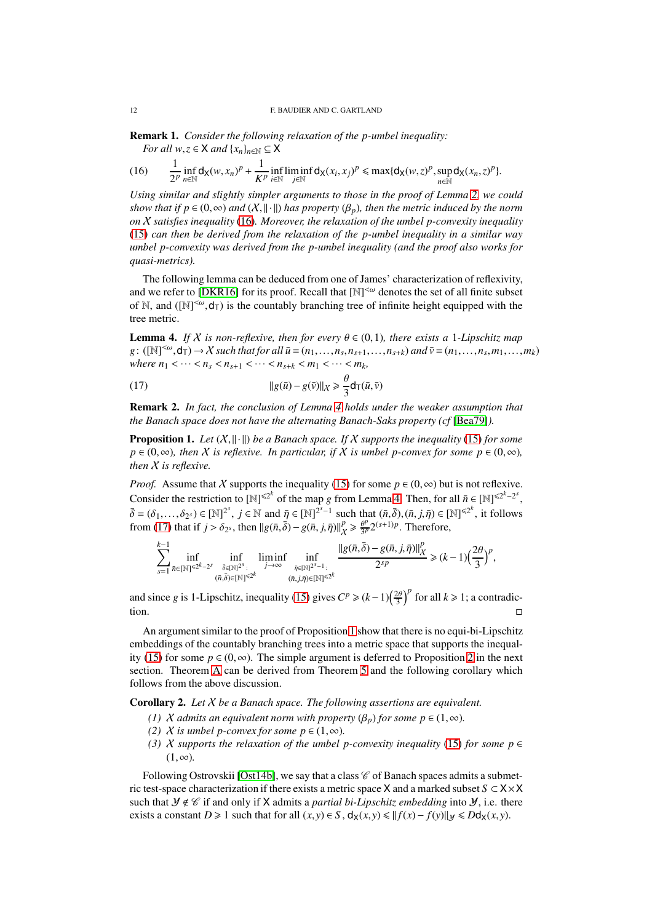<span id="page-11-5"></span>Remark 1. *Consider the following relaxation of the p-umbel inequality: For all*  $w, z \in X$  *and*  $\{x_n\}_{n \in \mathbb{N}} \subseteq X$ 

<span id="page-11-0"></span>(16) 
$$
\frac{1}{2^p}\inf_{n\in\mathbb{N}}d_X(w,x_n)^p+\frac{1}{K^p}\inf_{i\in\mathbb{N}}\liminf_{j\in\mathbb{N}}d_X(x_i,x_j)^p\leq \max\{d_X(w,z)^p,\sup_{n\in\mathbb{N}}d_X(x_n,z)^p\}.
$$

*Using similar and slightly simpler arguments to those in the proof of Lemma [2,](#page-5-3) we could show that if p* ∈  $(0, \infty)$  *and*  $(X, \|\cdot\|)$  *has property*  $(\beta_n)$ *, then the metric induced by the norm on* X *satisfies inequality* [\(16\)](#page-11-0)*. Moreover, the relaxation of the umbel p-convexity inequality* [\(15\)](#page-10-1) *can then be derived from the relaxation of the p-umbel inequality in a similar way umbel p-convexity was derived from the p-umbel inequality (and the proof also works for quasi-metrics).*

The following lemma can be deduced from one of James' characterization of reflexivity, and we refer to [\[DKR16\]](#page-41-10) for its proof. Recall that  $[N]^{<\omega}$  denotes the set of all finite subset of N, and  $([N]^{\leq \omega}, d_T)$  is the countably branching tree of infinite height equipped with the tree metric.

<span id="page-11-1"></span>**Lemma 4.** *If* X *is non-reflexive, then for every*  $\theta \in (0,1)$ *, there exists a* 1*-Lipschitz map*  $g: ([\mathbb{N}]^{<\omega}, \mathsf{d}_{\mathsf{T}}) \to \mathcal{X}$  such that for all  $\bar{u} = (n_1, \ldots, n_s, n_{s+1}, \ldots, n_{s+k})$  and  $\bar{v} = (n_1, \ldots, n_s, m_1, \ldots, m_k)$ *where*  $n_1 < \cdots < n_s < n_{s+1} < \cdots < n_{s+k} < m_1 < \cdots < m_k$ ,

<span id="page-11-2"></span>(17) 
$$
||g(\bar{u}) - g(\bar{v})||_{X} \ge \frac{\theta}{3} d_{\mathsf{T}}(\bar{u}, \bar{v})
$$

Remark 2. *In fact, the conclusion of Lemma [4](#page-11-1) holds under the weaker assumption that the Banach space does not have the alternating Banach-Saks property (cf* [\[Bea79\]](#page-40-6)*).*

<span id="page-11-3"></span>**Proposition 1.** Let  $(X, \|\cdot\|)$  be a Banach space. If X supports the inequality [\(15\)](#page-10-1) for some  $p \in (0, \infty)$ *, then* X *is reflexive. In particular, if* X *is umbel p-convex for some*  $p \in (0, \infty)$ *, then* X *is reflexive.*

*Proof.* Assume that X supports the inequality [\(15\)](#page-10-1) for some  $p \in (0, \infty)$  but is not reflexive. Consider the restriction to  $[N]^{\leq 2^k}$  of the map *g* from Lemma [4.](#page-11-1) Then, for all  $\bar{n} \in [N]^{\leq 2^k - 2^s}$ ,  $\bar{\delta} = (\delta_1, \ldots, \delta_{2^s}) \in [\mathbb{N}]^{2^s}, j \in \mathbb{N}$  and  $\bar{\eta} \in [\mathbb{N}]^{2^s-1}$  such that  $(\bar{n}, \bar{\delta}), (\bar{n}, j, \bar{\eta}) \in [\mathbb{N}]^{2^s}$ , it follows from [\(17\)](#page-11-2) that if  $j > \delta_{2^s}$ , then  $\|g(\bar{n},\bar{\delta}) - g(\bar{n},j,\bar{\eta})\|^p_{\chi}$  $\frac{p}{\chi} \geqslant \frac{\theta^p}{3^p}$  $\frac{\theta^p}{3^p} 2^{(s+1)p}$ . Therefore,

$$
\sum_{s=1}^{k-1}\inf_{\bar{n}\in[\mathbb{N}]^{\leq 2^k-2^s}}\inf_{\substack{\bar{\delta}\in[\mathbb{N}]^{2^s}:\\\bar{n},\bar{\delta}\supseteq[\mathbb{N}]^{\leq 2^k}}} \liminf_{j\to\infty}\inf_{\substack{\bar{\eta}\in[\mathbb{N}]^{2^s-1}:\\\bar{(n},j,\bar{\eta})\in[\mathbb{N}]^{\leq 2^k}}} \frac{\left|\left|g(\bar{n},\bar{\delta})-g(\bar{n},j,\bar{\eta})\right|\right|^p_X}{2^{sp}}\geq (k-1)\Big(\frac{2\theta}{3}\Big)^p,
$$

and since *g* is 1-Lipschitz, inequality [\(15\)](#page-10-1) gives  $C^p \ge (k-1)\left(\frac{2\theta}{3}\right)^p$  for all  $k \ge 1$ ; a contradiction.

An argument similar to the proof of Proposition [1](#page-11-3) show that there is no equi-bi-Lipschitz embeddings of the countably branching trees into a metric space that supports the inequal-ity [\(15\)](#page-10-1) for some  $p \in (0, \infty)$ . The simple argument is deferred to Proposition [2](#page-13-0) in the next section. Theorem [A](#page-3-0) can be derived from Theorem [5](#page-3-1) and the following corollary which follows from the above discussion.

<span id="page-11-4"></span>Corollary 2. *Let* X *be a Banach space. The following assertions are equivalent.*

- *(1) X admits an equivalent norm with property*  $(\beta_p)$  *for some*  $p \in (1, \infty)$ *.*
- *(2) X is umbel p-convex for some p* ∈  $(1, ∞)$ *.*
- *(3)* X supports the relaxation of the umbel p-convexity inequality [\(15\)](#page-10-1) for some  $p \in$ (1,∞)*.*

Following Ostrovskii [\[Ost14b\]](#page-42-6), we say that a class  $\mathscr C$  of Banach spaces admits a submetric test-space characterization if there exists a metric space X and a marked subset *S* ⊂ X×X such that  $\mathcal{Y} \notin \mathcal{C}$  if and only if X admits a *partial bi-Lipschitz embedding* into  $\mathcal{Y}$ , i.e. there exists a constant *D* ≥ 1 such that for all  $(x, y) \in S$ ,  $d_X(x, y) \le ||f(x) - f(y)||_Y \le Dd_X(x, y)$ .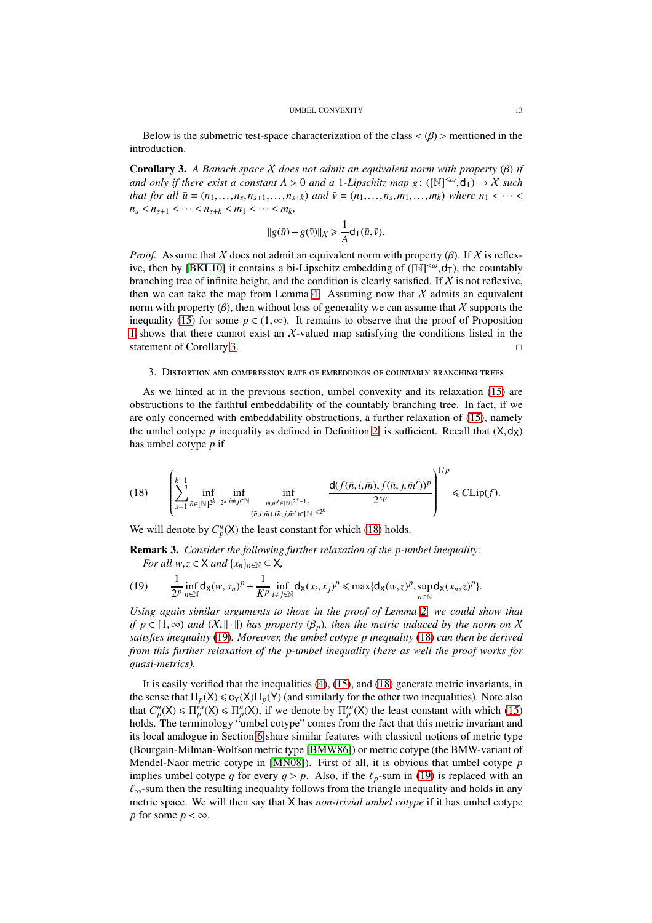Below is the submetric test-space characterization of the class  $\langle \beta \rangle$  > mentioned in the introduction.

<span id="page-12-1"></span>Corollary 3. *A Banach space* X *does not admit an equivalent norm with property* (β) *if and only if there exist a constant A* > 0 *and a* 1-*Lipschitz map g*: ( $[N]^{<\omega}$ , $d_T$ )  $\rightarrow$  *X such* that for all  $\bar{u} = (n_1, ..., n_s, n_{s+1}, ..., n_{s+k})$  and  $\bar{v} = (n_1, ..., n_s, m_1, ..., m_k)$  where  $n_1 < \cdots <$  $n_s < n_{s+1} < \cdots < n_{s+k} < m_1 < \cdots < m_k$ 

$$
||g(\bar{u}) - g(\bar{v})||_{\mathcal{X}} \ge \frac{1}{A} d_T(\bar{u}, \bar{v}).
$$

*Proof.* Assume that X does not admit an equivalent norm with property  $(\beta)$ . If X is reflex-ive, then by [\[BKL10\]](#page-40-3) it contains a bi-Lipschitz embedding of  $([N]^{<\omega}, d_T)$ , the countably branching tree of infinite height, and the condition is clearly satisfied. If  $X$  is not reflexive, then we can take the map from Lemma [4.](#page-11-1) Assuming now that  $X$  admits an equivalent norm with property  $(\beta)$ , then without loss of generality we can assume that X supports the inequality [\(15\)](#page-10-1) for some  $p \in (1, \infty)$ . It remains to observe that the proof of Proposition [1](#page-11-3) shows that there cannot exist an X-valued map satisfying the conditions listed in the statement of Corollary 3. statement of Corollary [3.](#page-12-1)

### <span id="page-12-0"></span>3. Distortion and compression rate of embeddings of countably branching trees

As we hinted at in the previous section, umbel convexity and its relaxation [\(15\)](#page-10-1) are obstructions to the faithful embeddability of the countably branching tree. In fact, if we are only concerned with embeddability obstructions, a further relaxation of [\(15\)](#page-10-1), namely the umbel cotype *p* inequality as defined in Definition [2,](#page-4-1) is sufficient. Recall that  $(X, d_X)$ has umbel cotype *p* if

<span id="page-12-2"></span>(18) 
$$
\left(\sum_{s=1}^{k-1} \inf_{\bar{n} \in [\mathbb{N}]^{2^k-2^s}} \inf_{\substack{i \neq j \in \mathbb{N} \\ (\bar{n}, i, \bar{m}), (\bar{n}, j, \bar{m}') \in [\mathbb{N}]^{s^2-1} \\ (\bar{n}, i, \bar{m}), (\bar{n}, j, \bar{m}') \in [\mathbb{N}]^{s^2}} \frac{d(f(\bar{n}, i, \bar{m}), f(\bar{n}, j, \bar{m}'))^p}{2^{sp}}\right)^{1/p} \leq C \text{Lip}(f).
$$

We will denote by  $C_p^u(X)$  the least constant for which [\(18\)](#page-12-2) holds.

<span id="page-12-4"></span>Remark 3. *Consider the following further relaxation of the p-umbel inequality: For all*  $w, z \in X$  *and*  $\{x_n\}_{n \in \mathbb{N}} \subseteq X$ ,

<span id="page-12-3"></span>(19) 
$$
\frac{1}{2^p}\inf_{n\in\mathbb{N}}d_X(w,x_n)^p+\frac{1}{K^p}\inf_{i\neq j\in\mathbb{N}}d_X(x_i,x_j)^p\leq \max\{d_X(w,z)^p,\sup_{n\in\mathbb{N}}d_X(x_n,z)^p\}.
$$

*Using again similar arguments to those in the proof of Lemma [2,](#page-5-3) we could show that if*  $p \in [1,\infty)$  *and*  $(X, \|\cdot\|)$  *has property*  $(\beta_p)$ *, then the metric induced by the norm on* X *satisfies inequality* [\(19\)](#page-12-3)*. Moreover, the umbel cotype p inequality* [\(18\)](#page-12-2) *can then be derived from this further relaxation of the p-umbel inequality (here as well the proof works for quasi-metrics).*

It is easily verified that the inequalities [\(4\)](#page-2-2), [\(15\)](#page-10-1), and [\(18\)](#page-12-2) generate metric invariants, in the sense that  $\Pi_p(X) \le c_Y(X)\Pi_p(Y)$  (and similarly for the other two inequalities). Note also that  $C_p^u(X) \le \prod_p^u(X) \le \prod_p^u(X)$ , if we denote by  $\prod_p^u(X)$  the least constant with which [\(15\)](#page-10-1) holds. The terminology "umbel cotype" comes from the fact that this metric invariant and its local analogue in Section [6](#page-26-0) share similar features with classical notions of metric type (Bourgain-Milman-Wolfson metric type [\[BMW86\]](#page-41-16)) or metric cotype (the BMW-variant of Mendel-Naor metric cotype in [\[MN08\]](#page-41-17)). First of all, it is obvious that umbel cotype *p* implies umbel cotype *q* for every  $q > p$ . Also, if the  $\ell_p$ -sum in [\(19\)](#page-12-3) is replaced with an  $\ell_{\infty}$ -sum then the resulting inequality follows from the triangle inequality and holds in any metric space. We will then say that X has *non-trivial umbel cotype* if it has umbel cotype *p* for some  $p < \infty$ .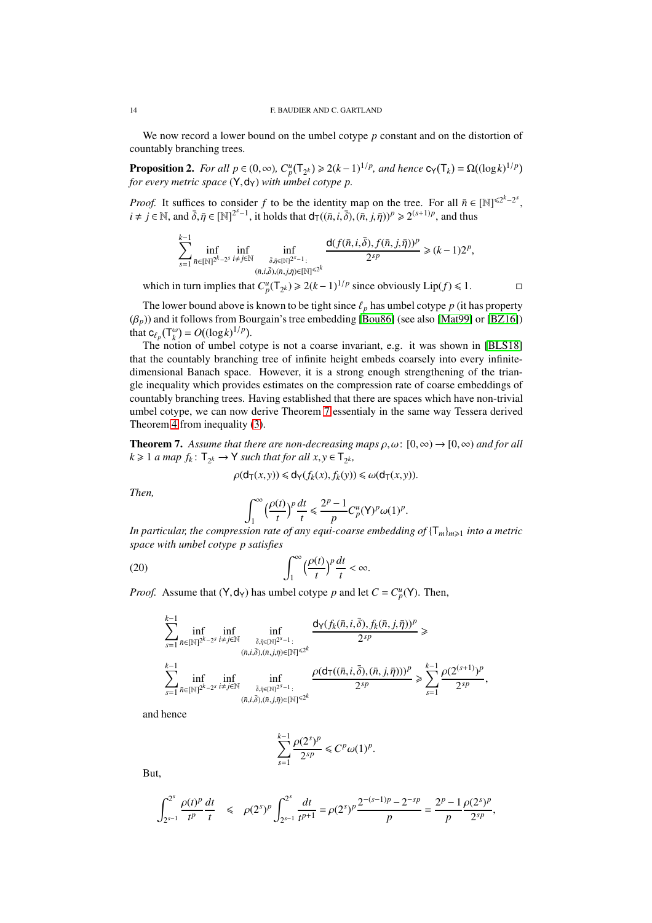We now record a lower bound on the umbel cotype *p* constant and on the distortion of countably branching trees.

<span id="page-13-0"></span>**Proposition 2.** *For all*  $p \in (0, \infty)$ ,  $C_p^u(T_{2^k}) \ge 2(k-1)^{1/p}$ , and hence  $c_Y(T_k) = \Omega((\log k)^{1/p})$ *for every metric space*  $(Y, dy)$  *with umbel cotype p.* 

*Proof.* It suffices to consider *f* to be the identity map on the tree. For all  $\bar{n} \in [\mathbb{N}]^{\leq 2^k - 2^s}$ ,  $i \neq j \in \mathbb{N}$ , and  $\bar{\delta}, \bar{\eta} \in [\mathbb{N}]^{2^{s}-1}$ , it holds that  $d_{\mathsf{T}}((\bar{n}, i, \bar{\delta}), (\bar{n}, j, \bar{\eta}))^p \ge 2^{(s+1)p}$ , and thus

$$
\sum_{s=1}^{k-1} \inf_{\bar{n} \in [\mathbb{N}]^{2^k-2^s}} \inf_{\substack{i \neq j \in \mathbb{N} \\ (\bar{n}, i, \bar{\delta}), (\bar{n}, j, \bar{\eta}) \in [\mathbb{N}]^{2^{s-1}} : \\ (\bar{n}, i, \bar{\delta}), (\bar{n}, j, \bar{\eta}) \in [\mathbb{N}]^{q \leq k}}} \frac{d(f(\bar{n}, i, \bar{\delta}), f(\bar{n}, j, \bar{\eta}))^p}{2^{sp}} \geq (k-1)2^p,
$$

which in turn implies that  $C_p^u(T_{2^k}) \ge 2(k-1)^{1/p}$  since obviously Lip(*f*) ≤ 1. □

,

The lower bound above is known to be tight since  $\ell_p$  has umbel cotype  $p$  (it has property  $(\beta_p)$ ) and it follows from Bourgain's tree embedding [\[Bou86\]](#page-41-1) (see also [\[Mat99\]](#page-41-18) or [\[BZ16\]](#page-41-12)) that  $c_{\ell_p}(\mathsf{T}^\omega_k) = O((\log k)^{1/p}).$ 

The notion of umbel cotype is not a coarse invariant, e.g. it was shown in [\[BLS18\]](#page-41-3) that the countably branching tree of infinite height embeds coarsely into every infinitedimensional Banach space. However, it is a strong enough strengthening of the triangle inequality which provides estimates on the compression rate of coarse embeddings of countably branching trees. Having established that there are spaces which have non-trivial umbel cotype, we can now derive Theorem [7](#page-13-1) essentialy in the same way Tessera derived Theorem [4](#page-2-0) from inequality [\(3\)](#page-2-1).

<span id="page-13-1"></span>**Theorem 7.** Assume that there are non-decreasing maps  $\rho, \omega$ :  $[0, \infty) \rightarrow [0, \infty)$  and for all  $k \geq 1$  *a* map  $f_k: \mathsf{T}_{2^k} \to \mathsf{Y}$  such that for all  $x, y \in \mathsf{T}_{2^k}$ ,

$$
\rho(\mathsf{d}_{\mathsf{T}}(x,y)) \leq \mathsf{d}_{\mathsf{Y}}(f_k(x), f_k(y)) \leq \omega(\mathsf{d}_{\mathsf{T}}(x,y)).
$$

*Then,*

<span id="page-13-2"></span>
$$
\int_1^{\infty} \left(\frac{\rho(t)}{t}\right)^p \frac{dt}{t} \leq \frac{2^p - 1}{p} C_p^u(Y)^p \omega(1)^p.
$$

*In particular, the compression rate of any equi-coarse embedding of*  $\{T_m\}_{m\geq 1}$  *into a metric space with umbel cotype p satisfies*

(20) 
$$
\int_{1}^{\infty} \left(\frac{\rho(t)}{t}\right)^{p} \frac{dt}{t} < \infty.
$$

*Proof.* Assume that  $(Y, d_Y)$  has umbel cotype *p* and let  $C = C_p^u(Y)$ . Then,

$$
\sum_{s=1}^{k-1} \inf_{\bar{n} \in [\mathbb{N}]^{2^k-2^s}} \inf_{\substack{\bar{\delta}, \bar{\eta} \in [\mathbb{N}]^{2^s-1}: \\ (\bar{n}, i, \bar{\delta}), (\bar{n}, j, \bar{\eta}) \in [\mathbb{N}]^{ \leq 2^k} \\ s=1}} \frac{d_{\mathsf{Y}}(f_k(\bar{n}, i, \bar{\delta}), f_k(\bar{n}, j, \bar{\eta}))^p}{2^{sp}} \geq \sum_{s=1}^{k-1} \inf_{\bar{n} \in [\mathbb{N}]^{2^k-2^s}} \inf_{\substack{\bar{\delta}, \bar{\eta} \in [\mathbb{N}]^{2^s-1}: \\ \bar{\delta}, \bar{\eta} \in [\mathbb{N}]^{2^s-1}: \\ (\bar{n}, i, \bar{\delta}), (\bar{n}, j, \bar{\eta}) \in [\mathbb{N}]^{ \leq 2^k} }} \frac{\rho(d_{\mathsf{T}}((\bar{n}, i, \bar{\delta}), (\bar{n}, j, \bar{\eta})))^p}{2^{sp}} \geq \sum_{s=1}^{k-1} \frac{\rho(2^{(s+1)})^p}{2^{sp}}
$$

and hence

$$
\sum_{s=1}^{k-1} \frac{\rho(2^s)^p}{2^{sp}} \leq C^p \omega(1)^p.
$$

But,

$$
\int_{2^{s-1}}^{2^s} \frac{\rho(t)^p}{t^p} \frac{dt}{t} \le \rho(2^s)^p \int_{2^{s-1}}^{2^s} \frac{dt}{t^{p+1}} = \rho(2^s)^p \frac{2^{-(s-1)p} - 2^{-sp}}{p} = \frac{2^p - 1}{p} \frac{\rho(2^s)^p}{2^{sp}},
$$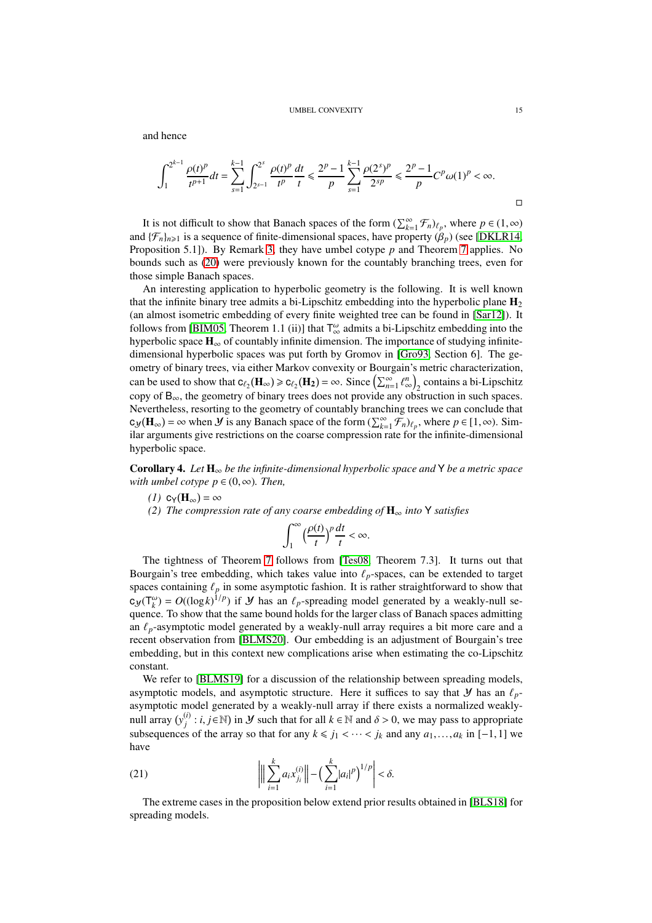#### UMBEL CONVEXITY 15

and hence

$$
\int_{1}^{2^{k-1}} \frac{\rho(t)^p}{t^{p+1}} dt = \sum_{s=1}^{k-1} \int_{2^{s-1}}^{2^s} \frac{\rho(t)^p}{t^p} \frac{dt}{t} \le \frac{2^p - 1}{p} \sum_{s=1}^{k-1} \frac{\rho(2^s)^p}{2^{sp}} \le \frac{2^p - 1}{p} C^p \omega(1)^p < \infty.
$$

It is not difficult to show that Banach spaces of the form  $(\sum_{k=1}^{\infty} \mathcal{F}_n)_{\ell_p}$ , where  $p \in (1, \infty)$ and  $\{\mathcal{F}_n\}_{n\geq 1}$  is a sequence of finite-dimensional spaces, have property  $(\beta_p)$  (see [\[DKLR14,](#page-41-14) Proposition 5.1]). By Remark [3,](#page-12-4) they have umbel cotype *p* and Theorem [7](#page-13-1) applies. No bounds such as [\(20\)](#page-13-2) were previously known for the countably branching trees, even for those simple Banach spaces.

An interesting application to hyperbolic geometry is the following. It is well known that the infinite binary tree admits a bi-Lipschitz embedding into the hyperbolic plane  $\mathbf{H}_2$ (an almost isometric embedding of every finite weighted tree can be found in [\[Sar12\]](#page-42-7)). It follows from [\[BIM05,](#page-40-7) Theorem 1.1 (ii)] that  $T^{\omega}_{\infty}$  admits a bi-Lipschitz embedding into the hyperbolic space  $\mathbf{H}_{\infty}$  of countably infinite dimension. The importance of studying infinitedimensional hyperbolic spaces was put forth by Gromov in [\[Gro93,](#page-41-19) Section 6]. The geometry of binary trees, via either Markov convexity or Bourgain's metric characterization, can be used to show that  $c_{\ell_2}(\mathbf{H}_{\infty}) \ge c_{\ell_2}(\mathbf{H}_2) = \infty$ . Since  $\left(\sum_{n=1}^{\infty} \ell_0^n\right)$  $\binom{n}{\infty}_2$  contains a bi-Lipschitz copy of  $B_{\infty}$ , the geometry of binary trees does not provide any obstruction in such spaces. Nevertheless, resorting to the geometry of countably branching trees we can conclude that  $c_y(\mathbf{H}_{\infty}) = \infty$  when *Y* is any Banach space of the form  $(\sum_{k=1}^{\infty} \mathcal{F}_n)_{\ell_p}$ , where  $p \in [1, \infty)$ . Similar arguments give restrictions on the coarse compression rate for the infinite-dimensional hyperbolic space.

<span id="page-14-0"></span>Corollary 4. *Let* H<sup>∞</sup> *be the infinite-dimensional hyperbolic space and* Y *be a metric space with umbel cotype*  $p \in (0, \infty)$ *. Then,* 

- $(1)$  **c**<sub>Y</sub>( $\mathbf{H}_{\infty}$ ) =  $\infty$
- *(2) The compression rate of any coarse embedding of* H<sup>∞</sup> *into* Y *satisfies*

$$
\int_1^\infty \Big(\frac{\rho(t)}{t}\Big)^p\frac{dt}{t}<\infty.
$$

The tightness of Theorem [7](#page-13-1) follows from [\[Tes08,](#page-42-2) Theorem 7.3]. It turns out that Bourgain's tree embedding, which takes value into  $\ell_p$ -spaces, can be extended to target spaces containing  $\ell_p$  in some asymptotic fashion. It is rather straightforward to show that  $c_y(T_k^{\omega}) = O((\log k)^{1/p})$  if *y* has an  $\ell_p$ -spreading model generated by a weakly-null sequence. To show that the same bound holds for the larger class of Banach spaces admitting an  $\ell_p$ -asymptotic model generated by a weakly-null array requires a bit more care and a recent observation from [\[BLMS20\]](#page-40-8). Our embedding is an adjustment of Bourgain's tree embedding, but in this context new complications arise when estimating the co-Lipschitz constant.

We refer to [\[BLMS19\]](#page-40-9) for a discussion of the relationship between spreading models, asymptotic models, and asymptotic structure. Here it suffices to say that  $\mathcal Y$  has an  $\ell_p$ asymptotic model generated by a weakly-null array if there exists a normalized weaklynull array  $(y_i^{(i)})$ *j* : *i*, *j*∈N) in *Y* such that for all *k* ∈ N and  $\delta$  > 0, we may pass to appropriate subsequences of the array so that for any  $k \le j_1 < \cdots < j_k$  and any  $a_1, \ldots, a_k$  in [−1, 1] we have

<span id="page-14-1"></span>(21) 
$$
\left\| \sum_{i=1}^{k} a_i x_{j_i}^{(i)} \right\| - \left( \sum_{i=1}^{k} |a_i|^p \right)^{1/p} \right| < \delta.
$$

The extreme cases in the proposition below extend prior results obtained in [\[BLS18\]](#page-41-3) for spreading models.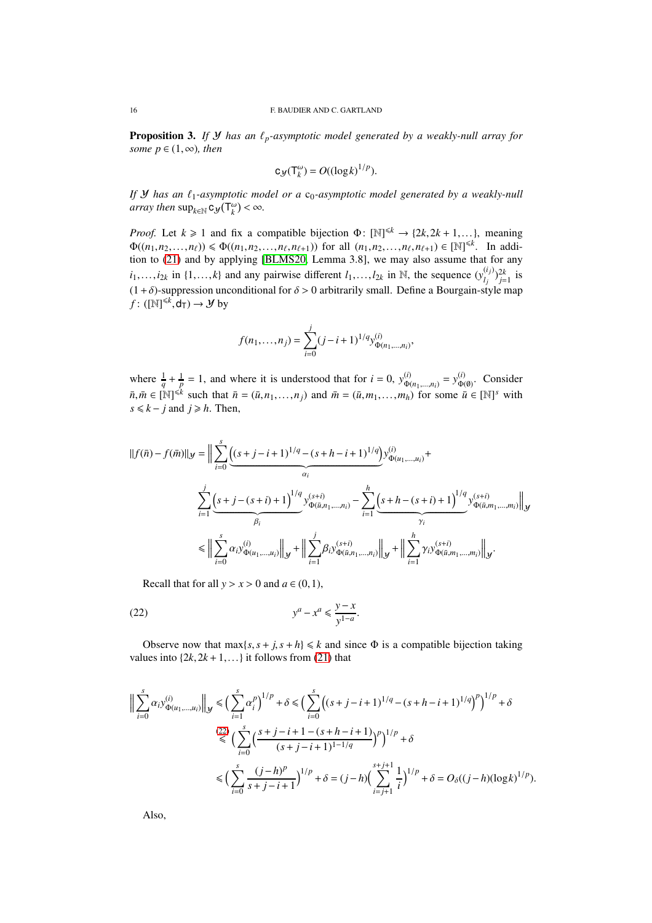<span id="page-15-1"></span>**Proposition 3.** *If*  $Y$  *has an*  $\ell_p$ *-asymptotic model generated by a weakly-null array for some*  $p \in (1, \infty)$ *, then* 

$$
c_{\mathcal{Y}}(T_k^{\omega})=O((\log k)^{1/p}).
$$

*If Y* has an  $\ell_1$ -asymptotic model or a  $c_0$ -asymptotic model generated by a weakly-null *array then*  $\sup_{k \in \mathbb{N}} c_{\mathcal{Y}}(T_k^{\omega}) < \infty$ .

*Proof.* Let  $k \ge 1$  and fix a compatible bijection  $\Phi: [\mathbb{N}]^{\le k} \to \{2k, 2k+1, ...\}$ , meaning  $\Phi((n_1, n_2, \ldots, n_\ell)) \le \Phi((n_1, n_2, \ldots, n_\ell, n_{\ell+1}))$  for all  $(n_1, n_2, \ldots, n_\ell, n_{\ell+1}) \in [\mathbb{N}]^{\le k}$ . In addition to [\(21\)](#page-14-1) and by applying [\[BLMS20,](#page-40-8) Lemma 3.8], we may also assume that for any  $i_1, \ldots, i_{2k}$  in  $\{1, \ldots, k\}$  and any pairwise different  $i_1, \ldots, i_{2k}$  in N, the sequence  $(y_{i_j}^{(i_j)})$  $\binom{l_j}{l_j}^{2k}$  is  $(1 + \delta)$ -suppression unconditional for  $\delta > 0$  arbitrarily small. Define a Bourgain-style map  $f: ([\mathbb{N}]^{\leq k}, \mathsf{d}_{\mathsf{T}}) \to \mathcal{Y}$  by

$$
f(n_1,\ldots,n_j) = \sum_{i=0}^j (j-i+1)^{1/q} y_{\Phi(n_1,\ldots,n_i)}^{(i)},
$$

where  $\frac{1}{q} + \frac{1}{p} = 1$ , and where it is understood that for  $i = 0$ ,  $y_{\Phi(i)}^{(i)}$  $y_{\Phi(n_1,...,n_i)}^{(i)} = y_{\Phi(n_i)}^{(i)}$  $\phi(\emptyset)$ . Consider  $\overline{n}, \overline{m} \in [\mathbb{N}]^{\leq k}$  such that  $\overline{n} = (\overline{u}, n_1, \ldots, n_j)$  and  $\overline{m} = (\overline{u}, m_1, \ldots, m_h)$  for some  $\overline{u} \in [\mathbb{N}]^s$  with  $s \le k - j$  and  $j \ge h$ . Then,

$$
||f(\bar{n}) - f(\bar{m})||_{\mathcal{Y}} = \Big\| \sum_{i=0}^{s} \underbrace{\left( (s+j-i+1)^{1/q} - (s+h-i+1)^{1/q} \right)}_{\alpha_{i}} y_{\Phi(u_{1},...,u_{i})}^{(i)} + \frac{\sum_{i=1}^{j} \left( s+j-(s+i)+1 \right)^{1/q} y_{\Phi(\bar{u},n_{1},...,n_{i})}^{(s+i)}}_{\beta_{i}} - \sum_{i=1}^{h} \underbrace{\left( s+h-(s+i)+1 \right)^{1/q} y_{\Phi(\bar{u},m_{1},...,m_{i})}^{(s+i)}}_{\gamma_{i}} \Big\|_{\mathcal{Y}} \\ \leq \Big\| \sum_{i=0}^{s} \alpha_{i} y_{\Phi(u_{1},...,u_{i})}^{(i)} \Big\|_{\mathcal{Y}} + \Big\| \sum_{i=1}^{j} \beta_{i} y_{\Phi(\bar{u},n_{1},...,n_{i})}^{(s+i)} \Big\|_{\mathcal{Y}} + \Big\| \sum_{i=1}^{h} \gamma_{i} y_{\Phi(\bar{u},m_{1},...,m_{i})}^{(s+i)} \Big\|_{\mathcal{Y}}.
$$

<span id="page-15-0"></span>Recall that for all  $y > x > 0$  and  $a \in (0,1)$ ,

$$
(22) \t\t y^a - x^a \le \frac{y - x}{y^{1 - a}}.
$$

Observe now that  $\max\{s, s + j, s + h\} \le k$  and since  $\Phi$  is a compatible bijection taking values into  $\{2k, 2k+1, ...\}$  it follows from [\(21\)](#page-14-1) that

$$
\Big\|\sum_{i=0}^{s} \alpha_{i} y_{\Phi(u_{1},...,u_{i})}^{(i)}\Big\|_{\mathcal{Y}} \leq \Big(\sum_{i=1}^{s} \alpha_{i}^{p}\Big)^{1/p} + \delta \leq \Big(\sum_{i=0}^{s} \Big((s+j-i+1)^{1/q} - (s+h-i+1)^{1/q}\Big)^{p}\Big)^{1/p} + \delta
$$
  

$$
\overset{(22)}{\leq} \Big(\sum_{i=0}^{s} \Big(\frac{s+j-i+1 - (s+h-i+1)}{(s+j-i+1)^{1-1/q}}\Big)^{p}\Big)^{1/p} + \delta
$$
  

$$
\leq \Big(\sum_{i=0}^{s} \frac{(j-h)^{p}}{s+j-i+1}\Big)^{1/p} + \delta = (j-h) \Big(\sum_{i=j+1}^{s+j+1} \frac{1}{i}\Big)^{1/p} + \delta = O_{\delta}((j-h)(\log k)^{1/p}).
$$

Also,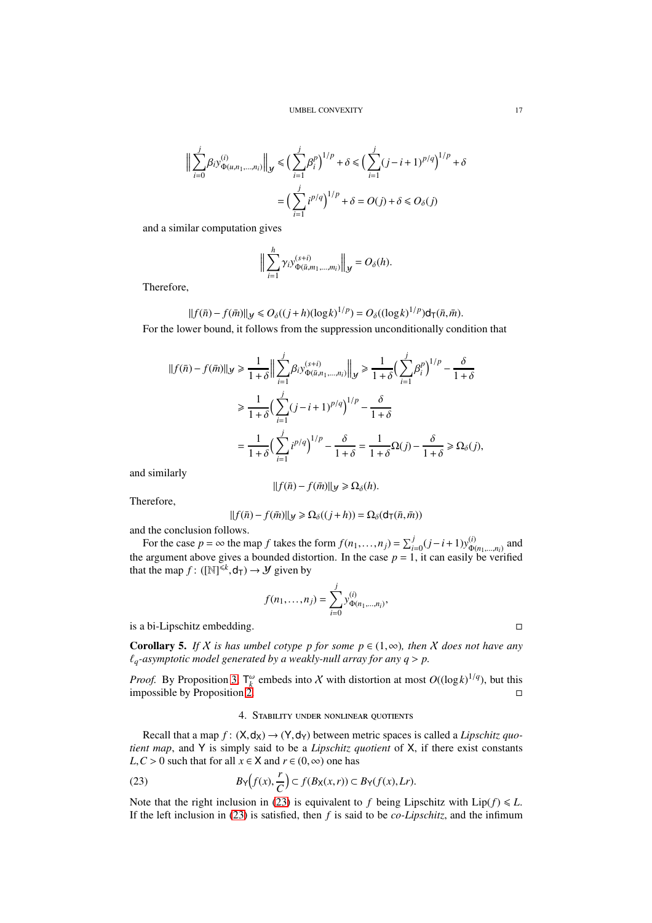$$
\Big\| \sum_{i=0}^{j} \beta_i y_{\Phi(u, n_1, \dots, n_i)}^{(i)} \Big\|_{\mathcal{Y}} \le \Big( \sum_{i=1}^{j} \beta_i^p \Big)^{1/p} + \delta \le \Big( \sum_{i=1}^{j} (j - i + 1)^{p/q} \Big)^{1/p} + \delta
$$

$$
= \Big( \sum_{i=1}^{j} i^{p/q} \Big)^{1/p} + \delta = O(j) + \delta \le O_{\delta}(j)
$$

and a similar computation gives

$$
\Big\|\sum_{i=1}^h \gamma_i y_{\Phi(\bar{u},m_1,\ldots,m_i)}^{(s+i)}\Big\|_{\mathcal{Y}}=O_{\delta}(h).
$$

Therefore,

 $||f(\bar{n}) - f(\bar{m})||_y \le O_\delta((j+h)(\log k)^{1/p}) = O_\delta((\log k)^{1/p})d_\mathsf{T}(\bar{n}, \bar{m}).$ For the lower bound, it follows from the suppression unconditionally condition that

$$
||f(\bar{n}) - f(\bar{m})||_{\mathcal{Y}} \ge \frac{1}{1+\delta} \Big\| \sum_{i=1}^{j} \beta_i y_{\Phi(\bar{n}, n_1, \dots, n_i)}^{(s+i)} \Big\|_{\mathcal{Y}} \ge \frac{1}{1+\delta} \Big( \sum_{i=1}^{j} \beta_i^p \Big)^{1/p} - \frac{\delta}{1+\delta}
$$
  

$$
\ge \frac{1}{1+\delta} \Big( \sum_{i=1}^{j} (j-i+1)^{p/q} \Big)^{1/p} - \frac{\delta}{1+\delta}
$$
  

$$
= \frac{1}{1+\delta} \Big( \sum_{i=1}^{j} i^{p/q} \Big)^{1/p} - \frac{\delta}{1+\delta} = \frac{1}{1+\delta} \Omega(j) - \frac{\delta}{1+\delta} \ge \Omega_{\delta}(j),
$$

and similarly

$$
||f(\bar{n}) - f(\bar{m})||_{\mathcal{Y}} \ge \Omega_{\delta}(h).
$$

Therefore,

$$
||f(\bar{n}) - f(\bar{m})||_{\mathcal{Y}} \ge \Omega_{\delta}((j+h)) = \Omega_{\delta}(\mathsf{d}_{\mathsf{T}}(\bar{n}, \bar{m}))
$$

and the conclusion follows.

For the case  $p = \infty$  the map *f* takes the form  $f(n_1, \ldots, n_j) = \sum_{i=0}^j (j - i + 1) y_{\Phi(i)}^{(i)}$  $^{\scriptscriptstyle{(l)}}_{\Phi(n_1,...,n_i)}$  and the argument above gives a bounded distortion. In the case  $p = 1$ , it can easily be verified that the map  $f: ([N]^{\leq k}, d_T) \to \mathcal{Y}$  given by

$$
f(n_1,...,n_j) = \sum_{i=0}^{j} y_{\Phi(n_1,...,n_i)}^{(i)}
$$

,

is a bi-Lipschitz embedding.

<span id="page-16-2"></span>**Corollary 5.** *If* X *is has umbel cotype p for some*  $p \in (1, \infty)$ *, then* X *does not have any*  $\ell_q$ -asymptotic model generated by a weakly-null array for any  $q > p$ .

<span id="page-16-0"></span>*Proof.* By Proposition [3,](#page-15-1)  $T_k^{\omega}$  embeds into X with distortion at most  $O((\log k)^{1/q})$ , but this impossible by Proposition [2.](#page-13-0)

### <span id="page-16-1"></span>4. Stability under nonlinear quotients

Recall that a map  $f: (X, d_X) \to (Y, d_Y)$  between metric spaces is called a *Lipschitz quotient map*, and Y is simply said to be a *Lipschitz quotient* of X, if there exist constants *L*, *C* > 0 such that for all  $x \in X$  and  $r \in (0, \infty)$  one has

(23) 
$$
B_Y(f(x), \frac{r}{C}) \subset f(B_X(x,r)) \subset B_Y(f(x), Lr).
$$

Note that the right inclusion in [\(23\)](#page-16-1) is equivalent to *f* being Lipschitz with  $\text{Lip}(f) \leq L$ . If the left inclusion in [\(23\)](#page-16-1) is satisfied, then *f* is said to be *co-Lipschitz*, and the infimum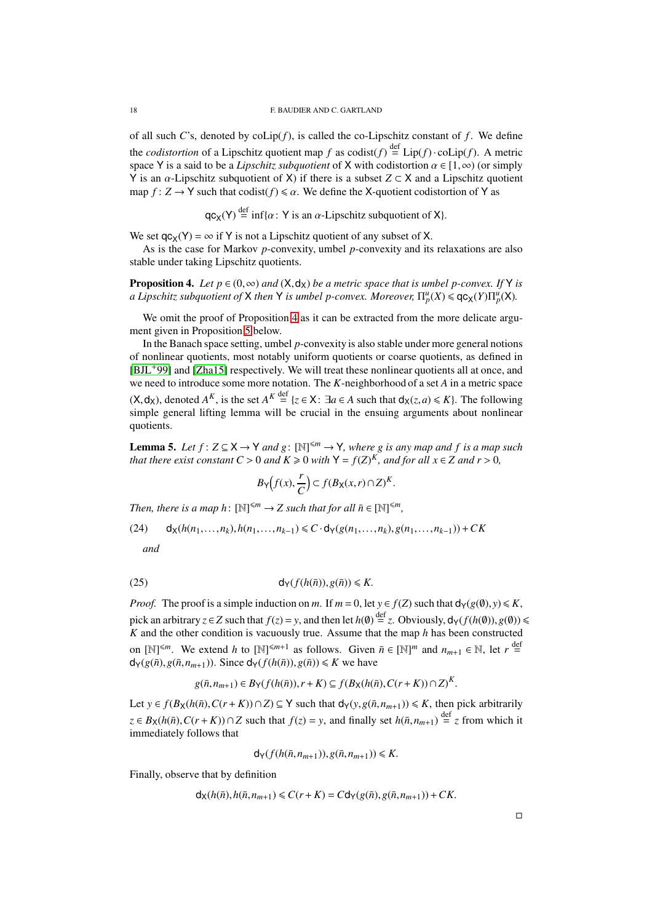of all such *C*'s, denoted by  $\text{colip}(f)$ , is called the co-Lipschitz constant of  $f$ . We define the *codistortion* of a Lipschitz quotient map *f* as  $\text{codist}(f) \stackrel{\text{def}}{=} \text{Lip}(f) \cdot \text{colip}(f)$ . A metric space Y is a said to be a *Lipschitz subquotient* of X with codistortion  $\alpha \in [1,\infty)$  (or simply Y is an α-Lipschitz subquotient of X) if there is a subset *Z* ⊂ X and a Lipschitz quotient map  $f: Z \to Y$  such that codist( $f$ )  $\le \alpha$ . We define the X-quotient codistortion of Y as

 $qc_X(Y) \stackrel{\text{def}}{=} \inf{\{\alpha : Y \text{ is an } \alpha\text{-Lipschitz subquotient of } X\}}.$ 

We set  $qc_X(Y) = \infty$  if Y is not a Lipschitz quotient of any subset of X.

As is the case for Markov *p*-convexity, umbel *p*-convexity and its relaxations are also stable under taking Lipschitz quotients.

<span id="page-17-0"></span>**Proposition 4.** Let  $p \in (0, \infty)$  and  $(X, d_X)$  be a metric space that is umbel p-convex. If Y is *a Lipschitz subquotient of*  $X$  *then*  $Y$  *is umbel p-convex. Moreover*,  $\Pi_p^u(X) \leqslant q c_X(Y) \Pi_p^u(X)$ *.* 

We omit the proof of Proposition [4](#page-17-0) as it can be extracted from the more delicate argument given in Proposition [5](#page-18-0) below.

In the Banach space setting, umbel *p*-convexity is also stable under more general notions of nonlinear quotients, most notably uniform quotients or coarse quotients, as defined in [\[BJL](#page-40-10)+99] and [\[Zha15\]](#page-42-8) respectively. We will treat these nonlinear quotients all at once, and we need to introduce some more notation. The *K*-neighborhood of a set *A* in a metric space  $(X, d_X)$ , denoted  $A^K$ , is the set  $A^K \stackrel{\text{def}}{=} \{z \in X : \exists a \in A \text{ such that } d_X(z, a) \leq K\}$ . The following simple general lifting lemma will be crucial in the ensuing arguments about nonlinear quotients.

<span id="page-17-1"></span>**Lemma 5.** *Let*  $f: Z \subseteq X \rightarrow Y$  *and*  $g: [\mathbb{N}]^{\leq m} \rightarrow Y$ *, where*  $g$  *is any map and*  $f$  *is a map such that there exist constant*  $C > 0$  *and*  $K \ge 0$  *with*  $Y = f(Z)^K$ *, and for all*  $x \in Z$  *and*  $r > 0$ *,* 

<span id="page-17-3"></span>
$$
B_{\mathsf{Y}}\big(f(x),\frac{r}{C}\big) \subset f(B_{\mathsf{X}}(x,r) \cap Z)^{K}.
$$

*Then, there is a map h*:  $[N]^{\leq m} \to Z$  *such that for all*  $\bar{n} \in [N]^{\leq m}$ ,

$$
(24) \qquad d_X(h(n_1,\ldots,n_k),h(n_1,\ldots,n_{k-1})\leq C\cdot d_Y(g(n_1,\ldots,n_k),g(n_1,\ldots,n_{k-1}))+CK
$$

<span id="page-17-2"></span>*and*

$$
d_Y(f(h(\bar{n})), g(\bar{n})) \le K.
$$

*Proof.* The proof is a simple induction on *m*. If  $m = 0$ , let  $y \in f(Z)$  such that  $d_Y(g(\emptyset), y) \le K$ , pick an arbitrary  $z \in Z$  such that  $f(z) = y$ , and then let  $h(\emptyset) \stackrel{\text{def}}{=} z$ . Obviously,  $d_Y(f(h(\emptyset)), g(\emptyset)) \le$ *K* and the other condition is vacuously true. Assume that the map *h* has been constructed on  $[\mathbb{N}]^{\leq m}$ . We extend *h* to  $[\mathbb{N}]^{\leq m+1}$  as follows. Given  $\bar{n} \in [\mathbb{N}]^m$  and  $n_{m+1} \in \mathbb{N}$ , let  $r \stackrel{\text{def}}{=}$  $d_Y(g(\bar{n}), g(\bar{n}, n_{m+1}))$ . Since  $d_Y(f(h(\bar{n})), g(\bar{n})) \le K$  we have

$$
g(\bar{n},n_{m+1})\in B_{\mathsf{Y}}(f(h(\bar{n})),r+K)\subseteq f(B_{\mathsf{X}}(h(\bar{n}),C(r+K))\cap Z)^K.
$$

Let *y* ∈ *f*(*B*<sub>X</sub>(*h*( $\bar{n}$ ), *C*(*r* + *K*))∩*Z*) ⊆ Y such that  $d_Y(y, g(\bar{n}, n_{m+1})) \le K$ , then pick arbitrarily *z* ∈ *B*<sub>X</sub>(*h*( $\bar{n}$ ), *C*(*r* + *K*))∩*Z* such that *f*(*z*) = *y*, and finally set *h*( $\bar{n}$ ,*n*<sub>*m*+1</sub>)</sub> <sup>def</sup><sub>z</sub> from which it immediately follows that

$$
\mathsf{d}_{\mathsf{Y}}(f(h(\bar{n},n_{m+1})),g(\bar{n},n_{m+1}))\leq K.
$$

Finally, observe that by definition

$$
\mathsf{d}_{\mathsf{X}}(h(\bar{n}), h(\bar{n}, n_{m+1}) \leq C(r+K) = C\mathsf{d}_{\mathsf{Y}}(g(\bar{n}), g(\bar{n}, n_{m+1})) + CK.
$$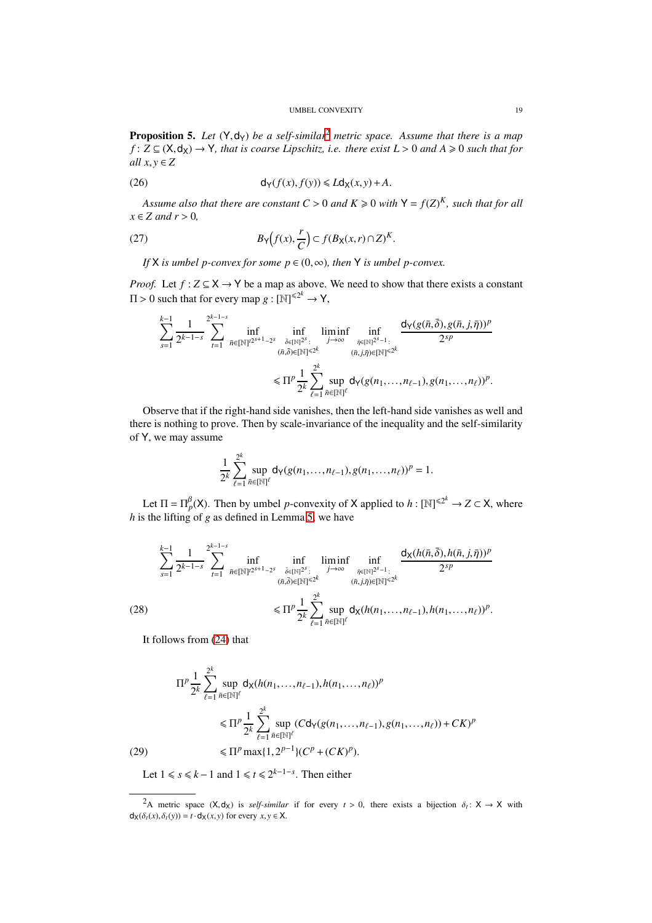<span id="page-18-0"></span>**Proposition 5.** Let  $(Y, dy)$  be a self-similar<sup>[2](#page-18-1)</sup> metric space. Assume that there is a map  $f: Z \subseteq (X, d_X) \rightarrow Y$ , that is coarse Lipschitz, i.e. there exist  $L > 0$  and  $A \ge 0$  such that for *all*  $x, y \in Z$ 

<span id="page-18-2"></span>(26) 
$$
d_Y(f(x), f(y)) \leq L d_X(x, y) + A.
$$

Assume also that there are constant  $C > 0$  and  $K \geq 0$  with  $Y = f(Z)^K$ , such that for all  $x \in Z$  *and*  $r > 0$ ,

(27) 
$$
B_{Y}(f(x), \frac{r}{C}) \subset f(B_{X}(x, r) \cap Z)^{K}.
$$

<span id="page-18-5"></span>*If* X *is umbel p-convex for some*  $p \in (0, \infty)$ *, then* Y *is umbel p-convex.* 

*Proof.* Let  $f : Z \subseteq X \rightarrow Y$  be a map as above. We need to show that there exists a constant  $\Pi > 0$  such that for every map  $g : [\mathbb{N}]^{\leq 2^k} \to \mathsf{Y},$ 

$$
\sum_{s=1}^{k-1} \frac{1}{2^{k-1-s}} \sum_{t=1}^{2^{k-1-s}} \inf_{\bar{n} \in [\mathbb{N}]^{t^{2^{s+1}-2^{s}}} \inf_{\substack{\bar{\delta} \in [\mathbb{N}]^{2^{s}}:\\(\bar{n},\bar{\delta}) \in [\mathbb{N}]^{ \leq 2^{k}}}} \liminf_{\substack{j \to \infty \\ (\bar{n},j,\bar{\eta}) \in [\mathbb{N}]^{ \leq 2^{k}}}} \frac{d_{\mathsf{Y}}(g(\bar{n},\bar{\delta}),g(\bar{n},j,\bar{\eta}))^{p}}{2^{sp}}}{(g_{\bar{n},j,\bar{\eta}) \in [\mathbb{N}]^{ \leq 2^{k}}}} \leq \Pi^{p} \frac{1}{2^{k}} \sum_{\ell=1}^{2^{k}} \sup_{\bar{n} \in [\mathbb{N}]^{\ell}} d_{\mathsf{Y}}(g(n_{1},...,n_{\ell-1}),g(n_{1},...,n_{\ell}))^{p}.
$$

Observe that if the right-hand side vanishes, then the left-hand side vanishes as well and there is nothing to prove. Then by scale-invariance of the inequality and the self-similarity of Y, we may assume

$$
\frac{1}{2^k}\sum_{\ell=1}^{2^k}\sup_{\bar{n}\in[\mathbb{N}]^\ell}d_Y(g(n_1,\ldots,n_{\ell-1}),g(n_1,\ldots,n_\ell))^p=1.
$$

Let  $\Pi = \Pi_p^{\beta}(X)$ . Then by umbel *p*-convexity of X applied to  $h : [\mathbb{N}]^{\leq 2^k} \to Z \subset X$ , where *h* is the lifting of *g* as defined in Lemma [5,](#page-17-1) we have

$$
\sum_{s=1}^{k-1} \frac{1}{2^{k-1-s}} \sum_{t=1}^{2^{k-1-s}} \inf_{\bar{n} \in [\mathbb{N}]^{t2^{s+1}-2^s}} \inf_{\substack{\bar{\delta} \in [\mathbb{N}]^{2^s}:\\(\bar{n},\bar{\delta}) \in [\mathbb{N}]^{s2^k}}} \liminf_{\substack{j \to \infty \\ (\bar{n},j,\bar{\eta}) \in [\mathbb{N}]^{s2^k}}} \frac{d_X(h(\bar{n},\bar{\delta}),h(\bar{n},j,\bar{\eta}))^p}{2^{sp}}
$$
\n
$$
\leq \Pi^p \frac{1}{2^k} \sum_{\ell=1}^{2^k} \sup_{\bar{n} \in [\mathbb{N}]^{\ell}} d_X(h(n_1,\ldots,n_{\ell-1}),h(n_1,\ldots,n_{\ell}))^p.
$$

<span id="page-18-3"></span>It follows from [\(24\)](#page-17-2) that

$$
\Pi^{p} \frac{1}{2^{k}} \sum_{\ell=1}^{2^{k}} \sup_{\bar{n} \in [\mathbb{N}]^{\ell}} d_{\mathsf{X}}(h(n_{1}, \dots, n_{\ell-1}), h(n_{1}, \dots, n_{\ell}))^{p}
$$
  
\n
$$
\leq \Pi^{p} \frac{1}{2^{k}} \sum_{\ell=1}^{2^{k}} \sup_{\bar{n} \in [\mathbb{N}]^{\ell}} (C d_{\mathsf{Y}}(g(n_{1}, \dots, n_{\ell-1}), g(n_{1}, \dots, n_{\ell})) + CK)^{p}
$$
  
\n(29)  
\n
$$
\leq \Pi^{p} \max\{1, 2^{p-1}\} (C^{p} + (CK)^{p}).
$$

<span id="page-18-4"></span>Let  $1 \le s \le k - 1$  and  $1 \le t \le 2^{k-1-s}$ . Then either

<span id="page-18-1"></span><sup>2</sup>A metric space  $(X, d_X)$  is *self-similar* if for every  $t > 0$ , there exists a bijection  $\delta_t: X \to X$  with  $d_X(\delta_t(x), \delta_t(y)) = t \cdot d_X(x, y)$  for every  $x, y \in X$ .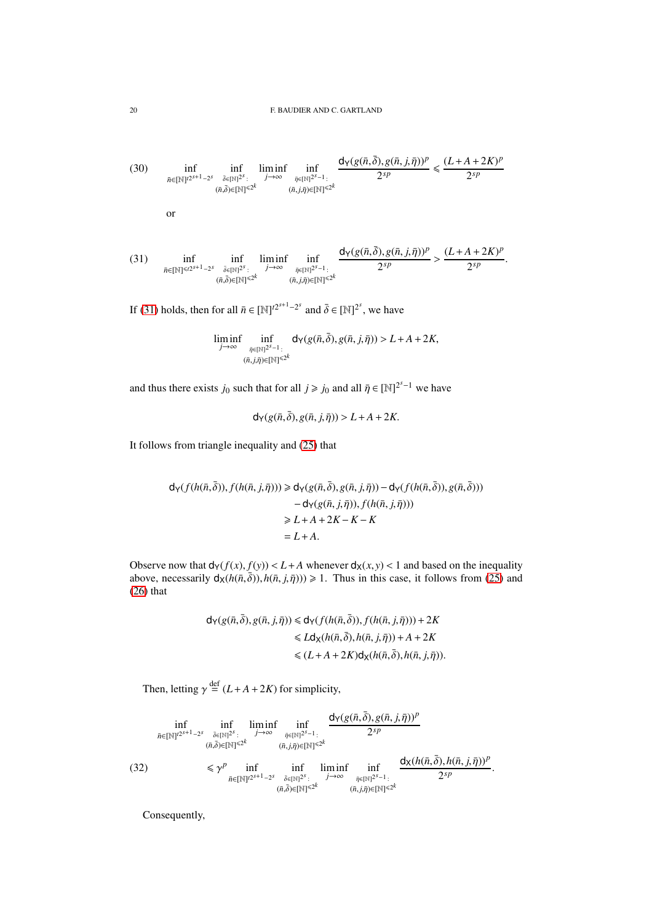<span id="page-19-1"></span>(30) 
$$
\inf_{\bar{n}\in[\mathbb{N}]^{2^{s+1}-2^s}} \inf_{\substack{\bar{\delta}\in[\mathbb{N}]^{2^s}:\\(\bar{n},\bar{\delta})\in[\mathbb{N}]^{s\leq k}}}\liminf_{j\to\infty} \inf_{\substack{\bar{\eta}\in[\mathbb{N}]^{2^{s-1}}:\\\(\bar{n},j,\bar{\eta})\in[\mathbb{N}]^{s\leq k}}}\frac{d_{\mathsf{Y}}(g(\bar{n},\bar{\delta}),g(\bar{n},j,\bar{\eta}))^p}{2^{sp}} \leq \frac{(L+A+2K)^p}{2^{sp}}
$$
\nor\n
$$
\int_{\mathsf{Y}}(g(\bar{n},\bar{\delta})-g(\bar{n},j,\bar{n}))^p \qquad (L+A+2K)^p
$$

<span id="page-19-0"></span>
$$
(31) \quad \inf_{\bar{n}\in[\mathbb{N}]^{\leq t2^{s+1}-2^{s}}}\inf_{\substack{\bar{\delta}\in[\mathbb{N}]^{2^{s}}:\ \bar{\delta}\in[\mathbb{N}]^{\leq 2^{k}} \\ (\bar{n},\bar{\delta})\in[\mathbb{N}]^{\leq 2^{k}}}}\liminf_{\substack{\bar{\eta}\in[\mathbb{N}]^{2^{s}-1}:\\\ (\bar{n},j,\bar{\eta})\in[\mathbb{N}]^{\leq 2^{k}}}}\frac{d_{\mathsf{Y}}(g(\bar{n},\bar{\delta}),g(\bar{n},j,\bar{\eta}))^{p}}{2^{sp}}>\frac{(L+A+2K)^{p}}{2^{sp}}.
$$

If [\(31\)](#page-19-0) holds, then for all  $\bar{n} \in [\mathbb{N}]^{t2^{s+1}-2^s}$  and  $\bar{\delta} \in [\mathbb{N}]^{2^s}$ , we have

$$
\liminf_{j\to\infty}\inf_{\substack{\bar{\eta}\in[\mathbb{N}]^{2^s-1}:\\(\bar{n},j,\bar{\eta})\in[\mathbb{N}]^{\leq 2^k}}}d_Y(g(\bar{n},\bar{\delta}),g(\bar{n},j,\bar{\eta}))>L+A+2K,
$$

and thus there exists *j*<sub>0</sub> such that for all  $j \ge j_0$  and all  $\bar{\eta} \in [\mathbb{N}]^{2^{s}-1}$  we have

 $d_Y(g(\bar{n}, \bar{\delta}), g(\bar{n}, j, \bar{\eta})) > L + A + 2K$ .

It follows from triangle inequality and [\(25\)](#page-17-3) that

$$
d_Y(f(h(\bar{n}, \bar{\delta})), f(h(\bar{n}, j, \bar{\eta}))) \ge d_Y(g(\bar{n}, \bar{\delta}), g(\bar{n}, j, \bar{\eta})) - d_Y(f(h(\bar{n}, \bar{\delta})), g(\bar{n}, \bar{\delta})))
$$
  

$$
- d_Y(g(\bar{n}, j, \bar{\eta})), f(h(\bar{n}, j, \bar{\eta})))
$$
  

$$
\ge L + A + 2K - K - K
$$
  

$$
= L + A.
$$

Observe now that  $d_Y(f(x), f(y)) < L+A$  whenever  $d_X(x, y) < 1$  and based on the inequality above, necessarily  $d_X(h(\bar{n}, \bar{\delta}))$ ,  $h(\bar{n}, j, \bar{\eta})) \ge 1$ . Thus in this case, it follows from [\(25\)](#page-17-3) and [\(26\)](#page-18-2) that

> $d_Y(g(\bar{n}, \bar{\delta}), g(\bar{n}, j, \bar{\eta})) \le d_Y(f(h(\bar{n}, \bar{\delta})), f(h(\bar{n}, j, \bar{\eta}))) + 2K$  $\leq L d_X(h(\bar{n}, \bar{\delta}), h(\bar{n}, j, \bar{\eta})) + A + 2K$  $\leq (L+A+2K)d_{\mathsf{X}}(h(\bar{n},\bar{\delta}),h(\bar{n},\bar{j},\bar{\eta})).$

Then, letting  $\gamma \stackrel{\text{def}}{=} (L + A + 2K)$  for simplicity,

|      | inf<br>liminf<br>inf<br>inf<br>$\bar{n} \in [\mathbb{N}]^{t2^{s+1}-2^s}$ $\bar{\delta} \in [\mathbb{N}]^{2^s}$ : $j \rightarrow \infty$<br>$\bar{\eta} \in [\mathbb{N}]^{2^s-1}$ :<br>$(\bar{n},\bar{\delta}) \in [\mathbb{N}]^{\le 2^k}$<br>$(\bar{n},j,\bar{\eta}) \in [\mathbb{N}]^{\leq 2^k}$ | $d_{\mathsf{Y}}(g(\bar{n},\bar{\delta}),g(\bar{n},j,\bar{\eta}))^p$<br>2sp                                                                                                    |
|------|---------------------------------------------------------------------------------------------------------------------------------------------------------------------------------------------------------------------------------------------------------------------------------------------------|-------------------------------------------------------------------------------------------------------------------------------------------------------------------------------|
| (32) | $\leqslant \gamma^p$<br>inf liminf<br>inf<br>$\bar{n} \in [\mathbb{N}]^{t2^{s+1}-2^s}$ $\bar{\delta} \in [\mathbb{N}]^{2^s}$ : $j \rightarrow \infty$<br>$(\bar{n},\bar{\delta}) \in [\mathbb{N}]^{\leq 2^k}$                                                                                     | $d_X(h(\bar{n},\bar{\delta}),h(\bar{n},j,\bar{\eta}))^p$<br>inf<br>$2^{sp}$<br>$\bar{\eta} \in [\mathbb{N}]^{2^s-1}$ :<br>$(\bar{n},j,\bar{\eta}) \in [\mathbb{N}]^{\leq 2k}$ |

<span id="page-19-2"></span>Consequently,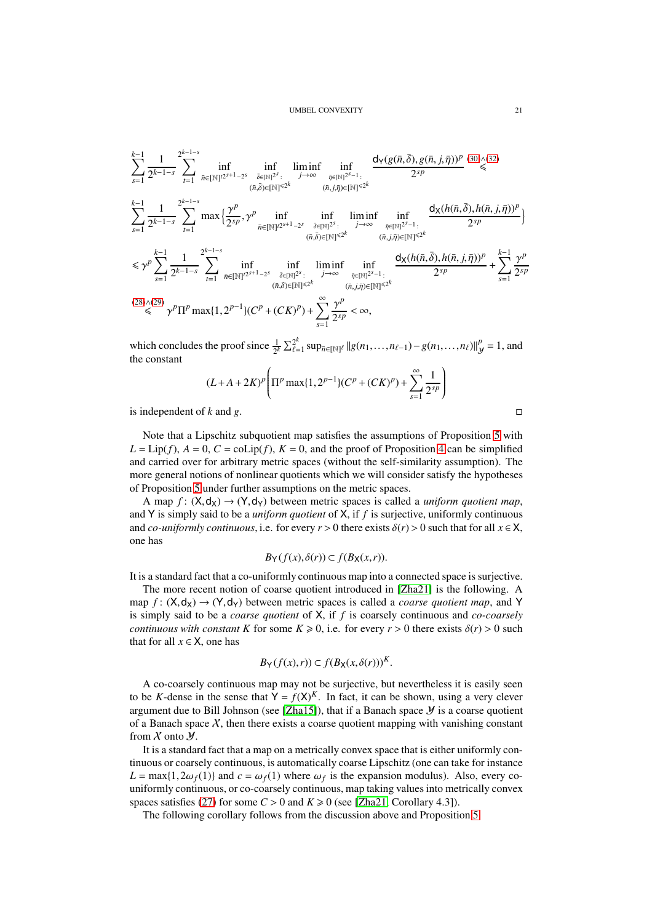$$
\begin{split} &\sum_{s=1}^{k-1}\frac{1}{2^{k-1-s}}\sum_{t=1}^{2^{k-1-s}}\inf_{\bar{n}\in[\mathbb{N}]^{2^{s+1}-2^{s}}}\inf_{\substack{\bar{\delta}\in[\mathbb{N}]^{2^{s+1}}\\ (\bar{n},\bar{\delta})\in[\mathbb{N}]^{<2^{k}}\\ \sum_{s=1}^{k-1}\frac{1}{2^{k-1-s}}\sum_{t=1}^{2^{k-1-s}}\max\Big\{\frac{\gamma^{p}}{2^{sp}},\gamma^{p}\inf_{\bar{n}\in[\mathbb{N}]^{2^{s+1}-2^{s}}}\inf_{\substack{\bar{\delta}\in[\mathbb{N}]^{2^{s+1}}\\ (\bar{n},\bar{\delta})\in[\mathbb{N}]^{<2^{k}}\\ (\bar{n},\bar{\delta})\in[\mathbb{N}]^{<2^{k}}}}\inf_{\substack{\bar{\delta}\in[\mathbb{N}]^{2^{s+1}-2^{s}}\\ (\bar{n},\bar{\delta})\in[\mathbb{N}]^{<2^{k}}\\ (\bar{n},\bar{\delta})\in[\mathbb{N}]^{<2^{k}}}}\inf_{\substack{\bar{\delta}\in[\mathbb{N}]^{2^{s+1}-2^{s}}\\ (\bar{n},\bar{\delta})\in[\mathbb{N}]^{<2^{k}}\\ (\bar{n},\bar{\delta})\in[\mathbb{N}]^{<2^{k}}\\ (\bar{n},\bar{\delta})\in[\mathbb{N}]^{<2^{k}}}}\frac{\mathrm{d} \chi(h(\bar{n},\bar{\delta}),h(\bar{n},j,\bar{\eta}))^{p}}{2^{sp}}\Big\}\\ &\leq \gamma^{p}\sum_{s=1}^{k-1}\frac{1}{2^{k-1-s}}\sum_{t=1}^{2^{k-1-s}}\inf_{\bar{n}\in[\mathbb{N}]^{2^{s+1}-2^{s}}}\inf_{\substack{\bar{\delta}\in[\mathbb{N}]^{2^{s}}:\\ (\bar{n},\bar{\delta})\in[\mathbb{N}]^{<2^{k}}\\ (\bar{n},\bar{\delta})\in[\mathbb{N}]^{<2^{k}}}}\liminf_{\bar{\gamma}\to\infty}\inf_{\substack{\bar{\eta}\in[\mathbb{N}]^{2^{s-1}}:\\ (\bar{n},\bar{\delta})\in[\mathbb{N}]^{<2^{k}}\\ (\bar{n},\bar{\delta})\in[\mathbb{N}]^{<2^{k}}}}\frac{\mathrm{d} \chi(h(\bar{n},\bar{\delta}),h(\bar{n},j,\bar{\eta}))^{
$$

which concludes the proof since  $\frac{1}{2^k} \sum_{\ell=1}^{2^k}$ 2<sup>*k*</sup><br>*€*  $=$ 1 SUP $_{\bar{n} \in [\mathbb{N}]^\ell}$  ||g(*n*<sub>1</sub>,...,*n*<sub> $\ell-1$ </sub>) − g(*n*<sub>1</sub>,...,*n*<sub> $\ell$ </sub>)||<sup>p</sup><sub>*y*</sub>  $y^p = 1$ , and the constant

$$
(L+A+2K)^p \left( \prod^p \max\{1, 2^{p-1}\} (C^p + (CK)^p) + \sum_{s=1}^{\infty} \frac{1}{2^{sp}} \right)
$$

is independent of  $k$  and  $g$ .

Note that a Lipschitz subquotient map satisfies the assumptions of Proposition [5](#page-18-0) with  $L = \text{Lip}(f)$ ,  $A = 0$ ,  $C = \text{colip}(f)$ ,  $K = 0$ , and the proof of Proposition [4](#page-17-0) can be simplified and carried over for arbitrary metric spaces (without the self-similarity assumption). The more general notions of nonlinear quotients which we will consider satisfy the hypotheses of Proposition [5](#page-18-0) under further assumptions on the metric spaces.

A map  $f: (X, d_X) \rightarrow (Y, d_Y)$  between metric spaces is called a *uniform quotient map*, and Y is simply said to be a *uniform quotient* of X, if *f* is surjective, uniformly continuous and *co-uniformly continuous*, i.e. for every  $r > 0$  there exists  $\delta(r) > 0$  such that for all  $x \in X$ , one has

$$
B_Y(f(x),\delta(r))\subset f(B_X(x,r)).
$$

It is a standard fact that a co-uniformly continuous map into a connected space is surjective.

The more recent notion of coarse quotient introduced in [\[Zha21\]](#page-42-5) is the following. A map  $f: (X, d_X) \rightarrow (Y, d_Y)$  between metric spaces is called a *coarse quotient map*, and Y is simply said to be a *coarse quotient* of X, if *f* is coarsely continuous and *co-coarsely continuous with constant K* for some  $K \ge 0$ , i.e. for every  $r > 0$  there exists  $\delta(r) > 0$  such that for all  $x \in X$ , one has

$$
B_Y(f(x),r)) \subset f(B_X(x,\delta(r)))^K.
$$

A co-coarsely continuous map may not be surjective, but nevertheless it is easily seen to be *K*-dense in the sense that  $Y = f(X)^K$ . In fact, it can be shown, using a very clever argument due to Bill Johnson (see [\[Zha15\]](#page-42-8)), that if a Banach space  $\mathcal Y$  is a coarse quotient of a Banach space  $X$ , then there exists a coarse quotient mapping with vanishing constant from  $X$  onto  $Y$ .

It is a standard fact that a map on a metrically convex space that is either uniformly continuous or coarsely continuous, is automatically coarse Lipschitz (one can take for instance  $L = \max\{1, 2\omega_f(1)\}\$ and  $c = \omega_f(1)$  where  $\omega_f$  is the expansion modulus). Also, every couniformly continuous, or co-coarsely continuous, map taking values into metrically convex spaces satisfies [\(27\)](#page-18-5) for some  $C > 0$  and  $K \ge 0$  (see [\[Zha21,](#page-42-5) Corollary 4.3]).

The following corollary follows from the discussion above and Proposition [5.](#page-18-0)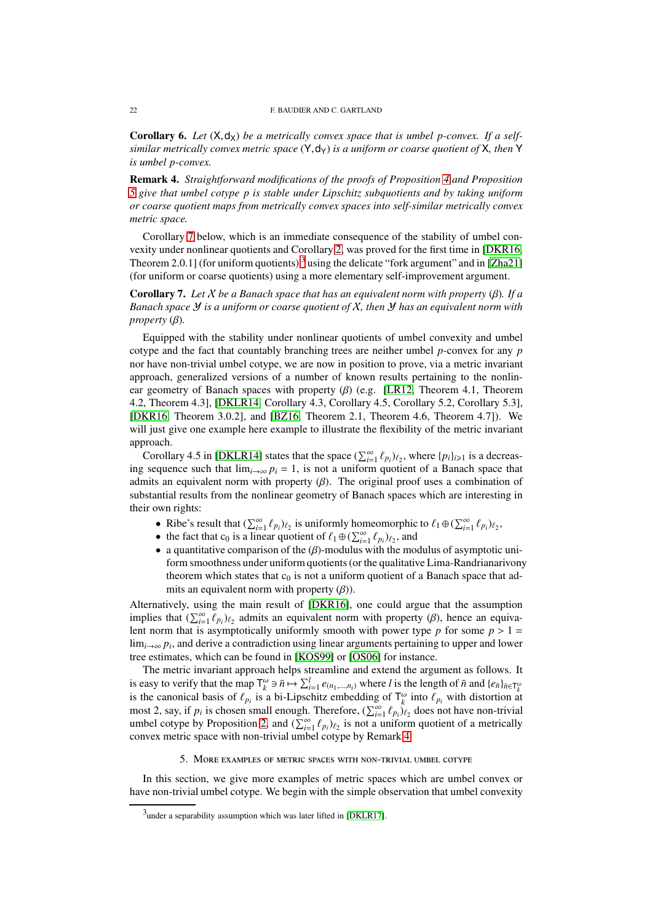<span id="page-21-4"></span>**Corollary 6.** Let  $(X, d_X)$  be a metrically convex space that is umbel p-convex. If a self*similar metrically convex metric space* (Y,dY) *is a uniform or coarse quotient of* X*, then* Y *is umbel p-convex.*

<span id="page-21-3"></span>Remark 4. *Straightforward modifications of the proofs of Proposition [4](#page-17-0) and Proposition [5](#page-18-0) give that umbel cotype p is stable under Lipschitz subquotients and by taking uniform or coarse quotient maps from metrically convex spaces into self-similar metrically convex metric space.*

Corollary [7](#page-21-1) below, which is an immediate consequence of the stability of umbel convexity under nonlinear quotients and Corollary [2,](#page-11-4) was proved for the first time in [\[DKR16,](#page-41-10) Theorem 2.0.1] (for uniform quotients)<sup>[3](#page-21-2)</sup> using the delicate "fork argument" and in [\[Zha21\]](#page-42-5) (for uniform or coarse quotients) using a more elementary self-improvement argument.

<span id="page-21-1"></span>Corollary 7. *Let* X *be a Banach space that has an equivalent norm with property* (β)*. If a Banach space* Y *is a uniform or coarse quotient of* X*, then* Y *has an equivalent norm with property* (β)*.*

Equipped with the stability under nonlinear quotients of umbel convexity and umbel cotype and the fact that countably branching trees are neither umbel *p*-convex for any *p* nor have non-trivial umbel cotype, we are now in position to prove, via a metric invariant approach, generalized versions of a number of known results pertaining to the nonlinear geometry of Banach spaces with property  $(\beta)$  (e.g. [\[LR12,](#page-41-13) Theorem 4.1, Theorem 4.2, Theorem 4.3], [\[DKLR14,](#page-41-14) Corollary 4.3, Corollary 4.5, Corollary 5.2, Corollary 5.3], [\[DKR16,](#page-41-10) Theorem 3.0.2], and [\[BZ16,](#page-41-12) Theorem 2.1, Theorem 4.6, Theorem 4.7]). We will just give one example here example to illustrate the flexibility of the metric invariant approach.

Corollary 4.5 in [\[DKLR14\]](#page-41-14) states that the space  $(\sum_{i=1}^{\infty} \ell_{p_i})_{\ell_2}$ , where  $\{p_i\}_{i\geq 1}$  is a decreasing sequence such that  $\lim_{i\to\infty} p_i = 1$ , is not a uniform quotient of a Banach space that admits an equivalent norm with property  $(\beta)$ . The original proof uses a combination of substantial results from the nonlinear geometry of Banach spaces which are interesting in their own rights:

- Ribe's result that  $(\sum_{i=1}^{\infty} \ell_{p_i})_{\ell_2}$  is uniformly homeomorphic to  $\ell_1 \oplus (\sum_{i=1}^{\infty} \ell_{p_i})_{\ell_2}$ ,
- the fact that c<sub>0</sub> is a linear quotient of  $\ell_1 \oplus (\sum_{i=1}^{\infty} \ell_{p_i})_{\ell_2}$ , and
- a quantitative comparison of the  $(\beta)$ -modulus with the modulus of asymptotic uniform smoothness under uniform quotients (or the qualitative Lima-Randrianarivony theorem which states that  $c_0$  is not a uniform quotient of a Banach space that admits an equivalent norm with property  $(\beta)$ ).

Alternatively, using the main result of [\[DKR16\]](#page-41-10), one could argue that the assumption implies that  $(\sum_{i=1}^{\infty} \ell_{pi})_{\ell_2}$  admits an equivalent norm with property ( $\beta$ ), hence an equivalent norm that is asymptotically uniformly smooth with power type  $p$  for some  $p > 1$  $\lim_{i\to\infty} p_i$ , and derive a contradiction using linear arguments pertaining to upper and lower tree estimates, which can be found in [\[KOS99\]](#page-41-20) or [\[OS06\]](#page-42-9) for instance.

The metric invariant approach helps streamline and extend the argument as follows. It is easy to verify that the map  $\mathsf{T}^{\omega}_k \ni \bar{n} \mapsto \sum_{i=1}^l e_{(n_1,\dots,n_i)}$  where *l* is the length of  $\bar{n}$  and  $\{e_{\bar{n}}\}_{\bar{n}\in\mathsf{T}^{\omega}_k}$ is the canonical basis of  $\ell_{p_i}$  is a bi-Lipschitz embedding of  $\mathsf{T}^\omega_k$  into  $\ell_{p_i}$  with distortion at most 2, say, if  $p_i$  is chosen small enough. Therefore,  $(\sum_{i=1}^{\infty} \ell_{p_i})_{\ell_2}$  does not have non-trivial umbel cotype by Proposition [2,](#page-13-0) and  $(\sum_{i=1}^{\infty} \ell_{p_i})_{\ell_2}$  is not a uniform quotient of a metrically convex metric space with non-trivial umbel cotype by Remark [4.](#page-21-3)

### 5. More examples of metric spaces with non-trivial umbel cotype

<span id="page-21-0"></span>In this section, we give more examples of metric spaces which are umbel convex or have non-trivial umbel cotype. We begin with the simple observation that umbel convexity

<span id="page-21-2"></span> $3$ under a separability assumption which was later lifted in [\[DKLR17\]](#page-41-8).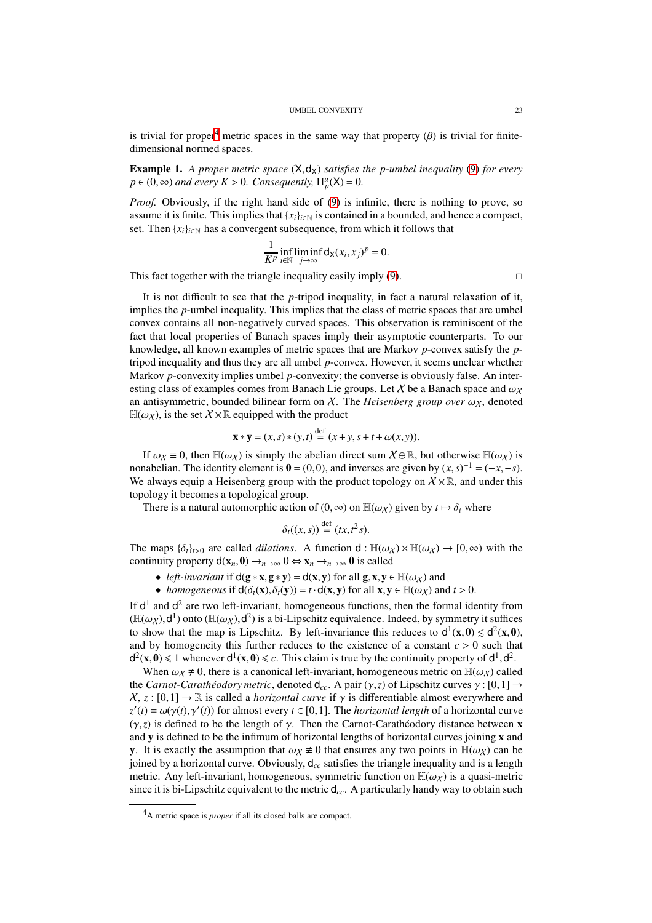is trivial for proper<sup>[4](#page-22-0)</sup> metric spaces in the same way that property  $(\beta)$  is trivial for finitedimensional normed spaces.

**Example 1.** A proper metric space  $(X, d_X)$  satisfies the p-umbel inequality [\(9\)](#page-7-1) for every  $p \in (0, \infty)$  *and every*  $K > 0$ *. Consequently,*  $\Pi_p^u(X) = 0$ *.* 

*Proof.* Obviously, if the right hand side of [\(9\)](#page-7-1) is infinite, there is nothing to prove, so assume it is finite. This implies that  ${x_i}_{i \in \mathbb{N}}$  is contained in a bounded, and hence a compact, set. Then  $\{x_i\}_{i \in \mathbb{N}}$  has a convergent subsequence, from which it follows that

$$
\frac{1}{K^p} \inf_{i \in \mathbb{N}} \liminf_{j \to \infty} \mathsf{d}_{\mathsf{X}}(x_i, x_j)^p = 0.
$$

This fact together with the triangle inequality easily imply  $(9)$ .

It is not difficult to see that the *p*-tripod inequality, in fact a natural relaxation of it, implies the *p*-umbel inequality. This implies that the class of metric spaces that are umbel convex contains all non-negatively curved spaces. This observation is reminiscent of the fact that local properties of Banach spaces imply their asymptotic counterparts. To our knowledge, all known examples of metric spaces that are Markov *p*-convex satisfy the *p*tripod inequality and thus they are all umbel *p*-convex. However, it seems unclear whether Markov *p*-convexity implies umbel *p*-convexity; the converse is obviously false. An interesting class of examples comes from Banach Lie groups. Let X be a Banach space and  $\omega_X$ an antisymmetric, bounded bilinear form on  $\chi$ . The *Heisenberg group over*  $\omega_{\chi}$ , denoted  $H(\omega_X)$ , is the set  $X \times \mathbb{R}$  equipped with the product

$$
\mathbf{x} * \mathbf{y} = (x, s) * (y, t) \stackrel{\text{def}}{=} (x + y, s + t + \omega(x, y)).
$$

If  $\omega_X \equiv 0$ , then  $\mathbb{H}(\omega_X)$  is simply the abelian direct sum  $\chi \oplus \mathbb{R}$ , but otherwise  $\mathbb{H}(\omega_X)$  is nonabelian. The identity element is  $\mathbf{0} = (0,0)$ , and inverses are given by  $(x, s)^{-1} = (-x, -s)$ . We always equip a Heisenberg group with the product topology on  $X \times \mathbb{R}$ , and under this topology it becomes a topological group.

There is a natural automorphic action of  $(0, \infty)$  on  $\mathbb{H}(\omega_X)$  given by  $t \mapsto \delta_t$  where

$$
\delta_t((x,s)) \stackrel{\text{def}}{=} (tx,t^2s).
$$

The maps  $\{\delta_t\}_{t>0}$  are called *dilations*. A function  $d : \mathbb{H}(\omega_X) \times \mathbb{H}(\omega_X) \to [0, \infty)$  with the continuity property  $d(\mathbf{x}_n, \mathbf{0}) \to_{n \to \infty} 0 \Leftrightarrow \mathbf{x}_n \to_{n \to \infty} 0$  is called

• *left-invariant* if  $d(g * x, g * y) = d(x, y)$  for all  $g, x, y \in \mathbb{H}(\omega_X)$  and

• *homogeneous* if  $d(\delta_t(\mathbf{x}), \delta_t(\mathbf{y})) = t \cdot d(\mathbf{x}, \mathbf{y})$  for all  $\mathbf{x}, \mathbf{y} \in \mathbb{H}(\omega_X)$  and  $t > 0$ .

If  $d^1$  and  $d^2$  are two left-invariant, homogeneous functions, then the formal identity from ( $\mathbb{H}(\omega_X)$ , $d^1$ ) onto ( $\mathbb{H}(\omega_X)$ , $d^2$ ) is a bi-Lipschitz equivalence. Indeed, by symmetry it suffices to show that the map is Lipschitz. By left-invariance this reduces to  $d^1(x, 0) \le d^2(x, 0)$ , and by homogeneity this further reduces to the existence of a constant  $c > 0$  such that  $d^2(x, 0) \leq 1$  whenever  $d^1(x, 0) \leq c$ . This claim is true by the continuity property of  $d^1, d^2$ .

When  $\omega_X \neq 0$ , there is a canonical left-invariant, homogeneous metric on  $\mathbb{H}(\omega_X)$  called the *Carnot-Carathéodory metric*, denoted  $d_{cc}$ . A pair (γ, *z*) of Lipschitz curves  $\gamma$  : [0, 1]  $\rightarrow$  $X, z : [0,1] \to \mathbb{R}$  is called a *horizontal curve* if  $\gamma$  is differentiable almost everywhere and  $z'(t) = \omega(\gamma(t), \gamma'(t))$  for almost every  $t \in [0, 1]$ . The *horizontal length* of a horizontal curve ( $\gamma$ , $z$ ) is defined to be the length of  $\gamma$ . Then the Carnot-Carathéodory distance between **x** and y is defined to be the infimum of horizontal lengths of horizontal curves joining x and **v**. It is exactly the assumption that  $\omega_X \neq 0$  that ensures any two points in  $\mathbb{H}(\omega_X)$  can be joined by a horizontal curve. Obviously, d*cc* satisfies the triangle inequality and is a length metric. Any left-invariant, homogeneous, symmetric function on  $\mathbb{H}(\omega_X)$  is a quasi-metric since it is bi-Lipschitz equivalent to the metric  $d_{cc}$ . A particularly handy way to obtain such

<span id="page-22-0"></span><sup>4</sup>A metric space is *proper* if all its closed balls are compact.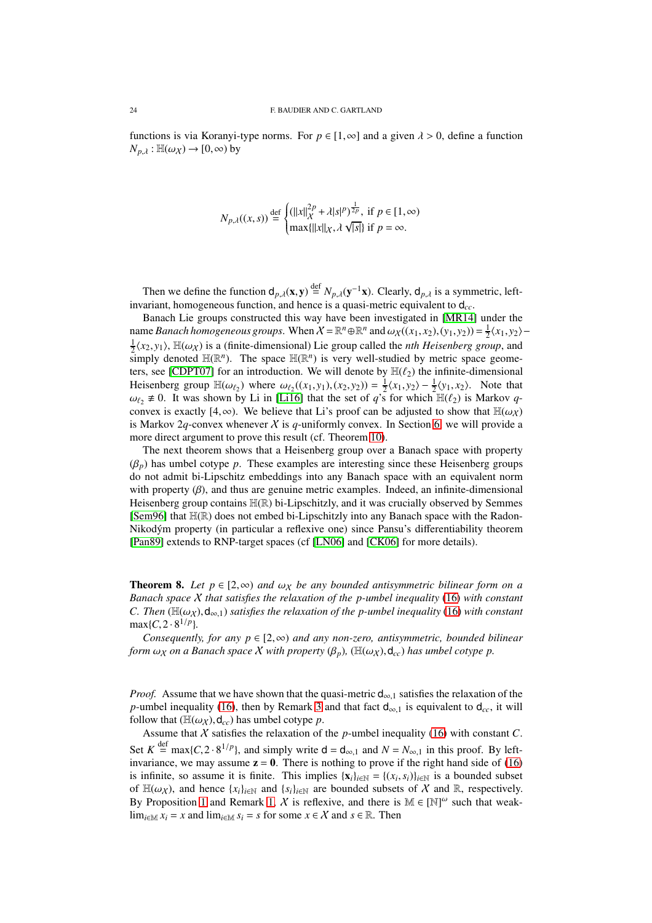functions is via Koranyi-type norms. For  $p \in [1, \infty]$  and a given  $\lambda > 0$ , define a function  $N_{p,\lambda}$ :  $\mathbb{H}(\omega_X) \to [0,\infty)$  by

$$
N_{p,\lambda}((x,s)) \stackrel{\text{def}}{=} \begin{cases} (||x||_{\chi}^{2p} + \lambda |s|^p)^{\frac{1}{2p}}, \text{ if } p \in [1, \infty) \\ \max\{||x||_{\chi}, \lambda \sqrt{|s|}\} \text{ if } p = \infty. \end{cases}
$$

Then we define the function  $d_{p,\lambda}(\mathbf{x}, \mathbf{y}) \stackrel{\text{def}}{=} N_{p,\lambda}(\mathbf{y}^{-1}\mathbf{x})$ . Clearly,  $d_{p,\lambda}$  is a symmetric, leftinvariant, homogeneous function, and hence is a quasi-metric equivalent to d*cc*.

Banach Lie groups constructed this way have been investigated in [\[MR14\]](#page-41-21) under the name *Banach homogeneous groups*. When  $X = \mathbb{R}^n \oplus \mathbb{R}^n$  and  $\omega_X((x_1, x_2), (y_1, y_2)) = \frac{1}{2} \langle x_1, y_2 \rangle \frac{1}{2}\langle x_2, y_1 \rangle$ ,  $\mathbb{H}(\omega_X)$  is a (finite-dimensional) Lie group called the *nth Heisenberg group*, and simply denoted  $\mathbb{H}(\mathbb{R}^n)$ . The space  $\mathbb{H}(\mathbb{R}^n)$  is very well-studied by metric space geome-ters, see [\[CDPT07\]](#page-41-22) for an introduction. We will denote by  $\mathbb{H}(\ell_2)$  the infinite-dimensional Heisenberg group  $\mathbb{H}(\omega_{\ell_2})$  where  $\omega_{\ell_2}((x_1, y_1), (x_2, y_2)) = \frac{1}{2}\langle x_1, y_2 \rangle - \frac{1}{2}\langle y_1, x_2 \rangle$ . Note that  $\omega_{\ell}$ ,  $\neq$  0. It was shown by Li in [\[Li16\]](#page-41-23) that the set of *q*'s for which  $\mathbb{H}(\ell_2)$  is Markov *q*convex is exactly [4, $\infty$ ). We believe that Li's proof can be adjusted to show that  $\mathbb{H}(\omega_X)$ is Markov 2q-convex whenever  $X$  is q-uniformly convex. In Section [6,](#page-26-0) we will provide a more direct argument to prove this result (cf. Theorem [10\)](#page-26-1).

The next theorem shows that a Heisenberg group over a Banach space with property  $(\beta_p)$  has umbel cotype *p*. These examples are interesting since these Heisenberg groups do not admit bi-Lipschitz embeddings into any Banach space with an equivalent norm with property  $(\beta)$ , and thus are genuine metric examples. Indeed, an infinite-dimensional Heisenberg group contains H(R) bi-Lipschitzly, and it was crucially observed by Semmes [\[Sem96\]](#page-42-10) that H(R) does not embed bi-Lipschitzly into any Banach space with the Radon-Nikodým property (in particular a reflexive one) since Pansu's differentiability theorem [\[Pan89\]](#page-42-11) extends to RNP-target spaces (cf [\[LN06\]](#page-41-24) and [\[CK06\]](#page-41-25) for more details).

<span id="page-23-0"></span>**Theorem 8.** Let  $p \in [2, \infty)$  and  $\omega_X$  be any bounded antisymmetric bilinear form on a *Banach space* X *that satisfies the relaxation of the p-umbel inequality* [\(16\)](#page-11-0) *with constant C. Then* ( $\mathbb{H}(\omega_X)$ ,  $d_{\infty,1}$ ) *satisfies the relaxation of the p-umbel inequality* [\(16\)](#page-11-0) *with constant*  $max{C, 2 \cdot 8^{1/p}}.$ 

*Consequently, for any p*  $\in$  [2, $\infty$ ) *and any non-zero, antisymmetric, bounded bilinear form*  $\omega_X$  *on a Banach space* X *with property* ( $\beta_p$ ), ( $\mathbb{H}(\omega_X)$ , $d_{cc}$ ) *has umbel cotype p.* 

*Proof.* Assume that we have shown that the quasi-metric  $d_{\infty,1}$  satisfies the relaxation of the *p*-umbel inequality [\(16\)](#page-11-0), then by Remark [3](#page-12-4) and that fact  $d_{\infty,1}$  is equivalent to  $d_{cc}$ , it will follow that  $(H(\omega_X), \mathsf{d}_{cc})$  has umbel cotype *p*.

Assume that  $X$  satisfies the relaxation of the  $p$ -umbel inequality [\(16\)](#page-11-0) with constant  $C$ . Set  $K \stackrel{\text{def}}{=} \max\{C, 2 \cdot 8^{1/p}\}\$ , and simply write  $d = d_{\infty,1}$  and  $N = N_{\infty,1}$  in this proof. By leftinvariance, we may assume  $z = 0$ . There is nothing to prove if the right hand side of [\(16\)](#page-11-0) is infinite, so assume it is finite. This implies  $\{x_i\}_{i\in\mathbb{N}} = \{(x_i, s_i)\}_{i\in\mathbb{N}}$  is a bounded subset of  $\mathbb{H}(\omega_X)$ , and hence  $\{x_i\}_{i\in\mathbb{N}}$  and  $\{s_i\}_{i\in\mathbb{N}}$  are bounded subsets of X and R, respectively. By Proposition [1](#page-11-3) and Remark [1,](#page-11-5) X is reflexive, and there is  $\mathbb{M} \in [\mathbb{N}]^{\omega}$  such that weaklim<sub>*i*∈M</sub>  $x_i = x$  and lim<sub>*i*∈M</sub>  $s_i = s$  for some  $x \in \mathcal{X}$  and  $s \in \mathbb{R}$ . Then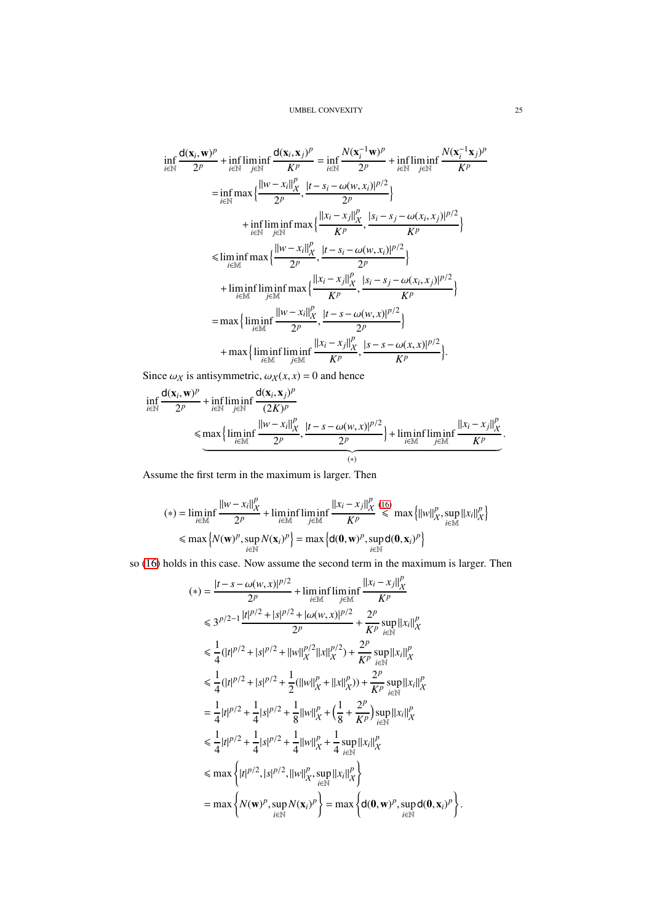$$
\inf_{i \in \mathbb{N}} \frac{d(\mathbf{x}_i, \mathbf{w})^p}{2^p} + \inf_{i \in \mathbb{N}} \lim_{j \in \mathbb{N}} \frac{d(\mathbf{x}_i, \mathbf{x}_j)^p}{K^p} = \inf_{i \in \mathbb{N}} \frac{N(\mathbf{x}_i^{-1} \mathbf{w})^p}{2^p} + \inf_{i \in \mathbb{N}} \liminf_{j \in \mathbb{N}} \frac{N(\mathbf{x}_i^{-1} \mathbf{x}_j)^p}{K^p}
$$
\n
$$
= \inf_{i \in \mathbb{N}} \max \left\{ \frac{\|w - x_i\|_X^p}{2^p}, \frac{|t - s_i - \omega(w, x_i)|^{p/2}}{2^p} \right\}
$$
\n
$$
+ \inf_{i \in \mathbb{N}} \liminf_{j \in \mathbb{N}} \max \left\{ \frac{\|x_i - x_j\|_X^p}{K^p}, \frac{|s_i - s_j - \omega(x_i, x_j)|^{p/2}}{K^p} \right\}
$$
\n
$$
\leq \liminf_{i \in \mathbb{M}} \max \left\{ \frac{\|w - x_i\|_X^p}{2^p}, \frac{|t - s_i - \omega(w, x_i)|^{p/2}}{2^p} \right\}
$$
\n
$$
+ \liminf_{i \in \mathbb{M}} \liminf_{j \in \mathbb{M}} \max \left\{ \frac{\|x_i - x_j\|_X^p}{K^p}, \frac{|s_i - s_j - \omega(x_i, x_j)|^{p/2}}{K^p} \right\}
$$
\n
$$
= \max \left\{ \liminf_{i \in \mathbb{M}} \frac{\|w - x_i\|_X^p}{2^p}, \frac{|t - s - \omega(w, x)|^{p/2}}{2^p} \right\}
$$
\n
$$
+ \max \left\{ \liminf_{i \in \mathbb{M}} \liminf_{j \in \mathbb{M}} \frac{\|x_i - x_j\|_X^p}{K^p}, \frac{|s - s - \omega(x, x)|^{p/2}}{K^p} \right\}.
$$

Since  $\omega_X$  is antisymmetric,  $\omega_X(x, x) = 0$  and hence

$$
\inf_{i \in \mathbb{N}} \frac{d(\mathbf{x}_i, \mathbf{w})^p}{2^p} + \inf_{i \in \mathbb{N}} \liminf_{j \in \mathbb{N}} \frac{d(\mathbf{x}_i, \mathbf{x}_j)^p}{(2K)^p} \le \max \left\{ \liminf_{i \in \mathbb{M}} \frac{||w - x_i||_X^p}{2^p}, \frac{|t - s - \omega(w, x)|^{p/2}}{2^p} \right\} + \liminf_{i \in \mathbb{M}} \liminf_{j \in \mathbb{M}} \frac{||x_i - x_j||_X^p}{K^p}.
$$

Assume the first term in the maximum is larger. Then

$$
(*) = \liminf_{i \in \mathbb{M}} \frac{\|w - x_i\|_X^p}{2^p} + \liminf_{i \in \mathbb{M}} \liminf_{j \in \mathbb{M}} \frac{\|x_i - x_j\|_X^p}{K^p} \le \max\left\{\|w\|_X^p, \sup_{i \in \mathbb{M}} \|x_i\|_X^p\right\}
$$

$$
\le \max\left\{N(\mathbf{w})^p, \sup_{i \in \mathbb{N}} N(\mathbf{x}_i)^p\right\} = \max\left\{\mathbf{d}(\mathbf{0}, \mathbf{w})^p, \sup_{i \in \mathbb{N}} \mathbf{d}(\mathbf{0}, \mathbf{x}_i)^p\right\}
$$

so [\(16\)](#page-11-0) holds in this case. Now assume the second term in the maximum is larger. Then

$$
(*) = \frac{|t - s - \omega(w, x)|^{p/2}}{2^p} + \lim_{i \in \mathbb{M}} \inf_{j \in \mathbb{M}} \frac{||x_i - x_j||_X^p}{K^p} \n\leq 3^{p/2 - 1} \frac{|t|^{p/2} + |s|^{p/2} + |\omega(w, x)|^{p/2}}{2^p} + \frac{2^p}{K^p} \sup_{i \in \mathbb{N}} ||x_i||_X^p \n\leq \frac{1}{4} (|t|^{p/2} + |s|^{p/2} + ||w||_X^{p/2} ||x||_X^{p/2}) + \frac{2^p}{K^p} \sup_{i \in \mathbb{N}} ||x_i||_X^p \n\leq \frac{1}{4} (|t|^{p/2} + |s|^{p/2} + \frac{1}{2} (||w||_X^p + ||x||_X^p)) + \frac{2^p}{K^p} \sup_{i \in \mathbb{N}} ||x_i||_X^p \n= \frac{1}{4} |t|^{p/2} + \frac{1}{4} |s|^{p/2} + \frac{1}{8} ||w||_X^p + (\frac{1}{8} + \frac{2^p}{K^p}) \sup_{i \in \mathbb{N}} ||x_i||_X^p \n\leq \frac{1}{4} |t|^{p/2} + \frac{1}{4} |s|^{p/2} + \frac{1}{4} ||w||_X^p + \frac{1}{4} \sup_{i \in \mathbb{N}} ||x_i||_X^p \n\leq \max \left\{ |t|^{p/2}, |s|^{p/2}, ||w||_X^p, \sup_{i \in \mathbb{N}} ||x_i||_X^p \right\} \n= \max \left\{ N(\mathbf{w})^p, \sup_{i \in \mathbb{N}} N(\mathbf{x}_i)^p \right\} = \max \left\{ d(\mathbf{0}, \mathbf{w})^p, \sup_{i \in \mathbb{N}} d(\mathbf{0}, \mathbf{x}_i)^p \right\}.
$$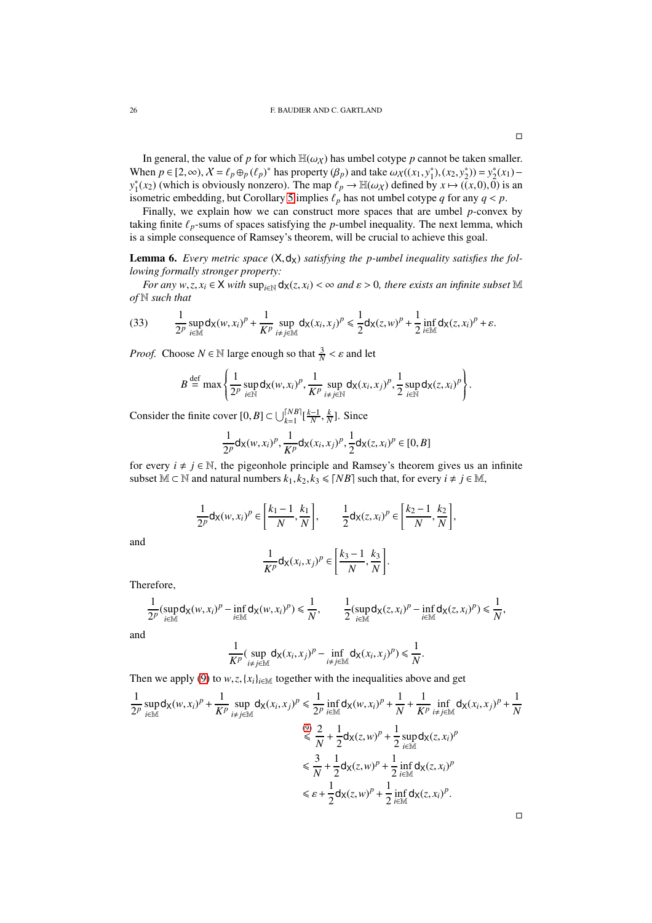In general, the value of *p* for which  $\mathbb{H}(\omega_X)$  has umbel cotype *p* cannot be taken smaller. When  $p \in [2, \infty)$ ,  $X = \ell_p \oplus_p (\ell_p)^*$  has property  $(\beta_p)$  and take  $\omega_X((x_1, y_1^*), (x_2, y_2^*)) = y_2^*(x_1)$  $y_1^*(x_2)$  (which is obviously nonzero). The map  $\ell_p \to \mathbb{H}(\omega_X)$  defined by  $x \mapsto ((x,0),0)$  is an isometric embedding, but Corollary [5](#page-16-2) implies  $\ell_p$  has not umbel cotype *q* for any  $q < p$ .

Finally, we explain how we can construct more spaces that are umbel *p*-convex by taking finite  $\ell_p$ -sums of spaces satisfying the  $p$ -umbel inequality. The next lemma, which is a simple consequence of Ramsey's theorem, will be crucial to achieve this goal.

<span id="page-25-0"></span>**Lemma 6.** Every metric space  $(X, d_X)$  satisfying the p-umbel inequality satisfies the fol*lowing formally stronger property:*

*For any*  $w, z, x_i \in X$  *with*  $\sup_{i \in \mathbb{N}} d_X(z, x_i) < \infty$  *and*  $\varepsilon > 0$ *, there exists an infinite subset* M *of* N *such that*

(33) 
$$
\frac{1}{2^p}\sup_{i\in\mathbb{M}}d_X(w,x_i)^p+\frac{1}{K^p}\sup_{i\neq j\in\mathbb{M}}d_X(x_i,x_j)^p\leq \frac{1}{2}d_X(z,w)^p+\frac{1}{2}\inf_{i\in\mathbb{M}}d_X(z,x_i)^p+\varepsilon.
$$

*Proof.* Choose  $N \in \mathbb{N}$  large enough so that  $\frac{3}{N} < \varepsilon$  and let

$$
B \stackrel{\text{def}}{=} \max \left\{ \frac{1}{2^p} \sup_{i \in \mathbb{N}} d_{\mathsf{X}}(w, x_i)^p, \frac{1}{K^p} \sup_{i \neq j \in \mathbb{N}} d_{\mathsf{X}}(x_i, x_j)^p, \frac{1}{2} \sup_{i \in \mathbb{N}} d_{\mathsf{X}}(z, x_i)^p \right\}.
$$

Consider the finite cover  $[0, B] \subset \bigcup_{k=1}^{\lceil NB \rceil} \left[\frac{k-1}{N}, \frac{k}{N}\right]$ . Since

$$
\frac{1}{2^{p}} \mathsf{d}_{\mathsf{X}}(w, x_{i})^{p}, \frac{1}{K^{p}} \mathsf{d}_{\mathsf{X}}(x_{i}, x_{j})^{p}, \frac{1}{2} \mathsf{d}_{\mathsf{X}}(z, x_{i})^{p} \in [0, B]
$$

for every  $i \neq j \in \mathbb{N}$ , the pigeonhole principle and Ramsey's theorem gives us an infinite subset  $M \subset N$  and natural numbers  $k_1, k_2, k_3 \leq N B$ ] such that, for every  $i \neq j \in M$ ,

$$
\frac{1}{2^p} \mathsf{d}_\mathsf{X}(w,x_i)^p \in \left[\frac{k_1-1}{N},\frac{k_1}{N}\right], \qquad \frac{1}{2} \mathsf{d}_\mathsf{X}(z,x_i)^p \in \left[\frac{k_2-1}{N},\frac{k_2}{N}\right],
$$

and

$$
\frac{1}{K^p} \mathsf{d}_\mathsf{X}(x_i, x_j)^p \in \left[\frac{k_3 - 1}{N}, \frac{k_3}{N}\right].
$$

Therefore,

$$
\frac{1}{2^p}(\sup_{i\in\mathbb{M}}d_X(w,x_i)^p-\inf_{i\in\mathbb{M}}d_X(w,x_i)^p)\leq\frac{1}{N},\qquad\frac{1}{2}(\sup_{i\in\mathbb{M}}d_X(z,x_i)^p-\inf_{i\in\mathbb{M}}d_X(z,x_i)^p)\leq\frac{1}{N},
$$

and

$$
\frac{1}{K^p}(\sup_{i\neq j\in\mathbb{M}}\mathsf{d}_X(x_i,x_j)^p-\inf_{i\neq j\in\mathbb{M}}\mathsf{d}_X(x_i,x_j)^p)\leq \frac{1}{N}.
$$

Then we apply [\(9\)](#page-7-1) to  $w, z, \{x_i\}_{i \in \mathbb{M}}$  together with the inequalities above and get

$$
\frac{1}{2^p} \sup_{i \in \mathbb{M}} d_{\mathsf{X}}(w, x_i)^p + \frac{1}{K^p} \sup_{i \neq j \in \mathbb{M}} d_{\mathsf{X}}(x_i, x_j)^p \le \frac{1}{2^p} \inf_{i \in \mathbb{M}} d_{\mathsf{X}}(w, x_i)^p + \frac{1}{N} + \frac{1}{K^p} \inf_{i \neq j \in \mathbb{M}} d_{\mathsf{X}}(x_i, x_j)^p + \frac{1}{N}
$$
\n
$$
\overset{(9)}{\leq} \frac{2}{N} + \frac{1}{2} d_{\mathsf{X}}(z, w)^p + \frac{1}{2} \sup_{i \in \mathbb{M}} d_{\mathsf{X}}(z, x_i)^p
$$
\n
$$
\leq \frac{3}{N} + \frac{1}{2} d_{\mathsf{X}}(z, w)^p + \frac{1}{2} \inf_{i \in \mathbb{M}} d_{\mathsf{X}}(z, x_i)^p
$$
\n
$$
\leq \varepsilon + \frac{1}{2} d_{\mathsf{X}}(z, w)^p + \frac{1}{2} \inf_{i \in \mathbb{M}} d_{\mathsf{X}}(z, x_i)^p.
$$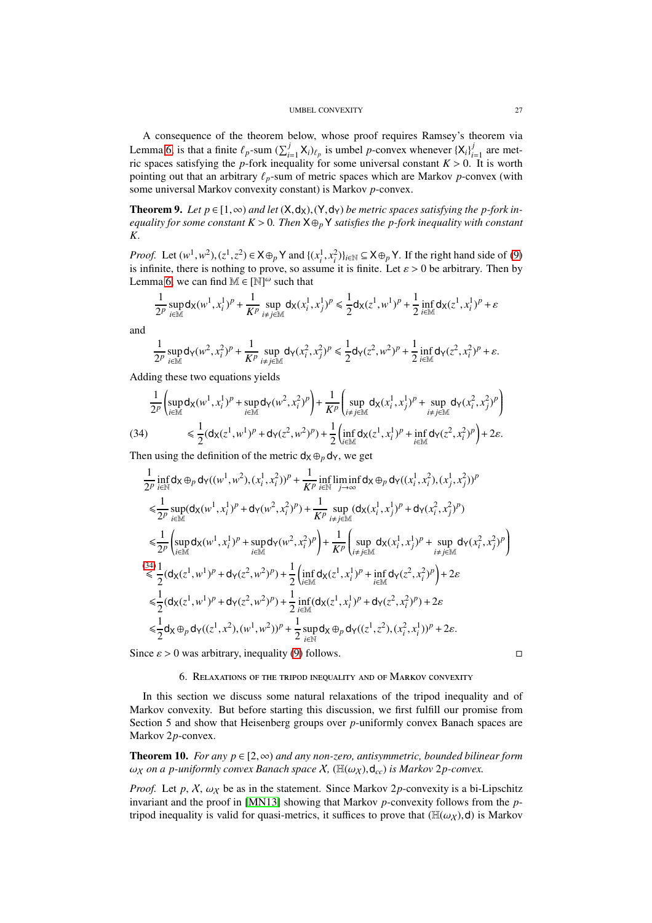A consequence of the theorem below, whose proof requires Ramsey's theorem via Lemma [6,](#page-25-0) is that a finite  $\ell_p$ -sum  $(\sum_{i=1}^j X_i)_{\ell_p}$  is umbel *p*-convex whenever  $\{X_i\}_{i=1}^j$  $\frac{J}{i=1}$  are metric spaces satisfying the  $p$ -fork inequality for some universal constant  $K > 0$ . It is worth pointing out that an arbitrary  $\ell_p$ -sum of metric spaces which are Markov  $p$ -convex (with some universal Markov convexity constant) is Markov *p*-convex.

Theorem 9. Let  $p \in [1, \infty)$  and let  $(X, d_X)$ ,  $(Y, d_Y)$  be metric spaces satisfying the p-fork in*equality for some constant K* > 0*. Then* X⊕*<sup>p</sup>* Y *satisfies the p-fork inequality with constant K.*

*Proof.* Let  $(w^1, w^2)$ ,  $(z^1, z^2) \in X \oplus_p Y$  and  $\{(x_i^1, x_i^2)\}_{i \in \mathbb{N}} \subseteq X \oplus_p Y$ . If the right hand side of [\(9\)](#page-7-1) is infinite, there is nothing to prove, so assume it is finite. Let  $\varepsilon > 0$  be arbitrary. Then by Lemma [6,](#page-25-0) we can find  $\mathbb{M} \in [\mathbb{N}]^{\omega}$  such that

$$
\frac{1}{2^p} \sup_{i \in \mathbb{M}} d_X(w^1, x_i^1)^p + \frac{1}{K^p} \sup_{i \neq j \in \mathbb{M}} d_X(x_i^1, x_j^1)^p \le \frac{1}{2} d_X(z^1, w^1)^p + \frac{1}{2} \inf_{i \in \mathbb{M}} d_X(z^1, x_i^1)^p + \varepsilon
$$

and

$$
\frac{1}{2^p} \sup_{i \in \mathbb{M}} d_{\mathsf{Y}}(w^2, x_i^2)^p + \frac{1}{K^p} \sup_{i \neq j \in \mathbb{M}} d_{\mathsf{Y}}(x_i^2, x_j^2)^p \le \frac{1}{2} d_{\mathsf{Y}}(z^2, w^2)^p + \frac{1}{2} \inf_{i \in \mathbb{M}} d_{\mathsf{Y}}(z^2, x_i^2)^p + \varepsilon.
$$

Adding these two equations yields

$$
\frac{1}{2^{p}} \left( \sup_{i \in \mathbb{M}} d_{\mathsf{X}}(w^{1}, x_{i}^{1})^{p} + \sup_{i \in \mathbb{M}} d_{\mathsf{Y}}(w^{2}, x_{i}^{2})^{p} \right) + \frac{1}{K^{p}} \left( \sup_{i \neq j \in \mathbb{M}} d_{\mathsf{X}}(x_{i}^{1}, x_{j}^{1})^{p} + \sup_{i \neq j \in \mathbb{M}} d_{\mathsf{Y}}(x_{i}^{2}, x_{j}^{2})^{p} \right)
$$
\n(34) 
$$
\leq \frac{1}{2} (d_{\mathsf{X}}(z^{1}, w^{1})^{p} + d_{\mathsf{Y}}(z^{2}, w^{2})^{p}) + \frac{1}{2} \left( \inf_{i \in \mathbb{M}} d_{\mathsf{X}}(z^{1}, x_{i}^{1})^{p} + \inf_{i \in \mathbb{M}} d_{\mathsf{Y}}(z^{2}, x_{i}^{2})^{p} \right) + 2\varepsilon.
$$

<span id="page-26-2"></span>Then using the definition of the metric  $d_X \oplus_p d_Y$ , we get

$$
\frac{1}{2^{p}} \inf_{i \in \mathbb{N}} d_{\mathsf{X}} \oplus_{p} d_{\mathsf{Y}}((w^{1}, w^{2}), (x_{i}^{1}, x_{i}^{2}))^{p} + \frac{1}{K^{p}} \inf_{i \in \mathbb{N}} \liminf_{j \to \infty} d_{\mathsf{X}} \oplus_{p} d_{\mathsf{Y}}((x_{i}^{1}, x_{i}^{2}), (x_{j}^{1}, x_{j}^{2}))^{p}
$$
\n
$$
\leq \frac{1}{2^{p}} \sup_{i \in \mathbb{M}} (d_{\mathsf{X}}(w^{1}, x_{i}^{1})^{p} + d_{\mathsf{Y}}(w^{2}, x_{i}^{2})^{p}) + \frac{1}{K^{p}} \sup_{i \neq j \in \mathbb{M}} (d_{\mathsf{X}}(x_{i}^{1}, x_{j}^{1})^{p} + d_{\mathsf{Y}}(x_{i}^{2}, x_{j}^{2})^{p})
$$
\n
$$
\leq \frac{1}{2^{p}} \left( \sup_{i \in \mathbb{M}} d_{\mathsf{X}}(w^{1}, x_{i}^{1})^{p} + \sup_{i \in \mathbb{M}} d_{\mathsf{Y}}(w^{2}, x_{i}^{2})^{p} \right) + \frac{1}{K^{p}} \left( \sup_{i \neq j \in \mathbb{M}} d_{\mathsf{X}}(x_{i}^{1}, x_{j}^{1})^{p} + \sup_{i \neq j \in \mathbb{M}} d_{\mathsf{Y}}(x_{i}^{2}, x_{j}^{2})^{p} \right)
$$
\n
$$
\leq \frac{1}{2} (d_{\mathsf{X}}(z^{1}, w^{1})^{p} + d_{\mathsf{Y}}(z^{2}, w^{2})^{p}) + \frac{1}{2} \left( \inf_{i \in \mathbb{M}} d_{\mathsf{X}}(z^{1}, x_{i}^{1})^{p} + \inf_{i \in \mathbb{M}} d_{\mathsf{Y}}(z^{2}, x_{i}^{2})^{p} \right) + 2\varepsilon
$$
\n
$$
\leq \frac{1}{2} (d_{\mathsf{X}}(z^{1}, w^{1})^{p} + d_{\mathsf{Y}}(z^{2}, w^{2})^{p}) + \frac{1}{2} \inf_{i \in \mathbb{M}} (d_{\mathsf{X}}(z
$$

<span id="page-26-0"></span>Since  $\varepsilon > 0$  was arbitrary, inequality [\(9\)](#page-7-1) follows.

### 6. Relaxations of the tripod inequality and of Markov convexity

In this section we discuss some natural relaxations of the tripod inequality and of Markov convexity. But before starting this discussion, we first fulfill our promise from Section 5 and show that Heisenberg groups over *p*-uniformly convex Banach spaces are Markov 2*p*-convex.

<span id="page-26-1"></span>**Theorem 10.** *For any p* ∈  $[2, ∞)$  *and any non-zero, antisymmetric, bounded bilinear form*  $\omega_X$  *on a p-uniformly convex Banach space* X, ( $\mathbb{H}(\omega_X)$ ,  $d_{cc}$ ) *is Markov 2p-convex.* 

*Proof.* Let p,  $X$ ,  $\omega_X$  be as in the statement. Since Markov 2p-convexity is a bi-Lipschitz invariant and the proof in [\[MN13\]](#page-41-4) showing that Markov *p*-convexity follows from the *p*tripod inequality is valid for quasi-metrics, it suffices to prove that  $(H(\omega_X), d)$  is Markov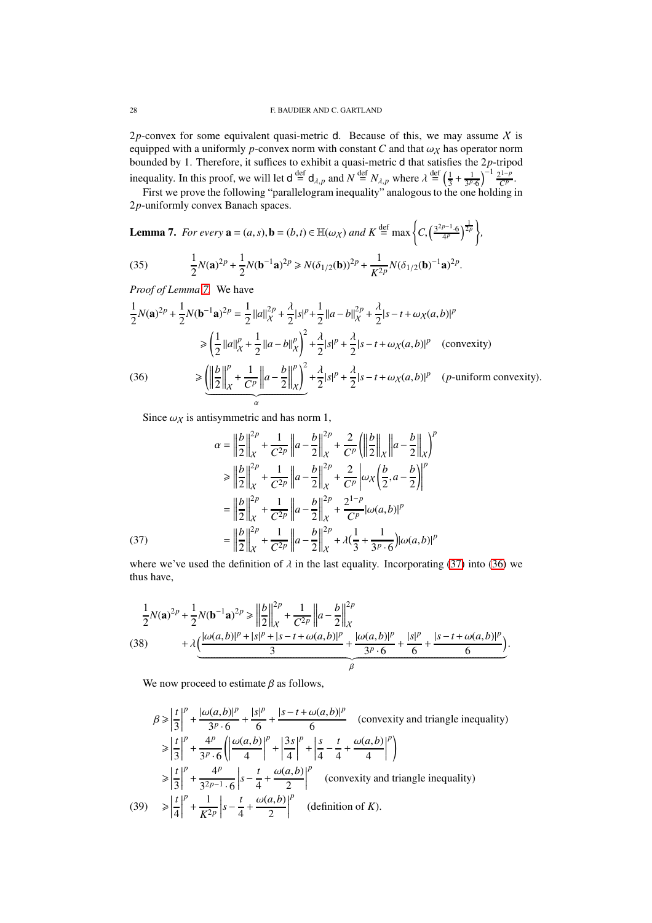2p-convex for some equivalent quasi-metric  $d$ . Because of this, we may assume  $X$  is equipped with a uniformly  $p$ -convex norm with constant  $C$  and that  $\omega_X$  has operator norm bounded by 1. Therefore, it suffices to exhibit a quasi-metric d that satisfies the 2*p*-tripod inequality. In this proof, we will let  $d \stackrel{\text{def}}{=} d_{\lambda,p}$  and  $N \stackrel{\text{def}}{=} N_{\lambda,p}$  where  $\lambda \stackrel{\text{def}}{=} \left(\frac{1}{3} + \frac{1}{3^p 6}\right)^{-1} \frac{2^{1-p}}{C^p}$ .

First we prove the following "parallelogram inequality" analogous to the one holding in 2*p*-uniformly convex Banach spaces.

<span id="page-27-0"></span>**Lemma 7.** *For every*  $\mathbf{a} = (a, s), \mathbf{b} = (b, t) \in \mathbb{H}(\omega_X)$  and  $K \stackrel{\text{def}}{=} \max\left\{C, \left(\frac{3^{2p-1} \cdot 6}{4p}\right)^{\frac{1}{2p}}\right\},\$ 

<span id="page-27-5"></span>(35) 
$$
\frac{1}{2}N(\mathbf{a})^{2p} + \frac{1}{2}N(\mathbf{b}^{-1}\mathbf{a})^{2p} \ge N(\delta_{1/2}(\mathbf{b}))^{2p} + \frac{1}{K^{2p}}N(\delta_{1/2}(\mathbf{b})^{-1}\mathbf{a})^{2p}.
$$

*Proof of Lemma [7.](#page-27-0)* We have

$$
\frac{1}{2}N(\mathbf{a})^{2p} + \frac{1}{2}N(\mathbf{b}^{-1}\mathbf{a})^{2p} = \frac{1}{2}||a||_{X}^{2p} + \frac{\lambda}{2}|s|^p + \frac{1}{2}||a-b||_{X}^{2p} + \frac{\lambda}{2}|s-t+\omega_{X}(a,b)|^p
$$
\n
$$
\geq \left(\frac{1}{2}||a||_{X}^{p} + \frac{1}{2}||a-b||_{X}^{p}\right)^2 + \frac{\lambda}{2}|s|^p + \frac{\lambda}{2}|s-t+\omega_{X}(a,b)|^p \quad \text{(convexity)}
$$
\n
$$
\geq \underbrace{\left(\left|\frac{b}{2}\right|\right|_{X}^{p} + \frac{1}{C^{p}}\left||a-\frac{b}{2}\right||_{X}^{p}\right)^2}_{\alpha} + \frac{\lambda}{2}|s|^p + \frac{\lambda}{2}|s-t+\omega_{X}(a,b)|^p \quad (p\text{-uniform convexity}).
$$

<span id="page-27-2"></span>Since  $\omega_X$  is antisymmetric and has norm 1,

(37)  
\n
$$
\alpha = \left\| \frac{b}{2} \right\|_{X}^{2p} + \frac{1}{C^{2p}} \left\| a - \frac{b}{2} \right\|_{X}^{2p} + \frac{2}{C^{p}} \left( \left\| \frac{b}{2} \right\|_{X} \left\| a - \frac{b}{2} \right\|_{X}^{p} \right)^{p}
$$
\n
$$
\geq \left\| \frac{b}{2} \right\|_{X}^{2p} + \frac{1}{C^{2p}} \left\| a - \frac{b}{2} \right\|_{X}^{2p} + \frac{2}{C^{p}} \left| \omega_{X} \left( \frac{b}{2}, a - \frac{b}{2} \right) \right|^{p}
$$
\n
$$
= \left\| \frac{b}{2} \right\|_{X}^{2p} + \frac{1}{C^{2p}} \left\| a - \frac{b}{2} \right\|_{X}^{2p} + \frac{2^{1-p}}{C^{p}} \left| \omega(a, b) \right|^{p}
$$
\n
$$
(37)
$$
\n
$$
= \left\| \frac{b}{2} \right\|_{X}^{2p} + \frac{1}{C^{2p}} \left\| a - \frac{b}{2} \right\|_{X}^{2p} + \lambda \left( \frac{1}{3} + \frac{1}{3^{p} \cdot 6} \right) \left| \omega(a, b) \right|^{p}
$$

<span id="page-27-1"></span>where we've used the definition of  $\lambda$  in the last equality. Incorporating [\(37\)](#page-27-1) into [\(36\)](#page-27-2) we thus have,

<span id="page-27-4"></span>
$$
\frac{1}{2}N(\mathbf{a})^{2p} + \frac{1}{2}N(\mathbf{b}^{-1}\mathbf{a})^{2p} \ge \left\| \frac{b}{2} \right\|_{\mathcal{X}}^{2p} + \frac{1}{C^{2p}} \left\| a - \frac{b}{2} \right\|_{\mathcal{X}}^{2p}
$$
\n
$$
(38) \qquad + \lambda \underbrace{\left( \frac{|\omega(a,b)|^p + |s|^p + |s - t + \omega(a,b)|^p}{3} + \frac{|\omega(a,b)|^p}{3^p \cdot 6} + \frac{|s|^p}{6} + \frac{|s - t + \omega(a,b)|^p}{6} \right)}_{\beta}.
$$

We now proceed to estimate  $\beta$  as follows,

<span id="page-27-3"></span>
$$
\beta \ge \left| \frac{t}{3} \right|^p + \frac{|\omega(a, b)|^p}{3^p \cdot 6} + \frac{|s|^p}{6} + \frac{|s - t + \omega(a, b)|^p}{6} \quad \text{(convexity and triangle inequality)}
$$
\n
$$
\ge \left| \frac{t}{3} \right|^p + \frac{4^p}{3^p \cdot 6} \left( \left| \frac{\omega(a, b)}{4} \right|^p + \left| \frac{3s}{4} \right|^p + \left| \frac{s}{4} - \frac{t}{4} + \frac{\omega(a, b)}{4} \right|^p \right)
$$
\n
$$
\ge \left| \frac{t}{3} \right|^p + \frac{4^p}{3^{2p-1} \cdot 6} \left| s - \frac{t}{4} + \frac{\omega(a, b)}{2} \right|^p \quad \text{(convexity and triangle inequality)}
$$
\n
$$
\ge \left| \frac{t}{4} \right|^p + \frac{1}{K^{2p}} \left| s - \frac{t}{4} + \frac{\omega(a, b)}{2} \right|^p \quad \text{(definition of } K).
$$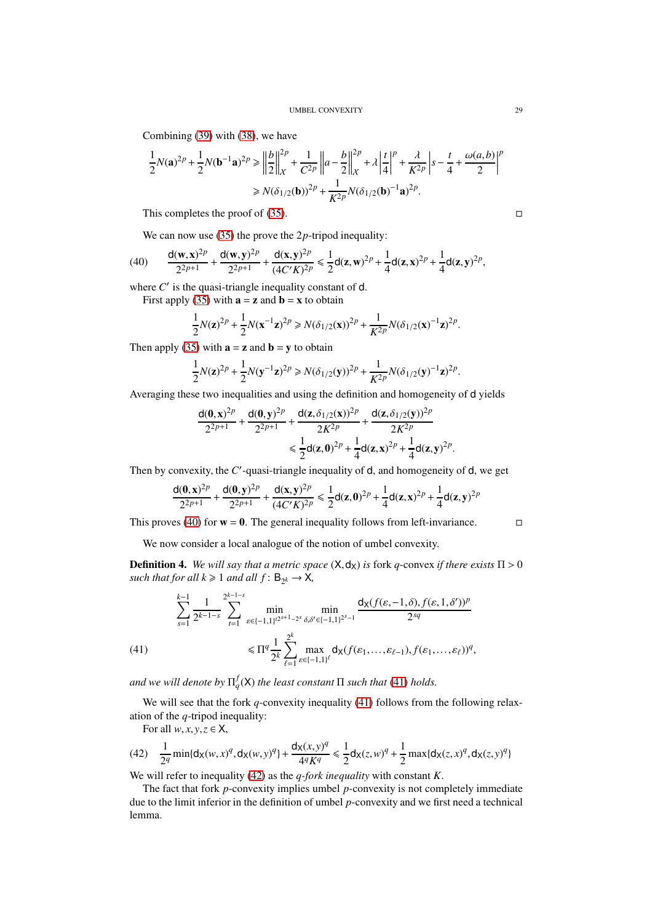Combining [\(39\)](#page-27-3) with [\(38\)](#page-27-4), we have

$$
\frac{1}{2}N(\mathbf{a})^{2p} + \frac{1}{2}N(\mathbf{b}^{-1}\mathbf{a})^{2p} \ge \left\| \frac{b}{2} \right\|_{\mathcal{X}}^{2p} + \frac{1}{C^{2p}} \left\| a - \frac{b}{2} \right\|_{\mathcal{X}}^{2p} + \lambda \left| \frac{t}{4} \right|^{p} + \frac{\lambda}{K^{2p}} \left| s - \frac{t}{4} + \frac{\omega(a, b)}{2} \right|^{p}
$$

$$
\ge N(\delta_{1/2}(\mathbf{b}))^{2p} + \frac{1}{K^{2p}} N(\delta_{1/2}(\mathbf{b})^{-1}\mathbf{a})^{2p}.
$$

This completes the proof of [\(35\)](#page-27-5).  $\Box$ 

<span id="page-28-0"></span>We can now use [\(35\)](#page-27-5) the prove the 2p-tripod inequality:

(40) 
$$
\frac{d(w,x)^{2p}}{2^{2p+1}} + \frac{d(w,y)^{2p}}{2^{2p+1}} + \frac{d(x,y)^{2p}}{(4C'K)^{2p}} \leq \frac{1}{2}d(z,w)^{2p} + \frac{1}{4}d(z,x)^{2p} + \frac{1}{4}d(z,y)^{2p},
$$

where  $C'$  is the quasi-triangle inequality constant of  $d$ .

First apply [\(35\)](#page-27-5) with  $\mathbf{a} = \mathbf{z}$  and  $\mathbf{b} = \mathbf{x}$  to obtain

$$
\frac{1}{2}N(\mathbf{z})^{2p} + \frac{1}{2}N(\mathbf{x}^{-1}\mathbf{z})^{2p} \ge N(\delta_{1/2}(\mathbf{x}))^{2p} + \frac{1}{K^{2p}}N(\delta_{1/2}(\mathbf{x})^{-1}\mathbf{z})^{2p}.
$$

Then apply [\(35\)](#page-27-5) with  $\mathbf{a} = \mathbf{z}$  and  $\mathbf{b} = \mathbf{y}$  to obtain

$$
\frac{1}{2}N(\mathbf{z})^{2p} + \frac{1}{2}N(\mathbf{y}^{-1}\mathbf{z})^{2p} \ge N(\delta_{1/2}(\mathbf{y}))^{2p} + \frac{1}{K^{2p}}N(\delta_{1/2}(\mathbf{y})^{-1}\mathbf{z})^{2p}.
$$

Averaging these two inequalities and using the definition and homogeneity of d yields

$$
\frac{d(0,x)^{2p}}{2^{2p+1}} + \frac{d(0,y)^{2p}}{2^{2p+1}} + \frac{d(z,\delta_{1/2}(x))^{2p}}{2K^{2p}} + \frac{d(z,\delta_{1/2}(y))^{2p}}{2K^{2p}} \le \frac{1}{2}d(z,0)^{2p} + \frac{1}{4}d(z,x)^{2p} + \frac{1}{4}d(z,y)^{2p}.
$$

Then by convexity, the C'-quasi-triangle inequality of d, and homogeneity of d, we get

$$
\frac{d(0,x)^{2p}}{2^{2p+1}} + \frac{d(0,y)^{2p}}{2^{2p+1}} + \frac{d(x,y)^{2p}}{(4C'K)^{2p}} \leq \frac{1}{2}d(z,0)^{2p} + \frac{1}{4}d(z,x)^{2p} + \frac{1}{4}d(z,y)^{2p}
$$

This proves [\(40\)](#page-28-0) for  $w = 0$ . The general inequality follows from left-invariance.

We now consider a local analogue of the notion of umbel convexity.

**Definition 4.** We will say that a metric space  $(X, d_X)$  is fork q-convex if there exists  $\Pi > 0$ such that for all  $k \geq 1$  and all  $f: B_{2^k} \to X$ ,

(41) 
$$
\sum_{s=1}^{k-1} \frac{1}{2^{k-1-s}} \sum_{t=1}^{2^{k-1-s}} \min_{\varepsilon \in \{-1,1\}^{t2^{s+1}-2^s} \delta, \delta' \in \{-1,1\}^{2^{s}-1}} \frac{d_X(f(\varepsilon, -1, \delta), f(\varepsilon, 1, \delta'))^p}{2^{sq}}
$$

$$
\leq \Pi^q \frac{1}{2^k} \sum_{\ell=1}^{2^k} \max_{\varepsilon \in \{-1,1\}^\ell} d_X(f(\varepsilon_1, ..., \varepsilon_{\ell-1}), f(\varepsilon_1, ..., \varepsilon_\ell))^q,
$$

<span id="page-28-1"></span>and we will denote by  $\Pi_q^f(\mathsf{X})$  the least constant  $\Pi$  such that [\(41\)](#page-28-1) holds.

We will see that the fork *q*-convexity inequality [\(41\)](#page-28-1) follows from the following relaxation of the *q*-tripod inequality:

<span id="page-28-2"></span>For all  $w, x, y, z \in \mathsf{X}$ ,

$$
(42)\quad \frac{1}{2^q}\min\{\mathsf{d}_\mathsf{X}(w,x)^q,\mathsf{d}_\mathsf{X}(w,y)^q\}+\frac{\mathsf{d}_\mathsf{X}(x,y)^q}{4^qK^q}\leq \frac{1}{2}\mathsf{d}_\mathsf{X}(z,w)^q+\frac{1}{2}\max\{\mathsf{d}_\mathsf{X}(z,x)^q,\mathsf{d}_\mathsf{X}(z,y)^q\}
$$

We will refer to inequality [\(42\)](#page-28-2) as the *q-fork inequality* with constant *K*.

The fact that fork *p*-convexity implies umbel *p*-convexity is not completely immediate due to the limit inferior in the definition of umbel *p*-convexity and we first need a technical lemma.

$$
\overline{a}
$$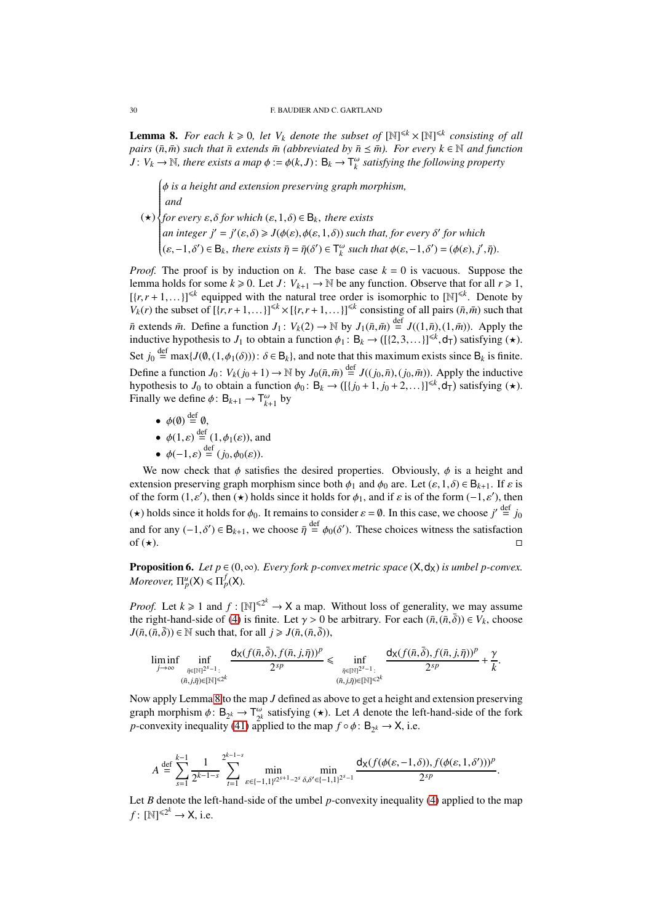<span id="page-29-0"></span>**Lemma 8.** *For each*  $k \ge 0$ , *let*  $V_k$  *denote the subset of*  $[N]^{\le k} \times [N]^{\le k}$  *consisting of all pairs* ( $\bar{n}, \bar{m}$ ) *such that*  $\bar{n}$  *extends*  $\bar{m}$  *(abbreviated by*  $\bar{n} \leq \bar{m}$ ). For *every*  $k \in \mathbb{N}$  *and function*  $J: V_k \to \mathbb{N}$ , there exists a map  $\phi := \phi(k, J): B_k \to T_k^{\omega}$  satisfying the following property

 $(\star)$  φ *is a height and extension preserving graph morphism,*  $\sum_{i=1}^{n}$  $\overline{\phantom{a}}$ *and for every* ε,δ *for which* (ε,1,δ) ∈ B*k*, *there exists an integer*  $j' = j'(\varepsilon, \delta) \ge J(\phi(\varepsilon), \phi(\varepsilon, 1, \delta))$  *such that, for every*  $\delta'$  for which  $(\varepsilon, -1, \delta') \in B_k$ , there exists  $\bar{\eta} = \bar{\eta}(\delta') \in T_k^{\omega}$  such that  $\phi(\varepsilon, -1, \delta') = (\phi(\varepsilon), j', \bar{\eta})$ .

*Proof.* The proof is by induction on *k*. The base case  $k = 0$  is vacuous. Suppose the lemma holds for some  $k \ge 0$ . Let  $J: V_{k+1} \to \mathbb{N}$  be any function. Observe that for all  $r \ge 1$ ,  $[(r, r+1,...)]^{\leq k}$  equipped with the natural tree order is isomorphic to  $[N]^{\leq k}$ . Denote by  $V_k(r)$  the subset of  $[(r, r+1,...)]^{\leq k} \times [(r, r+1,...)]^{\leq k}$  consisting of all pairs  $(\bar{n}, \bar{m})$  such that  $\bar{n}$  extends  $\bar{m}$ . Define a function  $J_1: V_k(2) \to \mathbb{N}$  by  $J_1(\bar{n}, \bar{m}) \stackrel{\text{def}}{=} J((1, \bar{n}), (1, \bar{m}))$ . Apply the inductive hypothesis to  $J_1$  to obtain a function  $\phi_1 : B_k \to ([\{2,3,...\}]^{\leq k}, d_T)$  satisfying ( $\star$ ). Set  $j_0 \stackrel{\text{def}}{=} \max\{J(\emptyset, (1, \phi_1(\delta))) : \delta \in \mathsf{B}_k\}$ , and note that this maximum exists since  $\mathsf{B}_k$  is finite. Define a function  $J_0$ :  $V_k(j_0+1) \to \mathbb{N}$  by  $J_0(\bar{n}, \bar{m}) \stackrel{\text{def}}{=} J((j_0, \bar{n}), (j_0, \bar{m}))$ . Apply the inductive hypothesis to *J*<sup>0</sup> to obtain a function  $\phi_0$ : B<sub>k</sub>  $\rightarrow$  ([{*j*<sub>0</sub> + 1, *j*<sub>0</sub> + 2, ...}]<sup>≤k</sup>, d<sub>T</sub>) satisfying (★). Finally we define  $\phi: B_{k+1} \to T_{k+1}^{\omega}$  by

- $\phi(\emptyset) \stackrel{\text{def}}{=} \emptyset$ ,
- $\phi(1,\varepsilon) \stackrel{\text{def}}{=} (1,\phi_1(\varepsilon))$ , and
- $\phi(-1,\varepsilon) \stackrel{\text{def}}{=} (j_0, \phi_0(\varepsilon)).$

We now check that  $\phi$  satisfies the desired properties. Obviously,  $\phi$  is a height and extension preserving graph morphism since both  $\phi_1$  and  $\phi_0$  are. Let  $(\varepsilon, 1, \delta) \in B_{k+1}$ . If  $\varepsilon$  is of the form  $(1, \varepsilon')$ , then  $(\star)$  holds since it holds for  $\phi_1$ , and if  $\varepsilon$  is of the form  $(-1, \varepsilon')$ , then ( $\star$ ) holds since it holds for  $\phi_0$ . It remains to consider  $\varepsilon = \emptyset$ . In this case, we choose  $j' \stackrel{\text{def}}{=} j_0$ and for any  $(-1,\delta') \in B_{k+1}$ , we choose  $\bar{\eta} \stackrel{\text{def}}{=} \phi_0(\delta')$ . These choices witness the satisfaction of  $(\star)$ .

**Proposition 6.** *Let p*  $\in$  (0,  $\infty$ )*. Every fork p-convex metric space* ( $\mathsf{X}, \mathsf{d}_{\mathsf{X}}$ ) *is umbel p-convex. Moreover,*  $\Pi_p^u(X) \leq \Pi_p^f(X)$ .

*Proof.* Let  $k \ge 1$  and  $f : [\mathbb{N}]^{\le 2^k} \to \mathbb{X}$  a map. Without loss of generality, we may assume the right-hand-side of [\(4\)](#page-2-2) is finite. Let  $\gamma > 0$  be arbitrary. For each  $(\bar{n}, (\bar{n}, \bar{\delta})) \in V_k$ , choose  $J(\bar{n},(\bar{n},\bar{\delta})) \in \mathbb{N}$  such that, for all  $j \ge J(\bar{n},(\bar{n},\bar{\delta})),$ 

$$
\liminf_{j\to\infty}\inf_{\substack{\bar{\eta}\in[\mathbb{N}]^{2^s-1}:\\(\bar{n},j,\bar{\eta})\in[\mathbb{N}]^{\leq 2^k}}} \frac{\mathsf{d}_X(f(\bar{n},\bar{\delta}),f(\bar{n},j,\bar{\eta}))^p}{2^{sp}}\leq \inf_{\substack{\bar{\eta}\in[\mathbb{N}]^{2^s-1}:\\(\bar{n},j,\bar{\eta})\in[\mathbb{N}]^{\leq 2^k}}} \frac{\mathsf{d}_X(f(\bar{n},\bar{\delta}),f(\bar{n},j,\bar{\eta}))^p}{2^{sp}}+\frac{\gamma}{k}.
$$

Now apply Lemma [8](#page-29-0) to the map *J* defined as above to get a height and extension preserving graph morphism  $\phi: B_{2^k} \to T_{2^k}^{\omega}$  $\frac{\omega}{2^k}$  satisfying ( $\star$ ). Let *A* denote the left-hand-side of the fork *p*-convexity inequality [\(41\)](#page-28-1) applied to the map  $f \circ \phi : B_{2^k} \to X$ , i.e.

$$
A \stackrel{\text{def}}{=} \sum_{s=1}^{k-1} \frac{1}{2^{k-1-s}} \sum_{t=1}^{2^{k-1-s}} \min_{\varepsilon \in \{-1,1\}^{2^{s+1}-2^s}} \min_{\delta, \delta' \in \{-1,1\}^{2^s-1}} \frac{d_X(f(\phi(\varepsilon, -1, \delta)), f(\phi(\varepsilon, 1, \delta')))^p}{2^{sp}}.
$$

Let *B* denote the left-hand-side of the umbel *p*-convexity inequality [\(4\)](#page-2-2) applied to the map  $f: [\mathbb{N}]^{\leq 2^k} \to \mathsf{X}$ , i.e.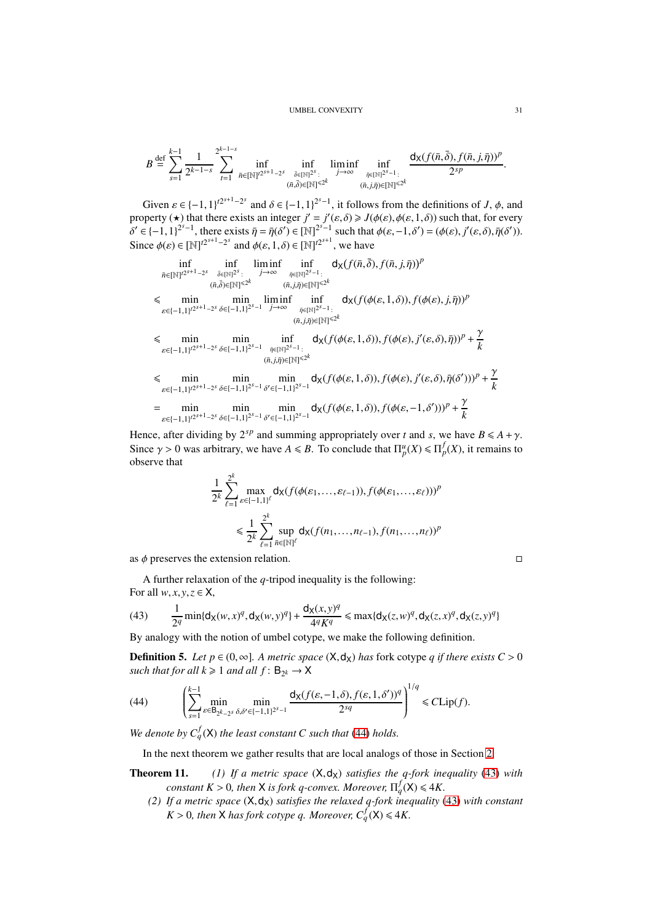### UMBEL CONVEXITY 31

$$
B \stackrel{\text{def}}{=} \sum_{s=1}^{k-1} \frac{1}{2^{k-1-s}} \sum_{t=1}^{2^{k-1-s}} \inf_{\bar{n} \in [\mathbb{N}]^{t^{2s+1}-2^s}} \inf_{\substack{\bar{\delta} \in [\mathbb{N}]^{2^s}: \\ (\bar{n}, \bar{\delta}) \in [\mathbb{N}]^{ \leq 2^k}}} \liminf_{\substack{j \to \infty \\ (\bar{n}, j, \bar{\eta}) \in [\mathbb{N}]^{ \leq 2^k}}} \frac{d_X(f(\bar{n}, \bar{\delta}), f(\bar{n}, j, \bar{\eta}))^p}{2^{sp}}.
$$

Given  $\varepsilon \in \{-1,1\}^{\infty^{s+1}-2^s}$  and  $\delta \in \{-1,1\}^{2^s-1}$ , it follows from the definitions of *J*,  $\phi$ , and property ( $\star$ ) that there exists an integer  $j' = j'(\varepsilon, \delta) \ge J(\phi(\varepsilon), \phi(\varepsilon, 1, \delta))$  such that, for every  $\delta' \in \{-1,1\}^{2^{s}-1}$ , there exists  $\bar{\eta} = \bar{\eta}(\delta') \in [\mathbb{N}]^{2^{s}-1}$  such that  $\phi(\varepsilon, -1, \delta') = (\phi(\varepsilon), j'(\varepsilon, \delta), \bar{\eta}(\delta')).$ Since  $\phi(\varepsilon) \in [\mathbb{N}]^{t2^{s+1}-2^s}$  and  $\phi(\varepsilon, 1, \delta) \in [\mathbb{N}]^{t2^{s+1}}$ , we have

$$
\inf_{\bar{n}\in[\mathbb{N}]^{2^{s+1}-2^{s}}}\inf_{\substack{\bar{\partial}\in[\mathbb{N}]^{2^{s}}\\(\bar{n},\bar{\partial})\in[\mathbb{N}]^{s}}}\lim_{j\to\infty}\inf_{\substack{\bar{\eta}\in[\mathbb{N}]^{2^{s}-1}:\\(\bar{n},j,\bar{\eta})\in[\mathbb{N}]^{s}}}\frac{d_{\mathsf{X}}(f(\bar{n},\bar{\delta}),f(\bar{n},j,\bar{\eta}))^{p}}{(\bar{n},j,\bar{\eta})\in[\mathbb{N}]^{s}}\leq\min_{\substack{\bar{\eta}\in[\mathbb{N}]^{2^{s}-1}:\\(\bar{n},j,\bar{\eta})\in[\mathbb{N}]^{s}}}\lim_{\substack{\bar{\eta}\in[\mathbb{N}]^{2^{s}-1}:\\(\bar{n},j,\bar{\eta})\in[\mathbb{N}]^{s}}}\frac{\lim_{\bar{n}\in[\mathbb{N}]^{2^{s}-1}:}d_{\mathsf{X}}(f(\phi(\varepsilon,1,\delta)),f(\phi(\varepsilon),j,\bar{\eta}))^{p}}{(\bar{n},j,\bar{\eta})\in[\mathbb{N}]^{s}}\leq\min_{\substack{\varepsilon\in\{-1,1\}^{2^{s+1}-2^{s}}\\(\bar{n},j,\bar{\eta})\in[\mathbb{N}]^{s}}}\lim_{\substack{\bar{\eta}\in[\mathbb{N}]^{2^{s}-1}:\\(\bar{n},j,\bar{\eta})\in[\mathbb{N}]^{s}}}\frac{d_{\mathsf{X}}(f(\phi(\varepsilon,1,\delta)),f(\phi(\varepsilon),j'(\varepsilon,\delta),\bar{\eta}))^{p}+\frac{\gamma}{k}}{(\bar{n},j,\bar{\eta})\in[\mathbb{N}]^{s}}\leq\min_{\substack{\varepsilon\in\{-1,1\}^{2^{s+1}-2^{s}}\\(\bar{n}\in[-1,1]^{2^{s-1}}\\(\bar{n}\in[-1,1]^{2^{s-1}}]^{s}}}\lim_{\substack{\bar{m}\equiv\min\\(\bar{n}\equiv\min\\(\bar{n}\equiv(-1,1]^{2^{s-1}-2^{s}}\\(\bar{n}\equiv(-1,1]^{2^{s-1}}\\(\bar{n}\equiv(-1,1]^{2^{s-1}}\\(\bar{n}\equiv(-1,1]^{2^{s-1}}\\(\bar{n}\equiv(-1,1]^{2^{s-1}}\\(\bar{n}\equiv(-1,1]^{2^{s-1}}\\(\bar{n}\
$$

Hence, after dividing by  $2^{sp}$  and summing appropriately over *t* and *s*, we have  $B \le A + \gamma$ . Since  $\gamma > 0$  was arbitrary, we have  $A \le B$ . To conclude that  $\prod_{p=1}^{\mu} (X) \le \prod_{p=1}^{f} (X)$ , it remains to observe that

$$
\frac{1}{2^k} \sum_{\ell=1}^{2^k} \max_{\varepsilon \in \{-1,1\}^\ell} d_{\mathsf{X}}(f(\phi(\varepsilon_1, \dots, \varepsilon_{\ell-1})), f(\phi(\varepsilon_1, \dots, \varepsilon_{\ell})))^p
$$
  

$$
\leq \frac{1}{2^k} \sum_{\ell=1}^{2^k} \sup_{\bar{n} \in [\mathbb{N}]^\ell} d_{\mathsf{X}}(f(n_1, \dots, n_{\ell-1}), f(n_1, \dots, n_{\ell}))^p
$$

as  $\phi$  preserves the extension relation.

A further relaxation of the *q*-tripod inequality is the following: For all  $w, x, y, z \in \mathsf{X}$ ,

<span id="page-30-1"></span>(43) 
$$
\frac{1}{2^q} \min\{d_X(w,x)^q, d_X(w,y)^q\} + \frac{d_X(x,y)^q}{4^q K^q} \leq \max\{d_X(z,w)^q, d_X(z,x)^q, d_X(z,y)^q\}
$$

By analogy with the notion of umbel cotype, we make the following definition.

**Definition 5.** *Let p* ∈ (0, ∞). A metric space  $(X, d_X)$  has fork cotype *q* if there exists  $C > 0$ such that for all  $k \geq 1$  and all  $f: B_{2^k} \to X$ 

 $1/x$ 

<span id="page-30-0"></span>(44) 
$$
\left(\sum_{s=1}^{k-1} \min_{\varepsilon \in \mathsf{B}_{2^k-2^s}} \min_{\delta,\delta' \in \{-1,1\}^{2^s-1}} \frac{\mathsf{d}_X(f(\varepsilon, -1, \delta), f(\varepsilon, 1, \delta'))^q}{2^{sq}}\right)^{1/q} \leq C \text{Lip}(f).
$$

*We denote by*  $C_q^f(X)$  *the least constant* C such *that* [\(44\)](#page-30-0) *holds.* 

In the next theorem we gather results that are local analogs of those in Section [2.](#page-5-0)

- **Theorem 11.** (1) If a metric space  $(X, d_X)$  satisfies the q-fork inequality [\(43\)](#page-30-1) with *constant*  $K > 0$ , then **X** is fork q-convex. Moreover,  $\Pi_q^f(\mathsf{X}) \leq 4K$ .
	- *(2) If a metric space* (X,dX) *satisfies the relaxed q-fork inequality* [\(43\)](#page-30-1) *with constant K* > 0*, then* **X** has fork cotype q. Moreover,  $C_q^f$  (**X**)  $\leq$  4*K*.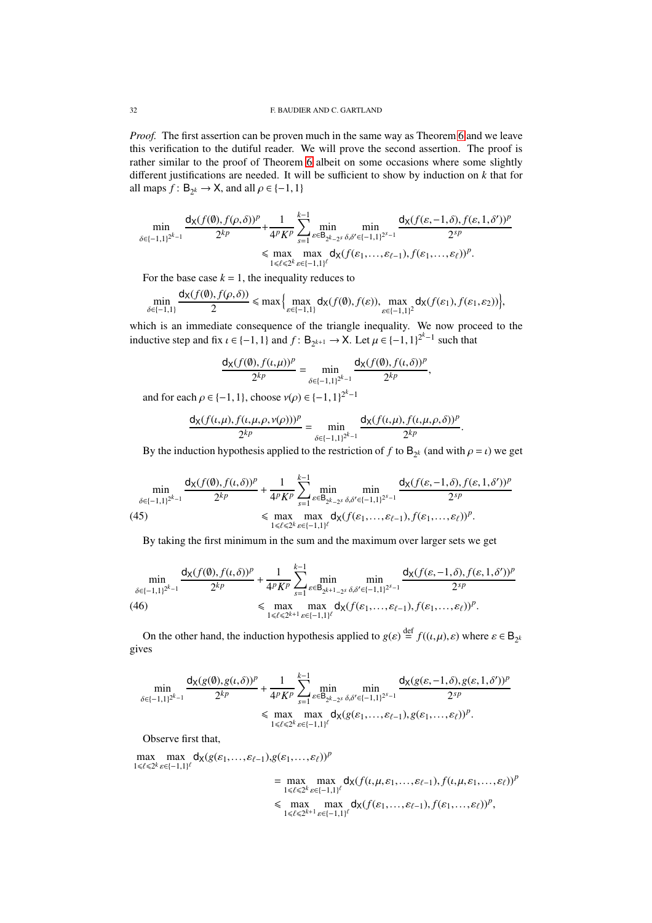*Proof.* The first assertion can be proven much in the same way as Theorem [6](#page-7-0) and we leave this verification to the dutiful reader. We will prove the second assertion. The proof is rather similar to the proof of Theorem [6](#page-7-0) albeit on some occasions where some slightly different justifications are needed. It will be sufficient to show by induction on *k* that for all maps  $f: \mathsf{B}_{2^k} \to \mathsf{X}$ , and all  $\rho \in \{-1, 1\}$ 

$$
\min_{\delta \in \{-1,1\}^{2^{k}-1}} \frac{d_{\mathsf{X}}(f(\emptyset), f(\rho,\delta))^{p}}{2^{kp}} + \frac{1}{4^{p}K^{p}} \sum_{s=1}^{k-1} \min_{\varepsilon \in \mathsf{B}_{2^{k}-2^{s}}}\min_{\delta,\delta' \in \{-1,1\}^{2^{s}-1}} \frac{d_{\mathsf{X}}(f(\varepsilon,-1,\delta), f(\varepsilon,1,\delta'))^{p}}{2^{sp}} \\ \leq \max_{1 \leq \ell \leq 2^{k}} \max_{\varepsilon \in [-1,1]^{{\ell}}} d_{\mathsf{X}}(f(\varepsilon_{1},\ldots,\varepsilon_{\ell-1}), f(\varepsilon_{1},\ldots,\varepsilon_{\ell}))^{p}.
$$

For the base case  $k = 1$ , the inequality reduces to

$$
\min_{\delta\in\{-1,1\}}\frac{\mathsf{d}_X(f(\emptyset),f(\rho,\delta))}{2}\leqslant \max\Big\{\max_{\varepsilon\in\{-1,1\}}\mathsf{d}_X(f(\emptyset),f(\varepsilon))\Big\},\max_{\varepsilon\in\{-1,1\}^2}\mathsf{d}_X(f(\varepsilon_1),f(\varepsilon_1,\varepsilon_2))\Big\},
$$

which is an immediate consequence of the triangle inequality. We now proceed to the inductive step and fix  $\iota \in \{-1, 1\}$  and  $f: B_{2^{k+1}} \to X$ . Let  $\mu \in \{-1, 1\}^{2^{k}-1}$  such that

$$
\frac{d_X(f(\emptyset), f(\iota, \mu))^p}{2^{kp}} = \min_{\delta \in \{-1, 1\}^{2^k-1}} \frac{d_X(f(\emptyset), f(\iota, \delta))^p}{2^{kp}},
$$

and for each  $\rho \in \{-1, 1\}$ , choose  $\nu(\rho) \in \{-1, 1\}^{2^k - 1}$ 

$$
\frac{d_X(f(\iota,\mu), f(\iota,\mu,\rho,\nu(\rho)))^p}{2^{kp}} = \min_{\delta \in \{-1,1\}^{2^{k}-1}} \frac{d_X(f(\iota,\mu), f(\iota,\mu,\rho,\delta))^p}{2^{kp}}.
$$

By the induction hypothesis applied to the restriction of *f* to  $B_{2^k}$  (and with  $\rho = \iota$ ) we get

$$
\min_{\delta \in \{-1,1\}^{2^{k}-1}} \frac{d_{\mathsf{X}}(f(\emptyset), f(\iota, \delta))^p}{2^{kp}} + \frac{1}{4^p K^p} \sum_{s=1}^{k-1} \min_{\varepsilon \in \mathsf{B}_{2^{k}-2^{s}}}, \delta, \delta' \in \{-1,1\}^{2^{s}-1}} \frac{d_{\mathsf{X}}(f(\varepsilon, -1, \delta), f(\varepsilon, 1, \delta'))^p}{2^{sp}}
$$
\n
$$
\leq \max_{1 \leq \ell \leq 2^{k}} \max_{\varepsilon \in \{-1,1\}^{\ell}} d_{\mathsf{X}}(f(\varepsilon_1, \ldots, \varepsilon_{\ell-1}), f(\varepsilon_1, \ldots, \varepsilon_{\ell}))^p.
$$

By taking the first minimum in the sum and the maximum over larger sets we get

$$
\min_{\delta \in \{-1,1\}^{2^{k}-1}} \frac{d_{X}(f(\emptyset), f(\iota, \delta))^{p}}{2^{kp}} + \frac{1}{4^{p} K^{p}} \sum_{s=1}^{k-1} \min_{\varepsilon \in B_{2^{k+1}-2^{s}}}\min_{\delta, \delta' \in \{-1,1\}^{2^{s}-1}} \frac{d_{X}(f(\varepsilon, -1, \delta), f(\varepsilon, 1, \delta'))^{p}}{2^{sp}} \leq \max_{1 \leq \ell \leq 2^{k+1}} \max_{\varepsilon \in [-1,1]^{{\ell}}} d_{X}(f(\varepsilon_{1}, \ldots, \varepsilon_{\ell-1}), f(\varepsilon_{1}, \ldots, \varepsilon_{\ell}))^{p}.
$$

<span id="page-31-0"></span>On the other hand, the induction hypothesis applied to  $g(\varepsilon) \stackrel{\text{def}}{=} f((\iota, \mu), \varepsilon)$  where  $\varepsilon \in B_{2^k}$ gives

$$
\min_{\delta \in \{-1,1\}^{2^{k}-1}} \frac{d_X(g(\emptyset), g(\iota, \delta))^p}{2^{kp}} + \frac{1}{4^p K^p} \sum_{s=1}^{k-1} \min_{\varepsilon \in B_{2^{k}-2^s}} \min_{\delta, \delta' \in \{-1,1\}^{2^s-1}} \frac{d_X(g(\varepsilon, -1, \delta), g(\varepsilon, 1, \delta'))^p}{2^{sp}} \\ \leq \max_{1 \leq \ell \leq 2^k} \max_{\varepsilon \in [-1,1]^\ell} d_X(g(\varepsilon_1, \dots, \varepsilon_{\ell-1}), g(\varepsilon_1, \dots, \varepsilon_{\ell}))^p.
$$

Observe first that,

max max<br> $1 \leq \ell \leq 2^k$   $\varepsilon \in \{-1,1\}$  $\max_{\varepsilon\in\{-1,1\}^\ell} d_{\mathsf{X}}(g(\varepsilon_1,\ldots,\varepsilon_{\ell-1}),g(\varepsilon_1,\ldots,\varepsilon_{\ell}))^p$  $=$  max max<br> $1 \le \ell \le 2^k$   $\varepsilon \in \{-1,1\}$  $\max_{\varepsilon\in\{-1,1\}^\ell} \mathsf{d}_\mathsf{X}(f(\iota,\mu,\varepsilon_1,\ldots,\varepsilon_{\ell-1}),f(\iota,\mu,\varepsilon_1,\ldots,\varepsilon_\ell))^p$  $\leq$  max max<br> $1 \leq \ell \leq 2^{k+1} \varepsilon \in \{-1, 1\}$  $\max_{\varepsilon\in\{-1,1\}^\ell} \mathsf{d}_\mathsf{X}(f(\varepsilon_1,\ldots,\varepsilon_{\ell-1}),f(\varepsilon_1,\ldots,\varepsilon_\ell))^p,$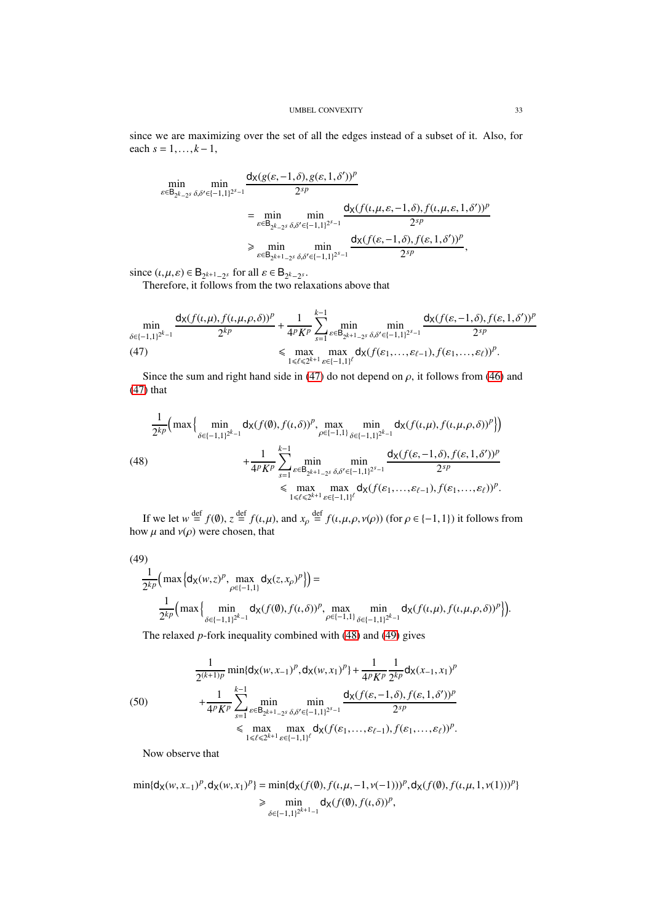since we are maximizing over the set of all the edges instead of a subset of it. Also, for each  $s = 1, ..., k-1$ ,

$$
\min_{\varepsilon \in \mathsf{B}_{2^{k}-2^{s}}}\min_{\delta,\delta' \in \{-1,1\}^{2^{s}-1}}\frac{\mathsf{d}_{\mathsf{X}}(g(\varepsilon,-1,\delta),g(\varepsilon,1,\delta'))^{p}}{2^{sp}}\\=\min_{\varepsilon \in \mathsf{B}_{2^{k}-2^{s}}}\min_{\delta,\delta' \in \{-1,1\}^{2^{s}-1}}\frac{\mathsf{d}_{\mathsf{X}}(f(\iota,\mu,\varepsilon,-1,\delta),f(\iota,\mu,\varepsilon,1,\delta'))^{p}}{2^{sp}}\\ \geq \min_{\varepsilon \in \mathsf{B}_{2^{k+1}-2^{s}}}\min_{\delta,\delta' \in \{-1,1\}^{2^{s}-1}}\frac{\mathsf{d}_{\mathsf{X}}(f(\varepsilon,-1,\delta),f(\varepsilon,1,\delta'))^{p}}{2^{sp}},
$$

since  $(\iota, \mu, \varepsilon) \in \mathsf{B}_{2^{k+1}-2^s}$  for all  $\varepsilon \in \mathsf{B}_{2^k-2^s}$ .

Therefore, it follows from the two relaxations above that

$$
\min_{\delta \in \{-1,1\}^{2^{k}-1}} \frac{d_{X}(f(\iota,\mu), f(\iota,\mu,\rho,\delta))^{p}}{2^{kp}} + \frac{1}{4^{p}K^{p}} \sum_{s=1}^{k-1} \min_{\varepsilon \in \mathsf{B}_{2^{k+1}-2^{s}}}\min_{\delta,\delta' \in \{-1,1\}^{2^{s}-1}} \frac{d_{X}(f(\varepsilon,-1,\delta), f(\varepsilon,1,\delta'))^{p}}{2^{sp}} \leq \max_{1 \leq \ell \leq 2^{k+1}} \max_{\varepsilon \in [-1,1]^{{\ell}}} d_{X}(f(\varepsilon_{1},\ldots,\varepsilon_{\ell-1}), f(\varepsilon_{1},\ldots,\varepsilon_{\ell}))^{p}.
$$

<span id="page-32-0"></span>Since the sum and right hand side in [\(47\)](#page-32-0) do not depend on  $\rho$ , it follows from [\(46\)](#page-31-0) and [\(47\)](#page-32-0) that

<span id="page-32-1"></span>
$$
\frac{1}{2^{kp}} \Big( \max \Big\{ \min_{\delta \in [-1,1]^{2^{k}-1}} d_{\mathsf{X}}(f(\emptyset), f(\iota, \delta))^p, \max_{\rho \in [-1,1]} \min_{\delta \in [-1,1]^{2^{k}-1}} d_{\mathsf{X}}(f(\iota, \mu), f(\iota, \mu, \rho, \delta))^p \Big\} \Big) \n+ \frac{1}{4^p K^p} \sum_{s=1}^{k-1} \min_{\varepsilon \in \mathsf{B}_{2^{k+1}-2^s}, \delta, \delta' \in [-1,1]^{2^{s}-1}} \frac{d_{\mathsf{X}}(f(\varepsilon, -1, \delta), f(\varepsilon, 1, \delta'))^p}{2^{sp}} \n\leq \max_{1 \leq \ell \leq 2^{k+1}} \max_{\varepsilon \in [-1,1]^\ell} d_{\mathsf{X}}(f(\varepsilon_1, \ldots, \varepsilon_{\ell-1}), f(\varepsilon_1, \ldots, \varepsilon_{\ell}))^p.
$$

If we let  $w \stackrel{\text{def}}{=} f(\emptyset)$ ,  $z \stackrel{\text{def}}{=} f(\iota, \mu)$ , and  $x_{\rho} \stackrel{\text{def}}{=} f(\iota, \mu, \rho, \nu(\rho))$  (for  $\rho \in \{-1, 1\}$ ) it follows from how  $\mu$  and  $\nu(\rho)$  were chosen, that

<span id="page-32-2"></span>(49)  
\n
$$
\frac{1}{2^{kp}} \Big( \max \Big\{ d_X(w, z)^p, \max_{\rho \in \{-1, 1\}} d_X(z, x_\rho)^p \Big\} \Big) =
$$
\n
$$
\frac{1}{2^{kp}} \Big( \max \Big\{ \min_{\delta \in \{-1, 1\}^{2^{k-1}}} d_X(f(\emptyset), f(\iota, \delta))^p, \max_{\rho \in \{-1, 1\}} \min_{\delta \in \{-1, 1\}^{2^{k-1}}} d_X(f(\iota, \mu), f(\iota, \mu, \rho, \delta))^p \Big\} \Big).
$$

The relaxed *p*-fork inequality combined with [\(48\)](#page-32-1) and [\(49\)](#page-32-2) gives

<span id="page-32-3"></span>(50)  
\n
$$
\frac{1}{2^{(k+1)p}} \min\{d_X(w,x_{-1})^p, d_X(w,x_1)^p\} + \frac{1}{4^p K^p} \frac{1}{2^{kp}} d_X(x_{-1},x_1)^p
$$
\n
$$
+ \frac{1}{4^p K^p} \sum_{s=1}^{k-1} \min_{\varepsilon \in B_{2^{k+1}-2^s}} \min_{\delta,\delta' \in \{-1,1\}^{2^{s}-1}} \frac{d_X(f(\varepsilon, -1, \delta), f(\varepsilon, 1, \delta'))^p}{2^{sp}}
$$
\n
$$
\leq \max_{1 \leq \ell \leq 2^{k+1}} \max_{\varepsilon \in \{-1,1\}^{\ell}} d_X(f(\varepsilon_1, ..., \varepsilon_{\ell-1}), f(\varepsilon_1, ..., \varepsilon_{\ell}))^p.
$$

Now observe that

$$
\min\{\mathsf{d}_{\mathsf{X}}(w,x_{-1})^p,\mathsf{d}_{\mathsf{X}}(w,x_1)^p\}=\min\{\mathsf{d}_{\mathsf{X}}(f(\emptyset),f(\iota,\mu,-1,\nu(-1)))^p,\mathsf{d}_{\mathsf{X}}(f(\emptyset),f(\iota,\mu,1,\nu(1)))^p\}
$$
  
\$\geqslant\$ 
$$
\min_{\delta\in\{-1,1\}^{2^{k+1}-1}}\mathsf{d}_{\mathsf{X}}(f(\emptyset),f(\iota,\delta))^p,
$$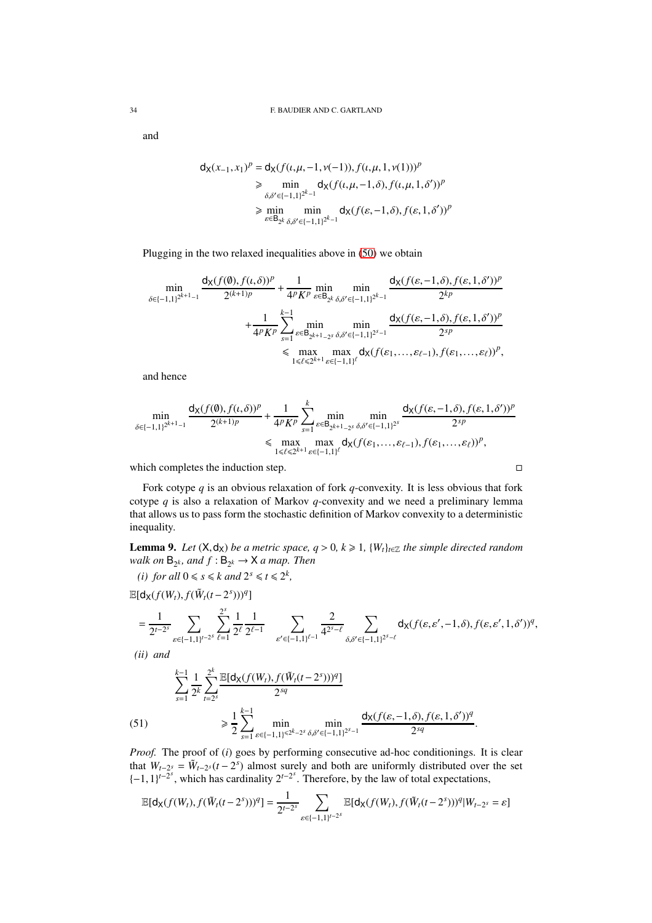and

$$
\begin{aligned} d_{\mathsf{X}}(x_{-1}, x_{1})^{p} &= d_{\mathsf{X}}(f(\iota, \mu, -1, \nu(-1)), f(\iota, \mu, 1, \nu(1)))^{p} \\ &\geq \min_{\delta, \delta' \in \{-1, 1\}^{2^{k}-1}} d_{\mathsf{X}}(f(\iota, \mu, -1, \delta), f(\iota, \mu, 1, \delta'))^{p} \\ &\geq \min_{\varepsilon \in \mathsf{B}_{2^{k}}, \delta, \delta' \in \{-1, 1\}^{2^{k}-1}} d_{\mathsf{X}}(f(\varepsilon, -1, \delta), f(\varepsilon, 1, \delta'))^{p} \end{aligned}
$$

Plugging in the two relaxed inequalities above in [\(50\)](#page-32-3) we obtain

$$
\begin{split} \min_{\delta \in \{-1,1\}^{2^{k+1}-1}} \frac{\mathsf{d}_\mathsf{X}(f(\emptyset),f(\iota,\delta))^p}{2^{(k+1)p}} + \frac{1}{4^pK^p} \min_{\varepsilon \in \mathsf{B}_{2^k}} \min_{\delta,\delta' \in \{-1,1\}^{2^{k}-1}} \frac{\mathsf{d}_\mathsf{X}(f(\varepsilon,-1,\delta),f(\varepsilon,1,\delta'))^p}{2^{kp}} \\ + \frac{1}{4^pK^p} \sum_{\substack{s=1 \\ s \in \mathsf{B}_{2^{k+1}-2^s}} \min_{\delta,\delta' \in \{-1,1\}^{2^{s}-1}} \frac{\mathsf{d}_\mathsf{X}(f(\varepsilon,-1,\delta),f(\varepsilon,1,\delta'))^p}{2^{sp}} \\ &\leq \max_{1 \leq \ell \leq 2^{k+1}} \max_{\varepsilon \in [-1,1]^{\ell}} \mathsf{d}_\mathsf{X}(f(\varepsilon_1,\ldots,\varepsilon_{\ell-1}),f(\varepsilon_1,\ldots,\varepsilon_{\ell}))^p, \end{split}
$$

and hence

$$
\min_{\delta \in \{-1,1\}^{2^{k+1}-1}} \frac{d_{\mathsf{X}}(f(\emptyset), f(\iota, \delta))^p}{2^{(k+1)p}} + \frac{1}{4^p K^p} \sum_{s=1}^k \min_{\varepsilon \in \mathsf{B}_{2^{k+1}-2^s}} \min_{\delta, \delta' \in \{-1,1\}^{2^s}} \frac{d_{\mathsf{X}}(f(\varepsilon, -1, \delta), f(\varepsilon, 1, \delta'))^p}{2^{sp}} \\ \leq \max_{1 \leq \ell \leq 2^{k+1}} \max_{\varepsilon \in \{-1,1\}^\ell} d_{\mathsf{X}}(f(\varepsilon_1, \ldots, \varepsilon_{\ell-1}), f(\varepsilon_1, \ldots, \varepsilon_{\ell}))^p,
$$

which completes the induction step.  $\Box$ 

Fork cotype *q* is an obvious relaxation of fork *q*-convexity. It is less obvious that fork cotype *q* is also a relaxation of Markov *q*-convexity and we need a preliminary lemma that allows us to pass form the stochastic definition of Markov convexity to a deterministic inequality.

<span id="page-33-1"></span>**Lemma 9.** *Let*  $(X, d_X)$  *be a metric space, q* > 0*, k*  $\geq$  1*,*  $\{W_t\}_{t \in \mathbb{Z}}$  *the simple directed random* walk on  $B_{2^k}$ , and  $f : B_{2^k} \to X$  a map. Then

(*i*) for all  $0 \le s \le k$  and  $2^s \le t \le 2^k$ ,

 $\mathbb{E}[\mathsf{d}_{\mathsf{X}}(f(W_t), f(\tilde{W}_t(t-2^s)))^q]$ 

$$
=\frac{1}{2^{t-2^{s}}}\sum_{\varepsilon\in\{-1,1\}^{t-2^{s}}}\sum_{\ell=1}^{2^{s}}\frac{1}{2^{\ell}}\frac{1}{2^{\ell-1}}\quad\sum_{\varepsilon'\in\{-1,1\}^{\ell-1}}\frac{2}{4^{2^{s}-\ell}}\sum_{\delta,\delta'\in\{-1,1\}^{2^{s}-\ell}}\mathsf{d}_{\mathsf{X}}(f(\varepsilon,\varepsilon',-1,\delta),f(\varepsilon,\varepsilon',1,\delta'))^{q},
$$

*(ii) and*

(51) 
$$
\sum_{s=1}^{k-1} \frac{1}{2^k} \sum_{t=2^s}^{2^k} \frac{\mathbb{E}[d_X(f(W_t), f(\tilde{W}_t(t-2^s)))^q]}{2^{sq}}
$$

$$
\geq \frac{1}{2} \sum_{s=1}^{k-1} \min_{\varepsilon \in \{-1,1\}^{\leq 2^k-2^s} } \min_{\delta, \delta' \in \{-1,1\}^{2^{s-1}}} \frac{d_X(f(\varepsilon, -1, \delta), f(\varepsilon, 1, \delta'))^q}{2^{sq}}.
$$

<span id="page-33-0"></span>*Proof.* The proof of (*i*) goes by performing consecutive ad-hoc conditionings. It is clear that  $W_{t-2^s} = \tilde{W}_{t-2^s}(t-2^s)$  almost surely and both are uniformly distributed over the set  $\{-1, 1\}^{t-2^s}$ , which has cardinality  $2^{t-2^s}$ . Therefore, by the law of total expectations,

$$
\mathbb{E}[\mathsf{d}_{\mathsf{X}}(f(W_t), f(\tilde{W}_t(t-2^s)))^q] = \frac{1}{2^{t-2^s}} \sum_{\varepsilon \in \{-1, 1\}^{t-2^s}} \mathbb{E}[\mathsf{d}_{\mathsf{X}}(f(W_t), f(\tilde{W}_t(t-2^s)))^q | W_{t-2^s} = \varepsilon]
$$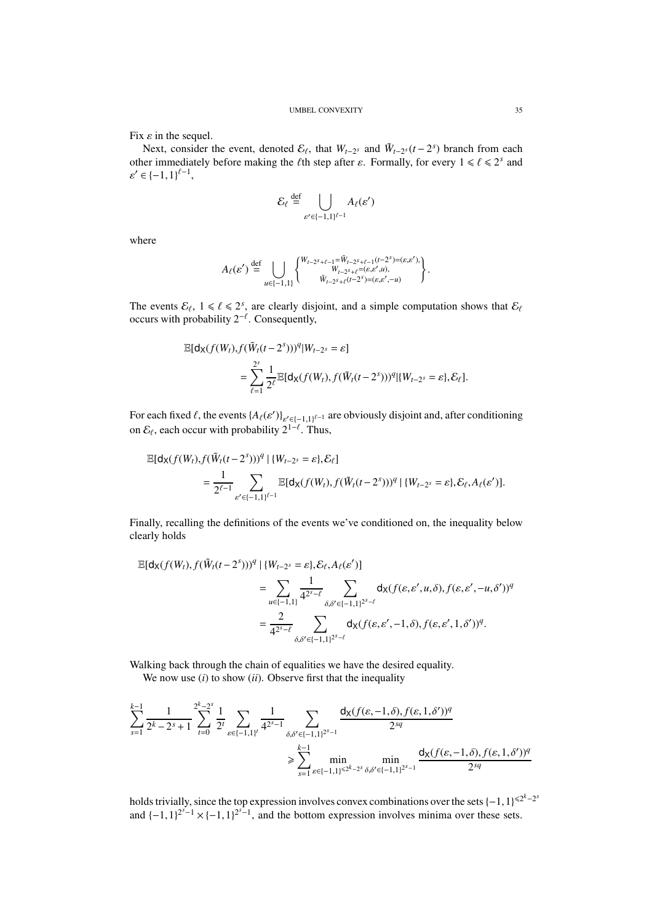Fix  $\varepsilon$  in the sequel.

Next, consider the event, denoted  $\mathcal{E}_{\ell}$ , that  $W_{t-2^s}$  and  $\tilde{W}_{t-2^s}(t-2^s)$  branch from each other immediately before making the *l*<sup>th</sup> step after  $\varepsilon$ . Formally, for every  $1 \le \ell \le 2^s$  and  $\varepsilon' \in \{-1,1\}^{\ell-1},$ 

$$
\mathcal{E}_{\ell} \stackrel{\text{def}}{=} \bigcup_{\varepsilon' \in \{-1,1\}^{\ell-1}} A_{\ell}(\varepsilon')
$$

where

$$
A_{\ell}(\varepsilon') \stackrel{\text{def}}{=} \bigcup_{u \in \{-1,1\}} \begin{Bmatrix} W_{t-2^s+\ell-1} = \tilde{W}_{t-2^s+\ell-1}(t-2^s) = (\varepsilon,\varepsilon'), \\ W_{t-2^s+\ell} = (\varepsilon,\varepsilon',u), \\ \tilde{W}_{t-2^s+\ell}(t-2^s) = (\varepsilon,\varepsilon',-u) \end{Bmatrix}.
$$

The events  $\mathcal{E}_{\ell}$ ,  $1 \leq \ell \leq 2^s$ , are clearly disjoint, and a simple computation shows that  $\mathcal{E}_{\ell}$ occurs with probability  $2^{-\ell}$ . Consequently,

$$
\mathbb{E}[\mathsf{d}_{\mathsf{X}}(f(W_t), f(\widetilde{W}_t(t-2^s)))^q | W_{t-2^s} = \varepsilon]
$$
  
= 
$$
\sum_{\ell=1}^{2^s} \frac{1}{2^{\ell}} \mathbb{E}[\mathsf{d}_{\mathsf{X}}(f(W_t), f(\widetilde{W}_t(t-2^s)))^q | \{W_{t-2^s} = \varepsilon\}, \mathcal{E}_{\ell}].
$$

For each fixed  $\ell$ , the events  $\{A_\ell(\epsilon')\}_{\epsilon' \in [-1,1]^{\ell-1}}$  are obviously disjoint and, after conditioning on  $\mathcal{E}_{\ell}$ , each occur with probability  $2^{1-\ell}$ . Thus,

$$
\mathbb{E}[\mathsf{d}_{\mathsf{X}}(f(W_t), f(\tilde{W}_t(t-2^s)))^q \mid \{W_{t-2^s} = \varepsilon\}, \mathcal{E}_{\ell}]
$$
\n
$$
= \frac{1}{2^{\ell-1}} \sum_{\varepsilon' \in \{-1, 1\}^{\ell-1}} \mathbb{E}[\mathsf{d}_{\mathsf{X}}(f(W_t), f(\tilde{W}_t(t-2^s)))^q \mid \{W_{t-2^s} = \varepsilon\}, \mathcal{E}_{\ell}, A_{\ell}(\varepsilon')].
$$

Finally, recalling the definitions of the events we've conditioned on, the inequality below clearly holds

$$
\mathbb{E}[\mathsf{d}_{\mathsf{X}}(f(W_t), f(\tilde{W}_t(t-2^s)))^q \mid \{W_{t-2^s} = \varepsilon\}, \mathcal{E}_{\ell}, A_{\ell}(\varepsilon')]
$$
\n
$$
= \sum_{u \in [-1,1]} \frac{1}{4^{2^s-\ell}} \sum_{\delta,\delta' \in [-1,1]^{2^s-\ell}} \mathsf{d}_{\mathsf{X}}(f(\varepsilon,\varepsilon',u,\delta), f(\varepsilon,\varepsilon',-u,\delta'))^q
$$
\n
$$
= \frac{2}{4^{2^s-\ell}} \sum_{\delta,\delta' \in [-1,1]^{2^s-\ell}} \mathsf{d}_{\mathsf{X}}(f(\varepsilon,\varepsilon',-1,\delta), f(\varepsilon,\varepsilon',1,\delta'))^q.
$$

Walking back through the chain of equalities we have the desired equality.

We now use *(i)* to show *(ii)*. Observe first that the inequality

$$
\sum_{s=1}^{k-1} \frac{1}{2^k - 2^s + 1} \sum_{t=0}^{2^k - 2^s} \frac{1}{2^t} \sum_{\varepsilon \in \{-1, 1\}^t} \frac{1}{4^{2^s - 1}} \sum_{\delta, \delta' \in \{-1, 1\}^{2^s - 1}} \frac{d_X(f(\varepsilon, -1, \delta), f(\varepsilon, 1, \delta'))^q}{2^{sq}}
$$
  

$$
\geq \sum_{s=1}^{k-1} \min_{\varepsilon \in \{-1, 1\}^{2^s - 2^s}} \min_{\delta, \delta' \in \{-1, 1\}^{2^s - 1}} \frac{d_X(f(\varepsilon, -1, \delta), f(\varepsilon, 1, \delta'))^q}{2^{sq}}
$$

holds trivially, since the top expression involves convex combinations over the sets  $\{-1,1\}^{<2^k-2^s}$ and  $\{-1,1\}^{2^{s}-1} \times \{-1,1\}^{2^{s}-1}$ , and the bottom expression involves minima over these sets.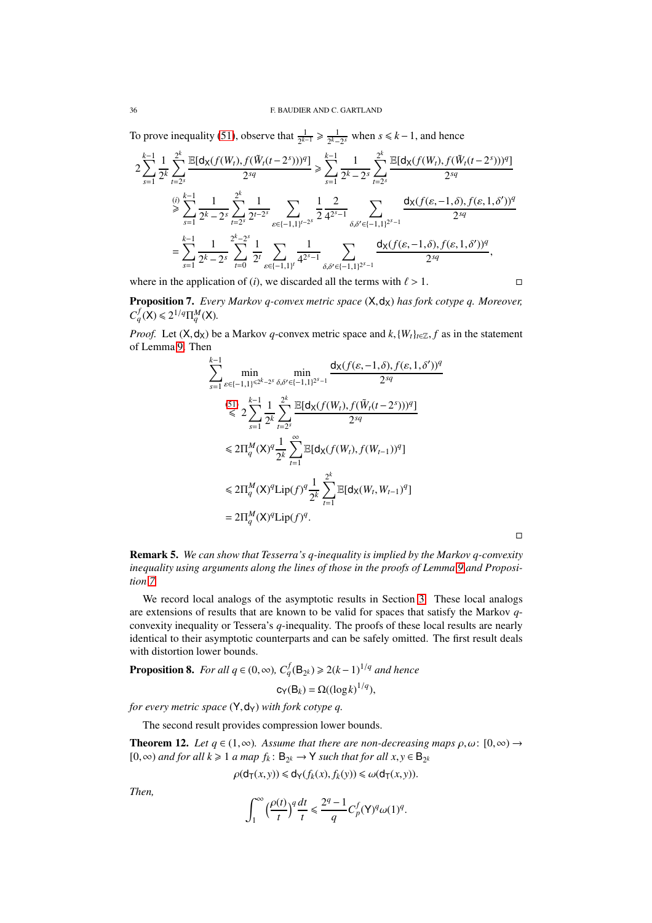### 36 F. BAUDIER AND C. GARTLAND

To prove inequality [\(51\)](#page-33-0), observe that  $\frac{1}{2^{k-1}} \ge \frac{1}{2^k-1}$  $\frac{1}{2^k-2^s}$  when *s* ≤ *k* − 1, and hence

$$
2\sum_{s=1}^{k-1} \frac{1}{2^k} \sum_{t=2^s}^{2^k} \frac{\mathbb{E}[\mathsf{d}_{\mathsf{X}}(f(W_t), f(\tilde{W}_t(t-2^s)))^q]}{2^{sq}} \ge \sum_{s=1}^{k-1} \frac{1}{2^k-2^s} \sum_{t=2^s}^{2^k} \frac{\mathbb{E}[\mathsf{d}_{\mathsf{X}}(f(W_t), f(\tilde{W}_t(t-2^s)))^q]}{2^{sq}}
$$
  

$$
\ge \sum_{s=1}^{(i)} \frac{1}{2^k-2^s} \sum_{t=2^s}^{2^k} \frac{1}{2^{t-2^s}} \sum_{\varepsilon \in \{-1,1\}^{t-2^s}} \frac{1}{2} \frac{2}{4^{2s-1}} \sum_{\delta,\delta' \in \{-1,1\}^{2^{s-1}}} \frac{\mathsf{d}_{\mathsf{X}}(f(\varepsilon, -1, \delta), f(\varepsilon, 1, \delta'))^q}{2^{sq}}
$$
  

$$
= \sum_{s=1}^{k-1} \frac{1}{2^k-2^s} \sum_{t=0}^{2^k-2^s} \frac{1}{2^t} \sum_{\varepsilon \in \{-1,1\}^t} \frac{1}{4^{2^s-1}} \sum_{\delta,\delta' \in \{-1,1\}^{2^s-1}} \frac{\mathsf{d}_{\mathsf{X}}(f(\varepsilon, -1, \delta), f(\varepsilon, 1, \delta'))^q}{2^{sq}},
$$

where in the application of (*i*), we discarded all the terms with  $\ell > 1$ .

<span id="page-35-1"></span>Proposition 7. *Every Markov q-convex metric space*  $(X, d_X)$  *has fork cotype q. Moreover,*  $C_q^f(X) \leq 2^{1/q} \Pi_q^M(X)$ .

*Proof.* Let  $(X, d_X)$  be a Markov *q*-convex metric space and  $k$ ,  $\{W_t\}_{t \in \mathbb{Z}}$ ,  $f$  as in the statement of Lemma [9.](#page-33-1) Then

$$
\sum_{s=1}^{k-1} \min_{\epsilon \in \{-1,1\}^{s \ge k-2s}} \min_{\delta, \delta' \in \{-1,1\}^{2s-1}} \frac{d_X(f(\epsilon, -1, \delta), f(\epsilon, 1, \delta'))^q}{2^{sq}}
$$
\n
$$
\leq 2 \sum_{s=1}^{k-1} \frac{1}{2^k} \sum_{t=2s}^{2^k} \frac{\mathbb{E}[d_X(f(W_t), f(\tilde{W}_t(t-2^s)))^q]}{2^{sq}}
$$
\n
$$
\leq 2\Pi_q^M(X)^q \frac{1}{2^k} \sum_{t=1}^{\infty} \mathbb{E}[d_X(f(W_t), f(W_{t-1}))^q]
$$
\n
$$
\leq 2\Pi_q^M(X)^q \text{Lip}(f)^q \frac{1}{2^k} \sum_{t=1}^{2^k} \mathbb{E}[d_X(W_t, W_{t-1})^q]
$$
\n
$$
= 2\Pi_q^M(X)^q \text{Lip}(f)^q.
$$

 $\Box$ 

<span id="page-35-0"></span>Remark 5. *We can show that Tesserra's q-inequality is implied by the Markov q-convexity inequality using arguments along the lines of those in the proofs of Lemma [9](#page-33-1) and Proposition [7.](#page-35-1)*

We record local analogs of the asymptotic results in Section [3.](#page-12-0) These local analogs are extensions of results that are known to be valid for spaces that satisfy the Markov *q*convexity inequality or Tessera's *q*-inequality. The proofs of these local results are nearly identical to their asymptotic counterparts and can be safely omitted. The first result deals with distortion lower bounds.

<span id="page-35-2"></span>**Proposition 8.** *For all*  $q \in (0, \infty)$ ,  $C_q^f(\mathsf{B}_{2^k}) \geqslant 2(k-1)^{1/q}$  *and hence* 

$$
c_Y(B_k) = \Omega((\log k)^{1/q}),
$$

*for every metric space*  $(Y, dy)$  *with fork cotype q.* 

The second result provides compression lower bounds.

**Theorem 12.** *Let*  $q \in (1, \infty)$ *. Assume that there are non-decreasing maps*  $\rho, \omega$ :  $[0, \infty) \rightarrow$ [0, ∞) *and for all*  $k \ge 1$  *a map*  $f_k$ :  $B_{2^k}$  → Y *such that for all*  $x, y \in B_{2^k}$ 

$$
\rho(\mathsf{d}_{\mathsf{T}}(x,y)) \leq \mathsf{d}_{\mathsf{Y}}(f_k(x), f_k(y)) \leq \omega(\mathsf{d}_{\mathsf{T}}(x,y)).
$$

*Then,*

$$
\int_1^\infty \Big(\frac{\rho(t)}{t}\Big)^q\frac{dt}{t}\leq \frac{2^q-1}{q}C_p^f(\mathsf{Y})^q\omega(1)^q.
$$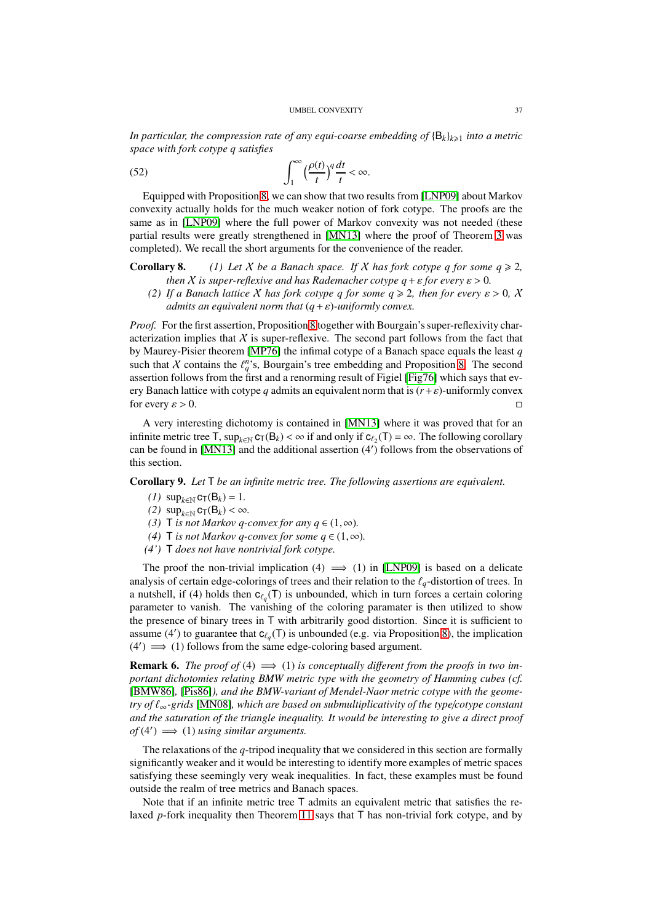*In particular, the compression rate of any equi-coarse embedding of* {B*k*}*k*><sup>1</sup> *into a metric space with fork cotype q satisfies*

(52) 
$$
\int_{1}^{\infty} \left(\frac{\rho(t)}{t}\right)^{q} \frac{dt}{t} < \infty.
$$

Equipped with Proposition [8,](#page-35-2) we can show that two results from [\[LNP09\]](#page-41-6) about Markov convexity actually holds for the much weaker notion of fork cotype. The proofs are the same as in [\[LNP09\]](#page-41-6) where the full power of Markov convexity was not needed (these partial results were greatly strengthened in [\[MN13\]](#page-41-4) where the proof of Theorem [3](#page-1-2) was completed). We recall the short arguments for the convenience of the reader.

**Corollary 8.** (1) Let X be a Banach space. If X has fork cotype q for some  $q \ge 2$ , *then X is super-reflexive and has Rademacher cotype*  $q + \varepsilon$  *for every*  $\varepsilon > 0$ *.* 

*(2) If a Banach lattice* X *has fork cotype q for some*  $q \ge 2$ *, then for every*  $\varepsilon > 0$ , X *admits an equivalent norm that* (*q*+ε)*-uniformly convex.*

*Proof.* For the first assertion, Proposition [8](#page-35-2) together with Bourgain's super-reflexivity characterization implies that  $X$  is super-reflexive. The second part follows from the fact that by Maurey-Pisier theorem [\[MP76\]](#page-41-26) the infimal cotype of a Banach space equals the least *q* such that X contains the  $\ell_q^n$ 's, Bourgain's tree embedding and Proposition [8.](#page-35-2) The second assertion follows from the first and a renorming result of Figiel [\[Fig76\]](#page-41-27) which says that every Banach lattice with cotype *q* admits an equivalent norm that is  $(r+\varepsilon)$ -uniformly convex for every  $\varepsilon > 0$ .

A very interesting dichotomy is contained in [\[MN13\]](#page-41-4) where it was proved that for an infinite metric tree  $\mathsf{T}$ ,  $\sup_{k \in \mathbb{N}} c_{\mathsf{T}}(B_k) < \infty$  if and only if  $c_{\ell_2}(\mathsf{T}) = \infty$ . The following corollary can be found in [\[MN13\]](#page-41-4) and the additional assertion (4′ ) follows from the observations of this section.

Corollary 9. *Let* T *be an infinite metric tree. The following assertions are equivalent.*

- $(1)$  sup<sub>*k*∈N</sub> c<sub>T</sub>(B<sub>*k*</sub>) = 1*.*
- $(2)$  sup<sub>*k*∈N</sub> c<sub>T</sub>(B<sub>*k*</sub>) < ∞*.*
- *(3)* T *is not Markov q-convex for any*  $q \in (1, \infty)$ *.*
- *(4)* T *is not Markov q-convex for some*  $q \in (1, \infty)$ *.*
- *(4')* T *does not have nontrivial fork cotype.*

The proof the non-trivial implication (4)  $\implies$  (1) in [\[LNP09\]](#page-41-6) is based on a delicate analysis of certain edge-colorings of trees and their relation to the  $\ell_q$ -distortion of trees. In a nutshell, if (4) holds then  $c_{\ell_q}(\mathsf{T})$  is unbounded, which in turn forces a certain coloring parameter to vanish. The vanishing of the coloring paramater is then utilized to show the presence of binary trees in T with arbitrarily good distortion. Since it is sufficient to assume (4') to guarantee that  $c_{\ell_q}(\mathsf{T})$  is unbounded (e.g. via Proposition [8\)](#page-35-2), the implication  $(4') \implies (1)$  follows from the same edge-coloring based argument.

**Remark 6.** *The proof of* (4)  $\implies$  (1) *is conceptually different from the proofs in two important dichotomies relating BMW metric type with the geometry of Hamming cubes (cf.* [\[BMW86\]](#page-41-16)*,* [\[Pis86\]](#page-42-12)*), and the BMW-variant of Mendel-Naor metric cotype with the geometry of* ℓ∞*-grids* [\[MN08\]](#page-41-17)*, which are based on submultiplicativity of the type*/*cotype constant and the saturation of the triangle inequality. It would be interesting to give a direct proof*  $of (4') \implies (1)$  *using similar arguments.* 

The relaxations of the *q*-tripod inequality that we considered in this section are formally significantly weaker and it would be interesting to identify more examples of metric spaces satisfying these seemingly very weak inequalities. In fact, these examples must be found outside the realm of tree metrics and Banach spaces.

Note that if an infinite metric tree T admits an equivalent metric that satisfies the relaxed *p*-fork inequality then Theorem 11 says that T has non-trivial fork cotype, and by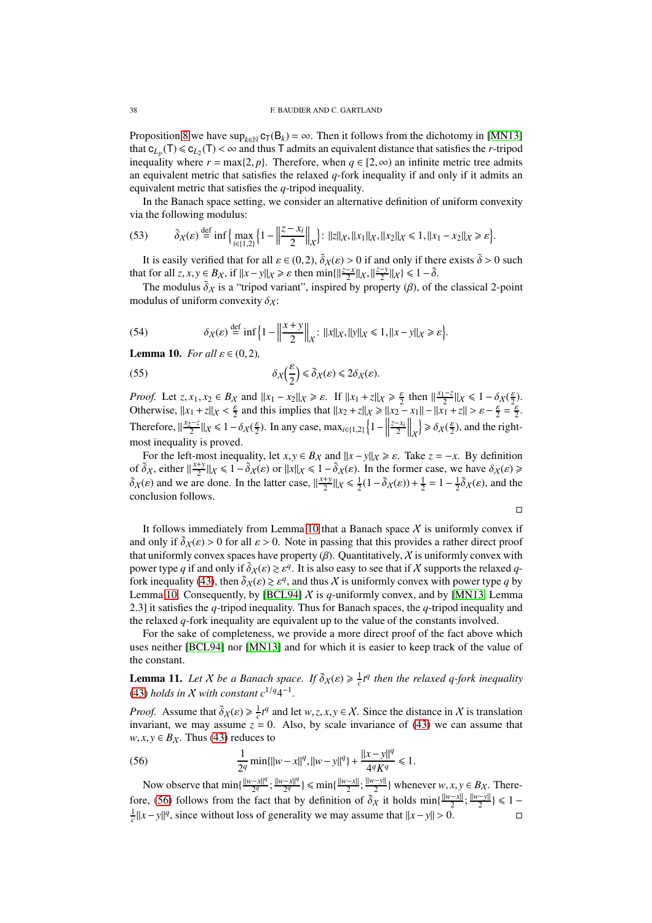Proposition [8](#page-35-2) we have  $\sup_{k \in \mathbb{N}} c_T(B_k) = \infty$ . Then it follows from the dichotomy in [\[MN13\]](#page-41-4) that  $c_{L_p}(T) \le c_{L_2}(T) < \infty$  and thus T admits an equivalent distance that satisfies the *r*-tripod inequality where  $r = \max\{2, p\}$ . Therefore, when  $q \in [2, \infty)$  an infinite metric tree admits an equivalent metric that satisfies the relaxed *q*-fork inequality if and only if it admits an equivalent metric that satisfies the *q*-tripod inequality.

In the Banach space setting, we consider an alternative definition of uniform convexity via the following modulus:

(53) 
$$
\tilde{\delta}_X(\varepsilon) \stackrel{\text{def}}{=} \inf \Big\{ \max_{i \in \{1,2\}} \Big\{ 1 - \Big\| \frac{z - x_i}{2} \Big\|_X \Big\} : \|z\|_X, \|x_1\|_X, \|x_2\|_X \le 1, \|x_1 - x_2\|_X \ge \varepsilon \Big\}.
$$

It is easily verified that for all  $\varepsilon \in (0,2)$ ,  $\tilde{\delta}_X(\varepsilon) > 0$  if and only if there exists  $\tilde{\delta} > 0$  such that for all  $z, x, y \in B_X$ , if  $||x - y||_X \ge \varepsilon$  then  $\min\{||\frac{z-x}{2}||x, ||\frac{z-y}{2}||x\} \le 1 - \tilde{\delta}$ .

The modulus  $\tilde{\delta}_X$  is a "tripod variant", inspired by property ( $\beta$ ), of the classical 2-point modulus of uniform convexity  $\delta_X$ :

(54) 
$$
\delta_X(\varepsilon) \stackrel{\text{def}}{=} \inf \Big\{ 1 - \Big\| \frac{x+y}{2} \Big\|_X : ||x||_X, ||y||_X \leq 1, ||x-y||_X \geq \varepsilon \Big\}.
$$

<span id="page-37-0"></span>**Lemma 10.** *For all*  $\varepsilon \in (0,2)$ *,* 

(55) 
$$
\delta_{\chi}\left(\frac{\varepsilon}{2}\right) \leq \tilde{\delta}_{\chi}(\varepsilon) \leq 2\delta_{\chi}(\varepsilon).
$$

*Proof.* Let  $z, x_1, x_2 \in B_X$  and  $||x_1 - x_2||_X \ge \varepsilon$ . If  $||x_1 + z||_X \ge \frac{\varepsilon}{2}$  then  $||\frac{x_1 - z}{2}||_X \le 1 - \delta_X(\frac{\varepsilon}{2})$ . Otherwise,  $||x_1 + z||_X < \frac{\varepsilon}{2}$  and this implies that  $||x_2 + z||_X \ge ||x_2 - x_1|| - ||x_1 + z|| > \varepsilon - \frac{\varepsilon}{2} = \frac{\varepsilon}{2}$ . Therefore,  $\frac{x_2 - z}{2} \| x \le 1 - \delta x(\frac{\varepsilon}{2})$ . In any case, max<sub>*i*∈{1,2}</sub>  $\left\{ 1 - \left\| \frac{x_2 - z}{2} \right\| \le \varepsilon \right\}$  $rac{z-x_i}{2}$ <sub>X</sub>  $\frac{\partial}{\partial \chi}(\frac{\varepsilon}{2})$ , and the rightmost inequality is proved.

For the left-most inequality, let  $x, y \in B_X$  and  $||x - y||_X \ge \varepsilon$ . Take  $z = -x$ . By definition of  $\tilde{\delta}_X$ , either  $\|\frac{x+y}{2}\|$  $\frac{dy}{dx}$  *k* ≤ 1 −  $\tilde{\delta}_X(\varepsilon)$  or  $||x||_X \le 1 - \tilde{\delta}_X(\varepsilon)$ . In the former case, we have  $\delta_X(\varepsilon) \ge$  $\delta_X(\varepsilon)$  and we are done. In the latter case,  $\frac{x+y}{2}$  $\frac{1}{2}$   $\sqrt{\frac{1}{2}}$   $\sqrt{\frac{1}{2}}$   $\sqrt{\frac{1}{2}}$   $\sqrt{\frac{1}{2}}$   $\sqrt{\frac{1}{2}}$   $\sqrt{\frac{1}{2}}$   $\sqrt{\frac{1}{2}}$   $\sqrt{\frac{1}{2}}$   $\sqrt{\frac{1}{2}}$   $\sqrt{\frac{1}{2}}$   $\sqrt{\frac{1}{2}}$   $\sqrt{\frac{1}{2}}$   $\sqrt{\frac{1}{2}}$   $\sqrt{\frac{1}{2}}$   $\sqrt{\frac{1}{2}}$   $\sqrt{\frac{1}{2}}$ conclusion follows.

 $\Box$ 

It follows immediately from Lemma [10](#page-37-0) that a Banach space  $X$  is uniformly convex if and only if  $\tilde{\delta}_X(\varepsilon) > 0$  for all  $\varepsilon > 0$ . Note in passing that this provides a rather direct proof that uniformly convex spaces have property  $(\beta)$ . Quantitatively, X is uniformly convex with power type *q* if and only if  $\tilde{\delta}_X(\varepsilon) \ge \varepsilon^q$ . It is also easy to see that if X supports the relaxed *q*-fork inequality [\(43\)](#page-30-1), then  $\tilde{\delta}_X(\varepsilon) \ge \varepsilon^q$ , and thus X is uniformly convex with power type *q* by Lemma [10.](#page-37-0) Consequently, by [\[BCL94\]](#page-40-4)  $X$  is  $q$ -uniformly convex, and by [\[MN13,](#page-41-4) Lemma 2.3] it satisfies the *q*-tripod inequality. Thus for Banach spaces, the *q*-tripod inequality and the relaxed *q*-fork inequality are equivalent up to the value of the constants involved.

For the sake of completeness, we provide a more direct proof of the fact above which uses neither [\[BCL94\]](#page-40-4) nor [\[MN13\]](#page-41-4) and for which it is easier to keep track of the value of the constant.

**Lemma 11.** Let X be a Banach space. If  $\tilde{\delta}_X(\varepsilon) \geq \frac{1}{c}t^q$  then the relaxed q-fork inequality [\(43\)](#page-30-1) *holds in*  $X$  *with constant*  $c^{1/q}4^{-1}$ *.* 

*Proof.* Assume that  $\tilde{\delta}_X(\varepsilon) \ge \frac{1}{c} t^q$  and let  $w, z, x, y \in X$ . Since the distance in X is translation invariant, we may assume  $z = 0$ . Also, by scale invariance of [\(43\)](#page-30-1) we can assume that  $w, x, y \in B_X$ . Thus [\(43\)](#page-30-1) reduces to

<span id="page-37-1"></span>(56) 
$$
\frac{1}{2^q} \min\{\|w - x\|^q, \|w - y\|^q\} + \frac{\|x - y\|^q}{4^q K^q} \le 1.
$$

Now observe that min{ $\frac{||w-x||^q}{2^q}$  $\frac{(-x||^q)}{2^q}$ ;  $\frac{||w-x||^q}{2^q}$  $\frac{-x||^q}{2^q}$  ≤ min{ $\frac{||w-x||}{2}$ ;  $\frac{||w-y||}{2}$ } whenever *w*, *x*, *y* ∈ *B*<sub>*x*</sub>. There-fore, [\(56\)](#page-37-1) follows from the fact that by definition of  $\tilde{\delta}_X$  it holds  $\min\{\frac{\|w-x\|}{2}; \frac{\|w-y\|}{2}\} \le 1 - \frac{1}{c}||x-y||^q$ , since without loss of generality we may assume that  $||x-y|| > 0$ .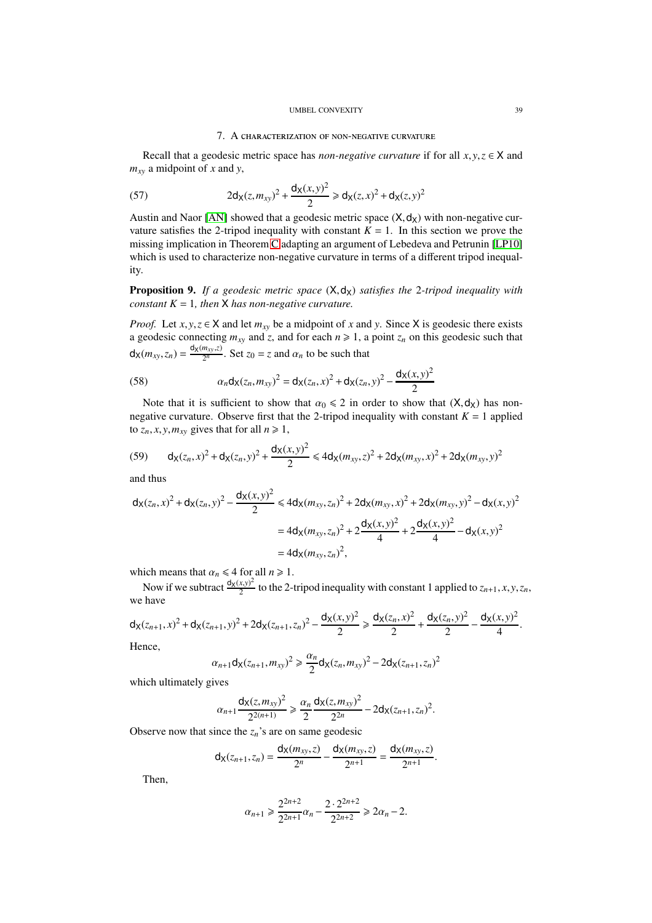### UMBEL CONVEXITY 39

# 7. A characterization of non-negative curvature

<span id="page-38-0"></span>Recall that a geodesic metric space has *non-negative curvature* if for all  $x, y, z \in X$  and *mxy* a midpoint of *x* and *y*,

(57) 
$$
2\mathsf{d}_{\mathsf{X}}(z,m_{xy})^2 + \frac{\mathsf{d}_{\mathsf{X}}(x,y)^2}{2} \geq \mathsf{d}_{\mathsf{X}}(z,x)^2 + \mathsf{d}_{\mathsf{X}}(z,y)^2
$$

Austin and Naor [\[AN\]](#page-40-5) showed that a geodesic metric space  $(X, d_X)$  with non-negative curvature satisfies the 2-tripod inequality with constant  $K = 1$ . In this section we prove the missing implication in Theorem [C](#page-4-2) adapting an argument of Lebedeva and Petrunin [\[LP10\]](#page-41-15) which is used to characterize non-negative curvature in terms of a different tripod inequality.

Proposition 9. If a geodesic metric space  $(X, d_X)$  satisfies the 2-tripod inequality with *constant*  $K = 1$ *, then*  $X$  *has non-negative curvature.* 

*Proof.* Let  $x, y, z \in X$  and let  $m_{xy}$  be a midpoint of *x* and *y*. Since X is geodesic there exists a geodesic connecting  $m_{xy}$  and  $z$ , and for each  $n \ge 1$ , a point  $z_n$  on this geodesic such that  $d_{X}(m_{xy}, z_n) = \frac{d_{X}(m_{xy}, z)}{2^n}$  $\frac{m_{xy}}{2^n}$ . Set  $z_0 = z$  and  $\alpha_n$  to be such that

(58) 
$$
\alpha_n \mathsf{d}_\mathsf{X}(z_n, m_{xy})^2 = \mathsf{d}_\mathsf{X}(z_n, x)^2 + \mathsf{d}_\mathsf{X}(z_n, y)^2 - \frac{\mathsf{d}_\mathsf{X}(x, y)^2}{2}
$$

Note that it is sufficient to show that  $\alpha_0 \leq 2$  in order to show that  $(X, d_X)$  has nonnegative curvature. Observe first that the 2-tripod inequality with constant  $K = 1$  applied to  $z_n$ , *x*, *y*,  $m_{xy}$  gives that for all  $n \ge 1$ ,

(59) 
$$
d_{X}(z_n, x)^2 + d_{X}(z_n, y)^2 + \frac{d_{X}(x, y)^2}{2} \leq 4d_{X}(m_{xy}, z)^2 + 2d_{X}(m_{xy}, x)^2 + 2d_{X}(m_{xy}, y)^2
$$

and thus

$$
d_{X}(z_{n},x)^{2} + d_{X}(z_{n},y)^{2} - \frac{d_{X}(x,y)^{2}}{2} \leq 4d_{X}(m_{xy},z_{n})^{2} + 2d_{X}(m_{xy},x)^{2} + 2d_{X}(m_{xy},y)^{2} - d_{X}(x,y)^{2}
$$

$$
= 4d_{X}(m_{xy},z_{n})^{2} + 2\frac{d_{X}(x,y)^{2}}{4} + 2\frac{d_{X}(x,y)^{2}}{4} - d_{X}(x,y)^{2}
$$

$$
= 4d_{X}(m_{xy},z_{n})^{2},
$$

which means that  $\alpha_n \leq 4$  for all  $n \geq 1$ .

Now if we subtract  $\frac{d_X(x,y)^2}{2}$  $\frac{(x,y)^2}{2}$  to the 2-tripod inequality with constant 1 applied to  $z_{n+1}, x, y, z_n$ , we have

$$
d_X(z_{n+1},x)^2 + d_X(z_{n+1},y)^2 + 2d_X(z_{n+1},z_n)^2 - \frac{d_X(x,y)^2}{2} \ge \frac{d_X(z_n,x)^2}{2} + \frac{d_X(z_n,y)^2}{2} - \frac{d_X(x,y)^2}{4}.
$$

Hence,

$$
\alpha_{n+1} \mathsf{d}_{\mathsf{X}}(z_{n+1}, m_{xy})^2 \geq \frac{\alpha_n}{2} \mathsf{d}_{\mathsf{X}}(z_n, m_{xy})^2 - 2 \mathsf{d}_{\mathsf{X}}(z_{n+1}, z_n)^2
$$

which ultimately gives

$$
\alpha_{n+1} \frac{d_X(z, m_{xy})^2}{2^{2(n+1)}} \geq \frac{\alpha_n}{2} \frac{d_X(z, m_{xy})^2}{2^{2n}} - 2d_X(z_{n+1}, z_n)^2.
$$

Observe now that since the  $z_n$ 's are on same geodesic

$$
d_X(z_{n+1}, z_n) = \frac{d_X(m_{xy}, z)}{2^n} - \frac{d_X(m_{xy}, z)}{2^{n+1}} = \frac{d_X(m_{xy}, z)}{2^{n+1}}.
$$

Then,

$$
\alpha_{n+1} \geqslant \frac{2^{2n+2}}{2^{2n+1}} \alpha_n - \frac{2 \cdot 2^{2n+2}}{2^{2n+2}} \geqslant 2\alpha_n - 2.
$$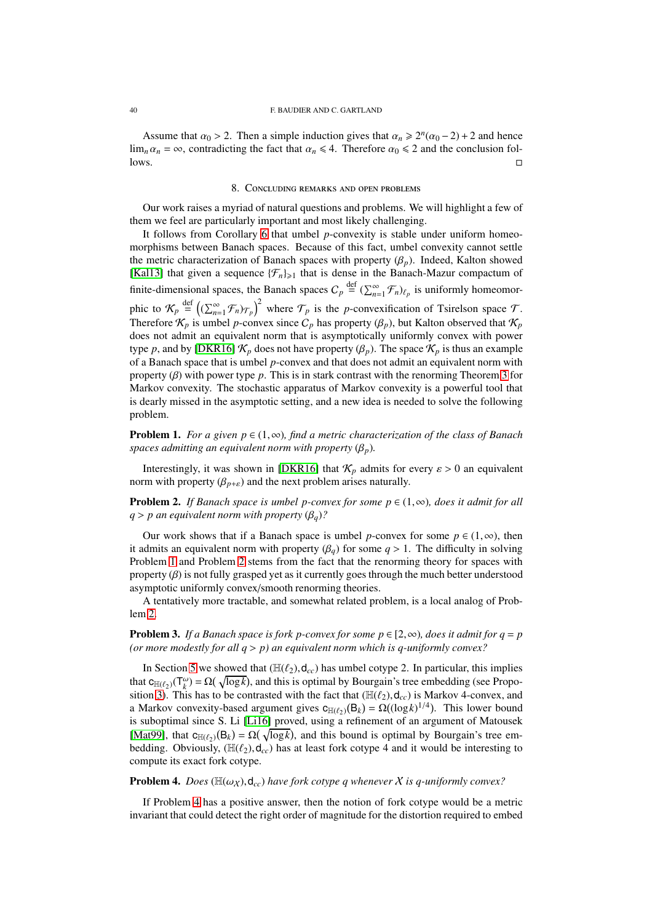### 40 F. BAUDIER AND C. GARTLAND

Assume that  $\alpha_0 > 2$ . Then a simple induction gives that  $\alpha_n \ge 2^n(\alpha_0 - 2) + 2$  and hence  $\lim_{n \to \infty} \alpha_n = \infty$ , contradicting the fact that  $\alpha_n \le 4$ . Therefore  $\alpha_0 \le 2$  and the conclusion fol-<br>lows.  $\Box$  lows.

### 8. Concluding remarks and open problems

<span id="page-39-0"></span>Our work raises a myriad of natural questions and problems. We will highlight a few of them we feel are particularly important and most likely challenging.

It follows from Corollary [6](#page-21-4) that umbel *p*-convexity is stable under uniform homeomorphisms between Banach spaces. Because of this fact, umbel convexity cannot settle the metric characterization of Banach spaces with property  $(\beta_p)$ . Indeed, Kalton showed [\[Kal13\]](#page-41-11) that given a sequence  $\{\mathcal{F}_n\}_{n\geq 1}$  that is dense in the Banach-Mazur compactum of finite-dimensional spaces, the Banach spaces  $C_p \stackrel{\text{def}}{=} (\sum_{n=1}^{\infty} \mathcal{F}_n)_{\ell_p}$  is uniformly homeomorphic to  $\mathcal{K}_p \stackrel{\text{def}}{=} \left( (\sum_{n=1}^{\infty} \mathcal{F}_n)_{\mathcal{T}_p} \right)^2$  where  $\mathcal{T}_p$  is the *p*-convexification of Tsirelson space  $\mathcal{T}$ . Therefore  $\mathcal{K}_p$  is umbel *p*-convex since  $C_p$  has property  $(\beta_p)$ , but Kalton observed that  $\mathcal{K}_p$ does not admit an equivalent norm that is asymptotically uniformly convex with power type *p*, and by [\[DKR16\]](#page-41-10)  $\mathcal{K}_p$  does not have property ( $\beta_p$ ). The space  $\mathcal{K}_p$  is thus an example of a Banach space that is umbel *p*-convex and that does not admit an equivalent norm with property (β) with power type *p*. This is in stark contrast with the renorming Theorem [3](#page-1-2) for Markov convexity. The stochastic apparatus of Markov convexity is a powerful tool that is dearly missed in the asymptotic setting, and a new idea is needed to solve the following problem.

<span id="page-39-1"></span>Problem 1. *For a given p* ∈ (1,∞)*, find a metric characterization of the class of Banach spaces admitting an equivalent norm with property*  $(\beta_p)$ *.* 

Interestingly, it was shown in [\[DKR16\]](#page-41-10) that  $\mathcal{K}_p$  admits for every  $\varepsilon > 0$  an equivalent norm with property  $(\beta_{p+\varepsilon})$  and the next problem arises naturally.

<span id="page-39-2"></span>**Problem 2.** *If Banach space is umbel p-convex for some*  $p \in (1, \infty)$ *, does it admit for all*  $q > p$  an equivalent norm with property  $(\beta_q)$ ?

Our work shows that if a Banach space is umbel *p*-convex for some  $p \in (1, \infty)$ , then it admits an equivalent norm with property  $(\beta_q)$  for some  $q > 1$ . The difficulty in solving Problem [1](#page-39-1) and Problem [2](#page-39-2) stems from the fact that the renorming theory for spaces with property  $(\beta)$  is not fully grasped yet as it currently goes through the much better understood asymptotic uniformly convex/smooth renorming theories.

A tentatively more tractable, and somewhat related problem, is a local analog of Problem [2.](#page-39-2)

**Problem 3.** *If a Banach space is fork p-convex for some p*  $\in$  [2, $\infty$ )*, does it admit for q = p (or more modestly for all q* > *p) an equivalent norm which is q-uniformly convex?*

In Section [5](#page-21-0) we showed that  $(\mathbb{H}(\ell_2), \mathsf{d}_{cc})$  has umbel cotype 2. In particular, this implies that  $c_{\mathbb{H}(\ell_2)}(\mathsf{T}^\omega_k) = \Omega(\sqrt{\log k})$ , and this is optimal by Bourgain's tree embedding (see Propo-sition [3\)](#page-15-1). This has to be contrasted with the fact that ( $\mathbb{H}(\ell_2)$ ,  $d_{cc}$ ) is Markov 4-convex, and a Markov convexity-based argument gives  $c_{\mathbb{H}(\ell_2)}(\mathsf{B}_k) = \Omega((\log k)^{1/4})$ . This lower bound is suboptimal since S. Li [\[Li16\]](#page-41-23) proved, using a refinement of an argument of Matousek [\[Mat99\]](#page-41-18), that  $c_{\mathbb{H}(\ell_2)}(B_k) = \Omega(\sqrt{\log k})$ , and this bound is optimal by Bourgain's tree embedding. Obviously,  $(\mathbb{H}(\ell_2), \mathsf{d}_{cc})$  has at least fork cotype 4 and it would be interesting to compute its exact fork cotype.

### <span id="page-39-3"></span>**Problem 4.** *Does* ( $\mathbb{H}(\omega_X)$ , $d_{cc}$ ) *have fork cotype q whenever* X *is q-uniformly convex?*

If Problem [4](#page-39-3) has a positive answer, then the notion of fork cotype would be a metric invariant that could detect the right order of magnitude for the distortion required to embed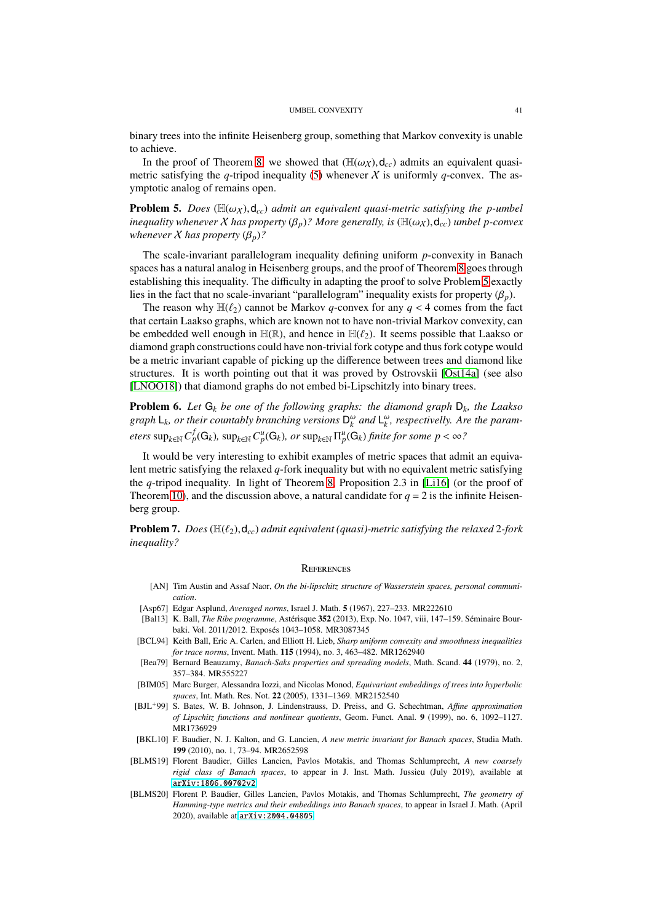#### UMBEL CONVEXITY 41

binary trees into the infinite Heisenberg group, something that Markov convexity is unable to achieve.

In the proof of Theorem [8,](#page-23-0) we showed that  $(H(\omega_X), d_{cc})$  admits an equivalent quasimetric satisfying the *q*-tripod inequality [\(5\)](#page-5-1) whenever X is uniformly *q*-convex. The asymptotic analog of remains open.

<span id="page-40-11"></span>**Problem 5.** *Does* ( $\mathbb{H}(\omega_X)$ , $d_{cc}$ ) *admit an equivalent quasi-metric satisfying the p-umbel inequality whenever*  $X$  *has property*  $(\beta_p)$ ? More generally, is  $(\mathbb{H}(\omega_X), \mathsf{d}_{cc})$  *umbel p-convex whenever*  $X$  *has property*  $(\beta_p)$ ?

The scale-invariant parallelogram inequality defining uniform *p*-convexity in Banach spaces has a natural analog in Heisenberg groups, and the proof of Theorem [8](#page-23-0) goes through establishing this inequality. The difficulty in adapting the proof to solve Problem [5](#page-40-11) exactly lies in the fact that no scale-invariant "parallelogram" inequality exists for property  $(\beta_n)$ .

The reason why  $\mathbb{H}(\ell_2)$  cannot be Markov *q*-convex for any  $q < 4$  comes from the fact that certain Laakso graphs, which are known not to have non-trivial Markov convexity, can be embedded well enough in  $\mathbb{H}(\mathbb{R})$ , and hence in  $\mathbb{H}(\ell_2)$ . It seems possible that Laakso or diamond graph constructions could have non-trivial fork cotype and thus fork cotype would be a metric invariant capable of picking up the difference between trees and diamond like structures. It is worth pointing out that it was proved by Ostrovskii [\[Ost14a\]](#page-42-13) (see also [\[LNOO18\]](#page-41-28)) that diamond graphs do not embed bi-Lipschitzly into binary trees.

Problem 6. *Let* G*<sup>k</sup> be one of the following graphs: the diamond graph* D*k, the Laakso* graph  $L_k$ *, or their countably branching versions*  $D_k^{\omega}$  and  $L_k^{\omega}$ *, respectivelly. Are the param-* $\sup_{k \in \mathbb{N}} C_p^f(\mathsf{G}_k)$ ,  $\sup_{k \in \mathbb{N}} C_p^u(\mathsf{G}_k)$ ,  $or \sup_{k \in \mathbb{N}} \Pi_p^u(\mathsf{G}_k)$  *finite for some*  $p < \infty$ *?* 

It would be very interesting to exhibit examples of metric spaces that admit an equivalent metric satisfying the relaxed *q*-fork inequality but with no equivalent metric satisfying the *q*-tripod inequality. In light of Theorem [8,](#page-23-0) Proposition 2.3 in [\[Li16\]](#page-41-23) (or the proof of Theorem [10\)](#page-26-1), and the discussion above, a natural candidate for  $q = 2$  is the infinite Heisenberg group.

**Problem 7.** *Does* ( $\mathbb{H}(\ell_2)$ , $d_{cc}$ ) *admit equivalent (quasi)-metric satisfying the relaxed* 2*-fork inequality?*

# <span id="page-40-0"></span>**REFERENCES**

- <span id="page-40-5"></span>[AN] Tim Austin and Assaf Naor, *On the bi-lipschitz structure of Wasserstein spaces, personal communication*.
- <span id="page-40-2"></span>[Asp67] Edgar Asplund, *Averaged norms*, Israel J. Math. 5 (1967), 227–233. MR222610
- <span id="page-40-1"></span>[Bal13] K. Ball, *The Ribe programme*, Astérisque 352 (2013), Exp. No. 1047, viii, 147–159. Séminaire Bourbaki. Vol. 2011/2012. Exposés 1043-1058. MR3087345
- <span id="page-40-4"></span>[BCL94] Keith Ball, Eric A. Carlen, and Elliott H. Lieb, *Sharp uniform convexity and smoothness inequalities for trace norms*, Invent. Math. 115 (1994), no. 3, 463–482. MR1262940
- <span id="page-40-6"></span>[Bea79] Bernard Beauzamy, *Banach-Saks properties and spreading models*, Math. Scand. 44 (1979), no. 2, 357–384. MR555227
- <span id="page-40-7"></span>[BIM05] Marc Burger, Alessandra Iozzi, and Nicolas Monod, *Equivariant embeddings of trees into hyperbolic spaces*, Int. Math. Res. Not. 22 (2005), 1331–1369. MR2152540
- <span id="page-40-10"></span>[BJL+99] S. Bates, W. B. Johnson, J. Lindenstrauss, D. Preiss, and G. Schechtman, *A*ffi*ne approximation of Lipschitz functions and nonlinear quotients*, Geom. Funct. Anal. 9 (1999), no. 6, 1092–1127. MR1736929
- <span id="page-40-3"></span>[BKL10] F. Baudier, N. J. Kalton, and G. Lancien, *A new metric invariant for Banach spaces*, Studia Math. 199 (2010), no. 1, 73–94. MR2652598
- <span id="page-40-9"></span>[BLMS19] Florent Baudier, Gilles Lancien, Pavlos Motakis, and Thomas Schlumprecht, *A new coarsely rigid class of Banach spaces*, to appear in J. Inst. Math. Jussieu (July 2019), available at <arXiv:1806.00702v2>.
- <span id="page-40-8"></span>[BLMS20] Florent P. Baudier, Gilles Lancien, Pavlos Motakis, and Thomas Schlumprecht, *The geometry of Hamming-type metrics and their embeddings into Banach spaces*, to appear in Israel J. Math. (April 2020), available at <arXiv:2004.04805>.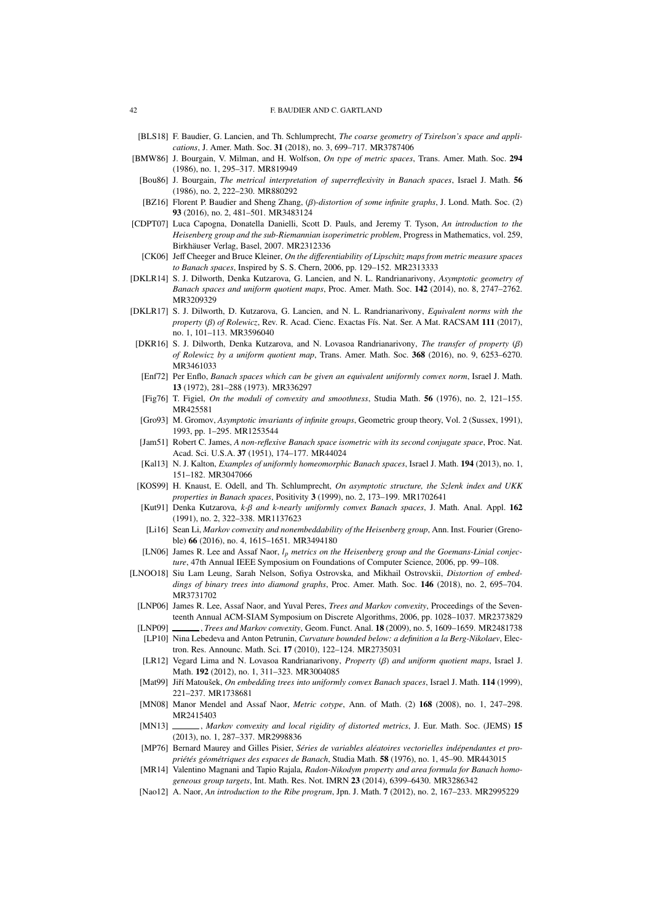#### 42 F. BAUDIER AND C. GARTLAND

- <span id="page-41-3"></span>[BLS18] F. Baudier, G. Lancien, and Th. Schlumprecht, *The coarse geometry of Tsirelson's space and applications*, J. Amer. Math. Soc. 31 (2018), no. 3, 699–717. MR3787406
- <span id="page-41-16"></span>[BMW86] J. Bourgain, V. Milman, and H. Wolfson, *On type of metric spaces*, Trans. Amer. Math. Soc. 294 (1986), no. 1, 295–317. MR819949
- <span id="page-41-1"></span>[Bou86] J. Bourgain, *The metrical interpretation of superreflexivity in Banach spaces*, Israel J. Math. 56 (1986), no. 2, 222–230. MR880292
- <span id="page-41-12"></span>[BZ16] Florent P. Baudier and Sheng Zhang, (β)*-distortion of some infinite graphs*, J. Lond. Math. Soc. (2) 93 (2016), no. 2, 481–501. MR3483124
- <span id="page-41-22"></span>[CDPT07] Luca Capogna, Donatella Danielli, Scott D. Pauls, and Jeremy T. Tyson, *An introduction to the Heisenberg group and the sub-Riemannian isoperimetric problem*, Progress in Mathematics, vol. 259, Birkhäuser Verlag, Basel, 2007. MR2312336
- <span id="page-41-25"></span>[CK06] Jeff Cheeger and Bruce Kleiner, *On the di*ff*erentiability of Lipschitz maps from metric measure spaces to Banach spaces*, Inspired by S. S. Chern, 2006, pp. 129–152. MR2313333
- <span id="page-41-14"></span>[DKLR14] S. J. Dilworth, Denka Kutzarova, G. Lancien, and N. L. Randrianarivony, *Asymptotic geometry of Banach spaces and uniform quotient maps*, Proc. Amer. Math. Soc. 142 (2014), no. 8, 2747–2762. MR3209329
- <span id="page-41-8"></span>[DKLR17] S. J. Dilworth, D. Kutzarova, G. Lancien, and N. L. Randrianarivony, *Equivalent norms with the property* (β) of Rolewicz, Rev. R. Acad. Cienc. Exactas Fís. Nat. Ser. A Mat. RACSAM 111 (2017), no. 1, 101–113. MR3596040
- <span id="page-41-10"></span>[DKR16] S. J. Dilworth, Denka Kutzarova, and N. Lovasoa Randrianarivony, *The transfer of property* (β) *of Rolewicz by a uniform quotient map*, Trans. Amer. Math. Soc. 368 (2016), no. 9, 6253–6270. MR3461033
- <span id="page-41-2"></span>[Enf72] Per Enflo, *Banach spaces which can be given an equivalent uniformly convex norm*, Israel J. Math. 13 (1972), 281–288 (1973). MR336297
- <span id="page-41-27"></span>[Fig76] T. Figiel, *On the moduli of convexity and smoothness*, Studia Math. 56 (1976), no. 2, 121–155. MR425581
- <span id="page-41-19"></span>[Gro93] M. Gromov, *Asymptotic invariants of infinite groups*, Geometric group theory, Vol. 2 (Sussex, 1991), 1993, pp. 1–295. MR1253544
- <span id="page-41-9"></span>[Jam51] Robert C. James, *A non-reflexive Banach space isometric with its second conjugate space*, Proc. Nat. Acad. Sci. U.S.A. 37 (1951), 174–177. MR44024
- <span id="page-41-11"></span>[Kal13] N. J. Kalton, *Examples of uniformly homeomorphic Banach spaces*, Israel J. Math. 194 (2013), no. 1, 151–182. MR3047066
- <span id="page-41-20"></span>[KOS99] H. Knaust, E. Odell, and Th. Schlumprecht, *On asymptotic structure, the Szlenk index and UKK properties in Banach spaces*, Positivity 3 (1999), no. 2, 173–199. MR1702641
- <span id="page-41-7"></span>[Kut91] Denka Kutzarova, *k-*β *and k-nearly uniformly convex Banach spaces*, J. Math. Anal. Appl. 162 (1991), no. 2, 322–338. MR1137623
- <span id="page-41-23"></span>[Li16] Sean Li, *Markov convexity and nonembeddability of the Heisenberg group*, Ann. Inst. Fourier (Grenoble) 66 (2016), no. 4, 1615–1651. MR3494180
- <span id="page-41-24"></span>[LN06] James R. Lee and Assaf Naor, *l<sup>p</sup> metrics on the Heisenberg group and the Goemans-Linial conjecture*, 47th Annual IEEE Symposium on Foundations of Computer Science, 2006, pp. 99–108.
- <span id="page-41-28"></span><span id="page-41-26"></span><span id="page-41-21"></span><span id="page-41-18"></span><span id="page-41-17"></span><span id="page-41-15"></span><span id="page-41-13"></span><span id="page-41-6"></span><span id="page-41-5"></span><span id="page-41-4"></span><span id="page-41-0"></span>[LNOO18] Siu Lam Leung, Sarah Nelson, Sofiya Ostrovska, and Mikhail Ostrovskii, *Distortion of embeddings of binary trees into diamond graphs*, Proc. Amer. Math. Soc. 146 (2018), no. 2, 695–704. MR3731702
	- [LNP06] James R. Lee, Assaf Naor, and Yuval Peres, *Trees and Markov convexity*, Proceedings of the Seventeenth Annual ACM-SIAM Symposium on Discrete Algorithms, 2006, pp. 1028–1037. MR2373829
	- [LNP09] , *Trees and Markov convexity*, Geom. Funct. Anal. 18 (2009), no. 5, 1609–1659. MR2481738 [LP10] Nina Lebedeva and Anton Petrunin, *Curvature bounded below: a definition a la Berg-Nikolaev*, Electron. Res. Announc. Math. Sci. 17 (2010), 122–124. MR2735031
	- [LR12] Vegard Lima and N. Lovasoa Randrianarivony, *Property* (β) *and uniform quotient maps*, Israel J. Math. 192 (2012), no. 1, 311–323. MR3004085
	- [Mat99] Jiří Matoušek, *On embedding trees into uniformly convex Banach spaces*, Israel J. Math. 114 (1999), 221–237. MR1738681
	- [MN08] Manor Mendel and Assaf Naor, *Metric cotype*, Ann. of Math. (2) 168 (2008), no. 1, 247–298. MR2415403
	- [MN13] , *Markov convexity and local rigidity of distorted metrics*, J. Eur. Math. Soc. (JEMS) 15 (2013), no. 1, 287–337. MR2998836
	- [MP76] Bernard Maurey and Gilles Pisier, *Séries de variables aléatoires vectorielles indépendantes et propri´et´es g´eom´etriques des espaces de Banach*, Studia Math. 58 (1976), no. 1, 45–90. MR443015
	- [MR14] Valentino Magnani and Tapio Rajala, *Radon-Nikodym property and area formula for Banach homogeneous group targets*, Int. Math. Res. Not. IMRN 23 (2014), 6399–6430. MR3286342
	- [Nao12] A. Naor, *An introduction to the Ribe program*, Jpn. J. Math. 7 (2012), no. 2, 167–233. MR2995229